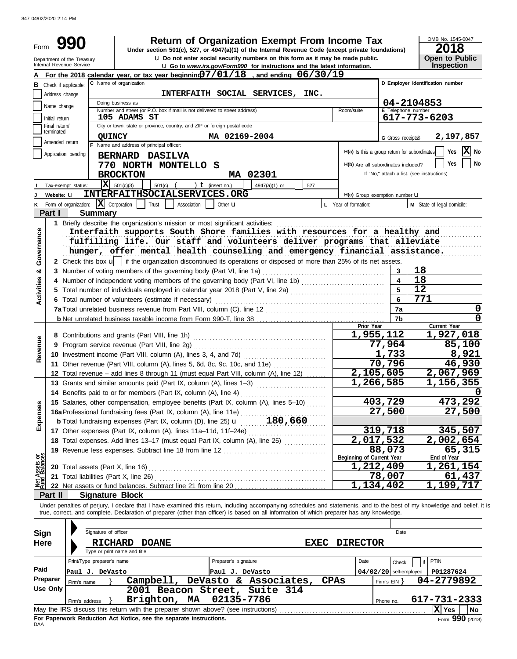847 04/02/2020 2:14 PM

|                   |                             |                                                        |                                                                               |             |                      | Return of Organization Exempt From Income Tax                                                                                                                                       |             |                                              |                          | OMB No. 1545-0047                                                                                                                                                          |
|-------------------|-----------------------------|--------------------------------------------------------|-------------------------------------------------------------------------------|-------------|----------------------|-------------------------------------------------------------------------------------------------------------------------------------------------------------------------------------|-------------|----------------------------------------------|--------------------------|----------------------------------------------------------------------------------------------------------------------------------------------------------------------------|
| Form              |                             |                                                        |                                                                               |             |                      | Under section 501(c), 527, or 4947(a)(1) of the Internal Revenue Code (except private foundations)<br>u Do not enter social security numbers on this form as it may be made public. |             |                                              |                          | 2018<br><b>Open to Public</b>                                                                                                                                              |
|                   |                             | Department of the Treasury<br>Internal Revenue Service |                                                                               |             |                      | <b>u</b> Go to www.irs.gov/Form990 for instructions and the latest information.                                                                                                     |             |                                              |                          | Inspection                                                                                                                                                                 |
|                   |                             |                                                        |                                                                               |             |                      | For the 2018 calendar year, or tax year beginning $07/01/18$ , and ending $06/30/19$                                                                                                |             |                                              |                          |                                                                                                                                                                            |
|                   |                             | <b>B</b> Check if applicable:                          | C Name of organization                                                        |             |                      |                                                                                                                                                                                     |             |                                              |                          | D Employer identification number                                                                                                                                           |
|                   | Address change              |                                                        | Doing business as                                                             |             |                      | INTERFAITH SOCIAL SERVICES, INC.                                                                                                                                                    |             |                                              |                          | 04-2104853                                                                                                                                                                 |
|                   | Name change                 |                                                        | Number and street (or P.O. box if mail is not delivered to street address)    |             |                      |                                                                                                                                                                                     |             | Room/suite                                   | E Telephone number       |                                                                                                                                                                            |
|                   | Initial return              |                                                        | <b>105 ADAMS ST</b>                                                           |             |                      |                                                                                                                                                                                     |             |                                              |                          | 617-773-6203                                                                                                                                                               |
|                   | Final return/<br>terminated |                                                        | City or town, state or province, country, and ZIP or foreign postal code      |             |                      |                                                                                                                                                                                     |             |                                              |                          |                                                                                                                                                                            |
|                   | Amended return              | <b>QUINCY</b>                                          | F Name and address of principal officer:                                      |             | MA 02169-2004        |                                                                                                                                                                                     |             |                                              | G Gross receipts\$       | 2,197,857                                                                                                                                                                  |
|                   |                             | Application pending                                    | BERNARD DASILVA                                                               |             |                      |                                                                                                                                                                                     |             | H(a) Is this a group return for subordinates |                          | $\mathbf{X}$ No<br>Yes                                                                                                                                                     |
|                   |                             |                                                        | 770 NORTH MONTELLO S                                                          |             |                      |                                                                                                                                                                                     |             | H(b) Are all subordinates included?          |                          | Yes<br>No                                                                                                                                                                  |
|                   |                             |                                                        | <b>BROCKTON</b>                                                               |             |                      | MA 02301                                                                                                                                                                            |             |                                              |                          | If "No," attach a list. (see instructions)                                                                                                                                 |
|                   |                             | Tax-exempt status:                                     | $\overline{\mathbf{X}}$ 501(c)(3)<br>$501(c)$ (                               |             | ) $t$ (insert no.)   | 4947(a)(1) or                                                                                                                                                                       | 527         |                                              |                          |                                                                                                                                                                            |
|                   | Website: U                  |                                                        | INTERFAITHSOCIALSERVICES.ORG                                                  |             |                      |                                                                                                                                                                                     |             | H(c) Group exemption number U                |                          |                                                                                                                                                                            |
| Κ                 |                             | Form of organization: $\ \mathbf{X}\ $ Corporation     | Trust                                                                         | Association | Other <b>u</b>       |                                                                                                                                                                                     |             | L Year of formation:                         |                          | M State of legal domicile:                                                                                                                                                 |
|                   | Part I                      | <b>Summary</b>                                         |                                                                               |             |                      |                                                                                                                                                                                     |             |                                              |                          |                                                                                                                                                                            |
|                   |                             |                                                        | 1 Briefly describe the organization's mission or most significant activities: |             |                      | Interfaith supports South Shore families with resources for a healthy and                                                                                                           |             |                                              |                          |                                                                                                                                                                            |
| Governance        |                             |                                                        |                                                                               |             |                      | fulfilling life. Our staff and volunteers deliver programs that alleviate                                                                                                           |             |                                              |                          |                                                                                                                                                                            |
|                   |                             |                                                        |                                                                               |             |                      | hunger, offer mental health counseling and emergency financial assistance.                                                                                                          |             |                                              |                          |                                                                                                                                                                            |
|                   |                             |                                                        |                                                                               |             |                      | 2 Check this box $\mathbf{u}$   if the organization discontinued its operations or disposed of more than 25% of its net assets.                                                     |             |                                              |                          |                                                                                                                                                                            |
| න්                |                             |                                                        | 3 Number of voting members of the governing body (Part VI, line 1a)           |             |                      |                                                                                                                                                                                     |             |                                              | 3                        | 18                                                                                                                                                                         |
|                   |                             |                                                        |                                                                               |             |                      | 4 Number of independent voting members of the governing body (Part VI, line 1b) [11] [11] Mumber of independent voting                                                              |             |                                              | $\overline{4}$           | 18                                                                                                                                                                         |
| <b>Activities</b> |                             |                                                        |                                                                               |             |                      | 5 Total number of individuals employed in calendar year 2018 (Part V, line 2a) [[[[[[[[[[[[[[[[[[[[[[[[[[[[[[[                                                                      |             |                                              | 5                        | 12                                                                                                                                                                         |
|                   |                             |                                                        | 6 Total number of volunteers (estimate if necessary)                          |             |                      |                                                                                                                                                                                     |             |                                              | 6                        | 771                                                                                                                                                                        |
|                   |                             |                                                        |                                                                               |             |                      |                                                                                                                                                                                     |             |                                              | 7a                       | 0                                                                                                                                                                          |
|                   |                             |                                                        |                                                                               |             |                      |                                                                                                                                                                                     |             | Prior Year                                   | 7 <sub>b</sub>           | 0<br>Current Year                                                                                                                                                          |
|                   |                             |                                                        |                                                                               |             |                      |                                                                                                                                                                                     |             | 1,955,112                                    |                          | 1,927,018                                                                                                                                                                  |
|                   |                             |                                                        |                                                                               |             |                      |                                                                                                                                                                                     |             |                                              | 77,964                   | 85,100                                                                                                                                                                     |
| Revenue           |                             |                                                        |                                                                               |             |                      |                                                                                                                                                                                     |             |                                              | 1,733                    | 8,921                                                                                                                                                                      |
|                   |                             |                                                        |                                                                               |             |                      | 11 Other revenue (Part VIII, column (A), lines 5, 6d, 8c, 9c, 10c, and 11e)                                                                                                         |             |                                              | 70,796                   | 46,930                                                                                                                                                                     |
|                   |                             |                                                        | 13 Grants and similar amounts paid (Part IX, column (A), lines 1-3)           |             |                      | 12 Total revenue - add lines 8 through 11 (must equal Part VIII, column (A), line 12)                                                                                               |             | 2,105,605<br>1,266,585                       |                          | 2,067,969<br>1,156,355                                                                                                                                                     |
|                   |                             |                                                        |                                                                               |             |                      |                                                                                                                                                                                     |             |                                              |                          | 0                                                                                                                                                                          |
|                   |                             |                                                        |                                                                               |             |                      | 15 Salaries, other compensation, employee benefits (Part IX, column (A), lines 5-10)                                                                                                |             |                                              | 403,729                  | 473,292                                                                                                                                                                    |
| Expenses          |                             |                                                        | 16a Professional fundraising fees (Part IX, column (A), line 11e)             |             |                      |                                                                                                                                                                                     |             |                                              | 27,500                   | 27,500                                                                                                                                                                     |
|                   |                             |                                                        |                                                                               |             |                      |                                                                                                                                                                                     |             |                                              |                          |                                                                                                                                                                            |
|                   |                             |                                                        |                                                                               |             |                      |                                                                                                                                                                                     |             |                                              | 319,718                  | 345,507                                                                                                                                                                    |
|                   |                             |                                                        |                                                                               |             |                      | 18 Total expenses. Add lines 13-17 (must equal Part IX, column (A), line 25)                                                                                                        |             | 2,017,532                                    |                          | <u>2,002,654</u>                                                                                                                                                           |
|                   |                             |                                                        |                                                                               |             |                      |                                                                                                                                                                                     |             | Beginning of Current Year                    | 88,073                   | 65, 315<br>End of Year                                                                                                                                                     |
| Assets or         |                             | 20 Total assets (Part X, line 16)                      |                                                                               |             |                      |                                                                                                                                                                                     |             | 1,212,409                                    |                          | 1,261,154                                                                                                                                                                  |
|                   |                             | 21 Total liabilities (Part X, line 26)                 |                                                                               |             |                      |                                                                                                                                                                                     |             |                                              | 78,007                   | 61,437                                                                                                                                                                     |
| 뾸                 |                             |                                                        |                                                                               |             |                      |                                                                                                                                                                                     |             | 1,134,402                                    |                          | 1,199,717                                                                                                                                                                  |
|                   | Part II                     | <b>Signature Block</b>                                 |                                                                               |             |                      |                                                                                                                                                                                     |             |                                              |                          |                                                                                                                                                                            |
|                   |                             |                                                        |                                                                               |             |                      | true, correct, and complete. Declaration of preparer (other than officer) is based on all information of which preparer has any knowledge.                                          |             |                                              |                          | Under penalties of perjury, I declare that I have examined this return, including accompanying schedules and statements, and to the best of my knowledge and belief, it is |
|                   |                             | Signature of officer                                   |                                                                               |             |                      |                                                                                                                                                                                     |             |                                              | Date                     |                                                                                                                                                                            |
| <b>Sign</b>       |                             |                                                        |                                                                               |             |                      |                                                                                                                                                                                     |             |                                              |                          |                                                                                                                                                                            |
| <b>Here</b>       |                             | <b>RICHARD</b>                                         | <b>DOANE</b><br>Type or print name and title                                  |             |                      |                                                                                                                                                                                     | <b>EXEC</b> | <b>DIRECTOR</b>                              |                          |                                                                                                                                                                            |
|                   |                             | Print/Type preparer's name                             |                                                                               |             | Preparer's signature |                                                                                                                                                                                     |             | Date                                         | Check                    | PTIN<br>if                                                                                                                                                                 |
| Paid              |                             | Paul J. DeVasto                                        |                                                                               |             | Paul J. DeVasto      |                                                                                                                                                                                     |             |                                              | $04/02/20$ self-employed | P01287624                                                                                                                                                                  |
|                   | Preparer                    | Firm's name                                            | Campbell,                                                                     |             |                      | DeVasto & Associates,                                                                                                                                                               | <b>CPAs</b> |                                              | Firm's $EIN$ }           | 04-2779892                                                                                                                                                                 |
|                   | <b>Use Only</b>             |                                                        |                                                                               |             |                      | 2001 Beacon Street, Suite 314                                                                                                                                                       |             |                                              |                          |                                                                                                                                                                            |
|                   |                             | Firm's address                                         | Brighton, MA                                                                  |             | 02135-7786           |                                                                                                                                                                                     |             |                                              | Phone no.                | 617-731-2333                                                                                                                                                               |
|                   |                             |                                                        |                                                                               |             |                      |                                                                                                                                                                                     |             |                                              |                          | X Yes<br>No                                                                                                                                                                |

| Use Only                                                                                                |                | 2001 Beacon Street, Suite 314 |  |  |           |              |  |  |  |
|---------------------------------------------------------------------------------------------------------|----------------|-------------------------------|--|--|-----------|--------------|--|--|--|
|                                                                                                         | Firm's address | Brighton, MA 02135-7786       |  |  | Phone no. | 617-731-2333 |  |  |  |
| May the IRS discuss this return with the preparer shown above? (see instructions)<br><b>No</b><br>X Yes |                |                               |  |  |           |              |  |  |  |
| Form $990$ (2018)<br>For Paperwork Reduction Act Notice, see the separate instructions.<br>DAA          |                |                               |  |  |           |              |  |  |  |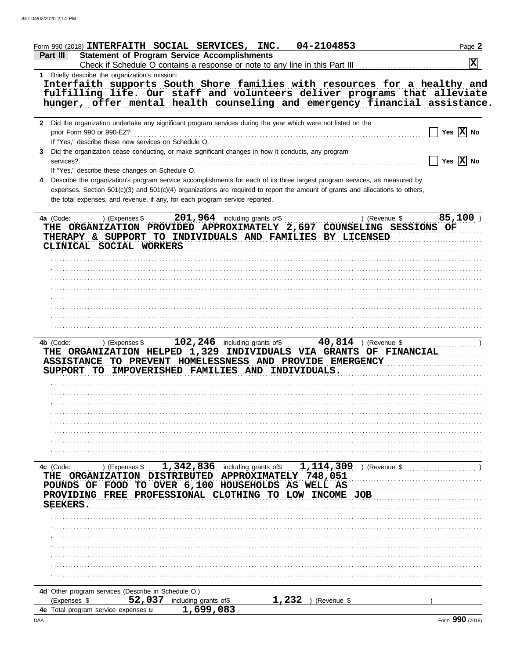| 04-2104853<br>Form 990 (2018) INTERFAITH SOCIAL SERVICES, INC.                                                                                       | Page 2                |
|------------------------------------------------------------------------------------------------------------------------------------------------------|-----------------------|
| <b>Statement of Program Service Accomplishments</b><br>Part III<br>Check if Schedule O contains a response or note to any line in this Part III      | $\mathbf{x}$          |
| 1 Briefly describe the organization's mission:                                                                                                       |                       |
| Interfaith supports South Shore families with resources for a healthy and                                                                            |                       |
| fulfilling life. Our staff and volunteers deliver programs that alleviate                                                                            |                       |
| hunger, offer mental health counseling and emergency financial assistance                                                                            |                       |
|                                                                                                                                                      |                       |
| 2 Did the organization undertake any significant program services during the year which were not listed on the                                       |                       |
| prior Form 990 or 990-EZ?                                                                                                                            | Yes $\overline{X}$ No |
| If "Yes," describe these new services on Schedule O.                                                                                                 |                       |
| Did the organization cease conducting, or make significant changes in how it conducts, any program<br>3                                              |                       |
|                                                                                                                                                      | Yes $\overline{X}$ No |
| If "Yes," describe these changes on Schedule O.                                                                                                      |                       |
| Describe the organization's program service accomplishments for each of its three largest program services, as measured by<br>4                      |                       |
| expenses. Section 501(c)(3) and 501(c)(4) organizations are required to report the amount of grants and allocations to others,                       |                       |
| the total expenses, and revenue, if any, for each program service reported.                                                                          |                       |
|                                                                                                                                                      |                       |
| ) (Expenses \$ $201,964$ including grants of\$<br>) (Revenue \$<br>4a (Code:<br>THE ORGANIZATION PROVIDED APPROXIMATELY 2,697 COUNSELING SESSIONS OF | 85,100                |
| THERAPY & SUPPORT TO INDIVIDUALS AND FAMILIES BY LICENSED                                                                                            |                       |
| CLINICAL SOCIAL WORKERS                                                                                                                              |                       |
|                                                                                                                                                      |                       |
|                                                                                                                                                      |                       |
|                                                                                                                                                      |                       |
|                                                                                                                                                      |                       |
|                                                                                                                                                      |                       |
|                                                                                                                                                      |                       |
|                                                                                                                                                      |                       |
|                                                                                                                                                      |                       |
|                                                                                                                                                      |                       |
|                                                                                                                                                      |                       |
| THE ORGANIZATION HELPED 1,329 INDIVIDUALS VIA GRANTS OF FINANCIAL                                                                                    |                       |
| ASSISTANCE TO PREVENT HOMELESSNESS AND PROVIDE EMERGENCY<br>SUPPORT TO IMPOVERISHED FAMILIES AND INDIVIDUALS.                                        |                       |
|                                                                                                                                                      |                       |
|                                                                                                                                                      |                       |
|                                                                                                                                                      |                       |
|                                                                                                                                                      |                       |
|                                                                                                                                                      |                       |
|                                                                                                                                                      |                       |
|                                                                                                                                                      |                       |
|                                                                                                                                                      |                       |
|                                                                                                                                                      |                       |
| ) (Expenses \$ $1,342,836$ including grants of \$ $1,114,309$ ) (Revenue \$<br>4c (Code:                                                             |                       |
| THE ORGANIZATION DISTRIBUTED APPROXIMATELY 748,051                                                                                                   |                       |
| POUNDS OF FOOD TO OVER 6,100 HOUSEHOLDS AS WELL AS                                                                                                   |                       |
| PROVIDING FREE PROFESSIONAL CLOTHING<br>TO LOW INCOME JOB                                                                                            |                       |
| <b>SEEKERS.</b>                                                                                                                                      |                       |
|                                                                                                                                                      |                       |
|                                                                                                                                                      |                       |
|                                                                                                                                                      |                       |
|                                                                                                                                                      |                       |
|                                                                                                                                                      |                       |
|                                                                                                                                                      |                       |
|                                                                                                                                                      |                       |
| 4d Other program services (Describe in Schedule O.)                                                                                                  |                       |
| $1,232$ ) (Revenue \$<br>52,037 including grants of\$<br>(Expenses \$                                                                                |                       |
| 1.699.083<br>4e Total program service expenses u                                                                                                     |                       |

 $\bullet$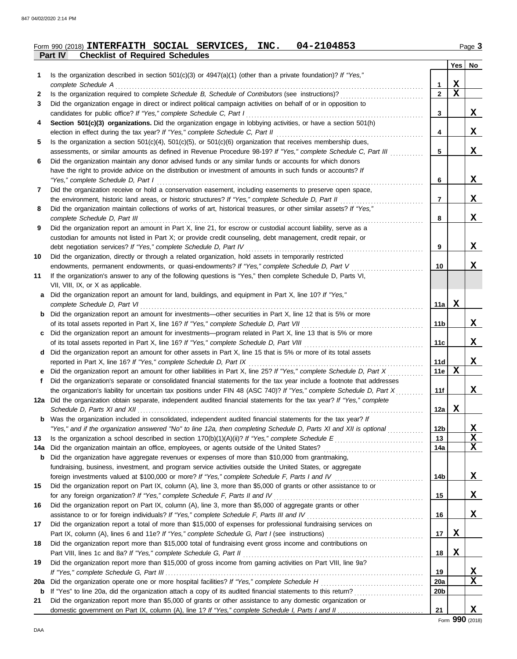| Form 990 (2018) INTERFAITH SOCIAL SERVICES, INC. 04-2104853 |  |  | Page 3 |
|-------------------------------------------------------------|--|--|--------|
| <b>Part IV</b> Checklist of Required Schedules              |  |  |        |

|     |                                                                                                                         |                 | Yes         | No          |
|-----|-------------------------------------------------------------------------------------------------------------------------|-----------------|-------------|-------------|
| 1   | Is the organization described in section $501(c)(3)$ or $4947(a)(1)$ (other than a private foundation)? If "Yes,"       |                 |             |             |
|     | complete Schedule A                                                                                                     | 1               | X           |             |
| 2   | Is the organization required to complete Schedule B, Schedule of Contributors (see instructions)?                       | $\overline{2}$  | $\mathbf X$ |             |
| 3   | Did the organization engage in direct or indirect political campaign activities on behalf of or in opposition to        |                 |             |             |
|     | candidates for public office? If "Yes," complete Schedule C, Part I                                                     | 3               |             | X           |
| 4   | Section 501(c)(3) organizations. Did the organization engage in lobbying activities, or have a section 501(h)           |                 |             |             |
|     |                                                                                                                         | 4               |             | X           |
| 5   | Is the organization a section $501(c)(4)$ , $501(c)(5)$ , or $501(c)(6)$ organization that receives membership dues,    |                 |             |             |
|     | assessments, or similar amounts as defined in Revenue Procedure 98-19? If "Yes," complete Schedule C, Part III          | 5               |             | X           |
| 6   | Did the organization maintain any donor advised funds or any similar funds or accounts for which donors                 |                 |             |             |
|     | have the right to provide advice on the distribution or investment of amounts in such funds or accounts? If             |                 |             |             |
|     | "Yes," complete Schedule D, Part I                                                                                      | 6               |             | X           |
| 7   | Did the organization receive or hold a conservation easement, including easements to preserve open space,               |                 |             | X           |
|     | the environment, historic land areas, or historic structures? If "Yes," complete Schedule D, Part II                    | 7               |             |             |
| 8   | Did the organization maintain collections of works of art, historical treasures, or other similar assets? If "Yes,"     |                 |             | X           |
| 9   | Did the organization report an amount in Part X, line 21, for escrow or custodial account liability, serve as a         | 8               |             |             |
|     |                                                                                                                         |                 |             |             |
|     | custodian for amounts not listed in Part X; or provide credit counseling, debt management, credit repair, or            | 9               |             | X           |
| 10  | Did the organization, directly or through a related organization, hold assets in temporarily restricted                 |                 |             |             |
|     | endowments, permanent endowments, or quasi-endowments? If "Yes," complete Schedule D, Part V                            | 10              |             | X           |
| 11  | If the organization's answer to any of the following questions is "Yes," then complete Schedule D, Parts VI,            |                 |             |             |
|     | VII, VIII, IX, or X as applicable.                                                                                      |                 |             |             |
|     | a Did the organization report an amount for land, buildings, and equipment in Part X, line 10? If "Yes,"                |                 |             |             |
|     |                                                                                                                         | 11a             | X           |             |
|     | <b>b</b> Did the organization report an amount for investments—other securities in Part X, line 12 that is 5% or more   |                 |             |             |
|     |                                                                                                                         | 11b             |             | X           |
|     | c Did the organization report an amount for investments—program related in Part X, line 13 that is 5% or more           |                 |             |             |
|     |                                                                                                                         | 11c             |             | X           |
|     | d Did the organization report an amount for other assets in Part X, line 15 that is 5% or more of its total assets      |                 |             |             |
|     |                                                                                                                         | 11d             |             | X           |
|     | e Did the organization report an amount for other liabilities in Part X, line 25? If "Yes," complete Schedule D, Part X | 11e             | $\mathbf x$ |             |
| f   | Did the organization's separate or consolidated financial statements for the tax year include a footnote that addresses |                 |             |             |
|     | the organization's liability for uncertain tax positions under FIN 48 (ASC 740)? If "Yes," complete Schedule D, Part X  | 11f             |             | X           |
|     | 12a Did the organization obtain separate, independent audited financial statements for the tax year? If "Yes," complete |                 |             |             |
|     |                                                                                                                         | 12a             | x           |             |
|     | Was the organization included in consolidated, independent audited financial statements for the tax year? If            |                 |             |             |
|     | "Yes," and if the organization answered "No" to line 12a, then completing Schedule D, Parts XI and XII is optional      | 12b             |             | X           |
| 13  |                                                                                                                         | 13              |             | X           |
| 14a |                                                                                                                         | 14a             |             | $\mathbf X$ |
| b   | Did the organization have aggregate revenues or expenses of more than \$10,000 from grantmaking,                        |                 |             |             |
|     | fundraising, business, investment, and program service activities outside the United States, or aggregate               |                 |             |             |
|     |                                                                                                                         | 14b             |             | X           |
| 15  | Did the organization report on Part IX, column (A), line 3, more than \$5,000 of grants or other assistance to or       |                 |             |             |
|     |                                                                                                                         | 15              |             | X           |
| 16  | Did the organization report on Part IX, column (A), line 3, more than \$5,000 of aggregate grants or other              |                 |             |             |
|     |                                                                                                                         | 16              |             | X           |
| 17  | Did the organization report a total of more than \$15,000 of expenses for professional fundraising services on          |                 |             |             |
|     |                                                                                                                         | 17              | X           |             |
| 18  | Did the organization report more than \$15,000 total of fundraising event gross income and contributions on             |                 |             |             |
|     |                                                                                                                         | 18              | X           |             |
| 19  | Did the organization report more than \$15,000 of gross income from gaming activities on Part VIII, line 9a?            |                 |             |             |
|     |                                                                                                                         | 19              |             | X           |
| 20a | Did the organization operate one or more hospital facilities? If "Yes," complete Schedule H                             | <b>20a</b>      |             | х           |
| b   |                                                                                                                         | 20 <sub>b</sub> |             |             |
| 21  | Did the organization report more than \$5,000 of grants or other assistance to any domestic organization or             |                 |             |             |
|     |                                                                                                                         | 21              |             | X           |

Form **990** (2018)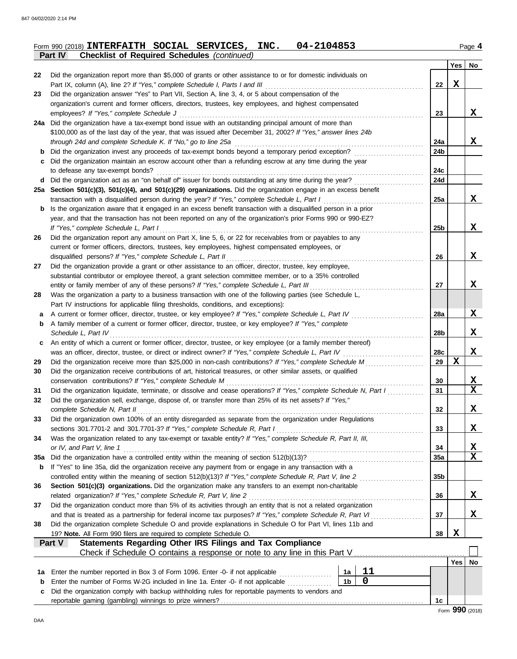|          | 04-2104853<br>Form 990 (2018) INTERFAITH SOCIAL SERVICES, INC.                                                                                                                                                             |                 |             | Page 4      |
|----------|----------------------------------------------------------------------------------------------------------------------------------------------------------------------------------------------------------------------------|-----------------|-------------|-------------|
|          | Part IV<br><b>Checklist of Required Schedules (continued)</b>                                                                                                                                                              |                 |             |             |
|          |                                                                                                                                                                                                                            |                 | Yes         | No          |
| 22       | Did the organization report more than \$5,000 of grants or other assistance to or for domestic individuals on                                                                                                              |                 |             |             |
|          | Part IX, column (A), line 2? If "Yes," complete Schedule I, Parts I and III                                                                                                                                                | 22              | X           |             |
| 23       | Did the organization answer "Yes" to Part VII, Section A, line 3, 4, or 5 about compensation of the                                                                                                                        |                 |             |             |
|          | organization's current and former officers, directors, trustees, key employees, and highest compensated                                                                                                                    |                 |             | X           |
|          | employees? If "Yes," complete Schedule J                                                                                                                                                                                   | 23              |             |             |
|          | 24a Did the organization have a tax-exempt bond issue with an outstanding principal amount of more than<br>\$100,000 as of the last day of the year, that was issued after December 31, 2002? If "Yes," answer lines 24b   |                 |             |             |
|          | through 24d and complete Schedule K. If "No," go to line 25a                                                                                                                                                               | 24a             |             | X           |
| b        | Did the organization invest any proceeds of tax-exempt bonds beyond a temporary period exception?                                                                                                                          | 24b             |             |             |
| с        | Did the organization maintain an escrow account other than a refunding escrow at any time during the year                                                                                                                  |                 |             |             |
|          | to defease any tax-exempt bonds?                                                                                                                                                                                           | 24c             |             |             |
|          | d Did the organization act as an "on behalf of" issuer for bonds outstanding at any time during the year?                                                                                                                  | 24d             |             |             |
|          | 25a Section 501(c)(3), 501(c)(4), and 501(c)(29) organizations. Did the organization engage in an excess benefit                                                                                                           |                 |             |             |
|          | transaction with a disqualified person during the year? If "Yes," complete Schedule L, Part I                                                                                                                              | 25a             |             | X           |
| b        | Is the organization aware that it engaged in an excess benefit transaction with a disqualified person in a prior                                                                                                           |                 |             |             |
|          | year, and that the transaction has not been reported on any of the organization's prior Forms 990 or 990-EZ?                                                                                                               |                 |             |             |
|          | If "Yes," complete Schedule L, Part I                                                                                                                                                                                      | 25 <sub>b</sub> |             | X           |
| 26       | Did the organization report any amount on Part X, line 5, 6, or 22 for receivables from or payables to any                                                                                                                 |                 |             |             |
|          | current or former officers, directors, trustees, key employees, highest compensated employees, or                                                                                                                          |                 |             |             |
|          | disqualified persons? If "Yes," complete Schedule L, Part II                                                                                                                                                               | 26              |             | X           |
| 27       | Did the organization provide a grant or other assistance to an officer, director, trustee, key employee,                                                                                                                   |                 |             |             |
|          | substantial contributor or employee thereof, a grant selection committee member, or to a 35% controlled                                                                                                                    |                 |             |             |
|          | entity or family member of any of these persons? If "Yes," complete Schedule L, Part III                                                                                                                                   | 27              |             | X           |
| 28       | Was the organization a party to a business transaction with one of the following parties (see Schedule L,                                                                                                                  |                 |             |             |
|          | Part IV instructions for applicable filing thresholds, conditions, and exceptions):                                                                                                                                        |                 |             |             |
| a        | A current or former officer, director, trustee, or key employee? If "Yes," complete Schedule L, Part IV                                                                                                                    | 28a             |             | X           |
| b        | A family member of a current or former officer, director, trustee, or key employee? If "Yes," complete                                                                                                                     |                 |             |             |
|          | Schedule L, Part IV                                                                                                                                                                                                        | 28b             |             | X           |
| c        | An entity of which a current or former officer, director, trustee, or key employee (or a family member thereof)                                                                                                            |                 |             |             |
|          | was an officer, director, trustee, or direct or indirect owner? If "Yes," complete Schedule L, Part IV                                                                                                                     | 28c             | $\mathbf x$ | X           |
| 29<br>30 | Did the organization receive more than \$25,000 in non-cash contributions? If "Yes," complete Schedule M<br>Did the organization receive contributions of art, historical treasures, or other similar assets, or qualified | 29              |             |             |
|          | conservation contributions? If "Yes," complete Schedule M                                                                                                                                                                  | 30              |             | X           |
| 31       | Did the organization liquidate, terminate, or dissolve and cease operations? If "Yes," complete Schedule N, Part I                                                                                                         | 31              |             | $\mathbf x$ |
| 32       | Did the organization sell, exchange, dispose of, or transfer more than 25% of its net assets? If "Yes,"                                                                                                                    |                 |             |             |
|          | complete Schedule N, Part II                                                                                                                                                                                               | 32              |             | X           |
| 33       | Did the organization own 100% of an entity disregarded as separate from the organization under Regulations                                                                                                                 |                 |             |             |
|          | sections 301.7701-2 and 301.7701-3? If "Yes," complete Schedule R, Part I                                                                                                                                                  | 33              |             | X           |
| 34       | Was the organization related to any tax-exempt or taxable entity? If "Yes," complete Schedule R, Part II, III,                                                                                                             |                 |             |             |
|          | or IV, and Part V, line 1                                                                                                                                                                                                  | 34              |             | X           |
| 35a      | Did the organization have a controlled entity within the meaning of section 512(b)(13)?                                                                                                                                    | 35a             |             | X           |
| b        | If "Yes" to line 35a, did the organization receive any payment from or engage in any transaction with a                                                                                                                    |                 |             |             |
|          | controlled entity within the meaning of section 512(b)(13)? If "Yes," complete Schedule R, Part V, line 2                                                                                                                  | 35 <sub>b</sub> |             |             |
| 36       | Section 501(c)(3) organizations. Did the organization make any transfers to an exempt non-charitable                                                                                                                       |                 |             |             |
|          | related organization? If "Yes," complete Schedule R, Part V, line 2                                                                                                                                                        | 36              |             | X           |
| 37       | Did the organization conduct more than 5% of its activities through an entity that is not a related organization                                                                                                           |                 |             |             |
|          | and that is treated as a partnership for federal income tax purposes? If "Yes," complete Schedule R, Part VI                                                                                                               | 37              |             | X           |
| 38       | Did the organization complete Schedule O and provide explanations in Schedule O for Part VI, lines 11b and                                                                                                                 |                 |             |             |
|          | 19? Note. All Form 990 filers are required to complete Schedule O.                                                                                                                                                         | 38              | $\mathbf x$ |             |
|          | Statements Regarding Other IRS Filings and Tax Compliance<br>Part V                                                                                                                                                        |                 |             |             |
|          |                                                                                                                                                                                                                            |                 |             |             |
|          |                                                                                                                                                                                                                            |                 | Yes         | No          |
| 1a       | 11<br>Enter the number reported in Box 3 of Form 1096. Enter -0- if not applicable <i>minimization</i><br>1a                                                                                                               |                 |             |             |
| b        | $\mathbf 0$<br>1 <sub>b</sub><br>Enter the number of Forms W-2G included in line 1a. Enter -0- if not applicable                                                                                                           |                 |             |             |
| c        | Did the organization comply with backup withholding rules for reportable payments to vendors and                                                                                                                           |                 |             |             |
|          |                                                                                                                                                                                                                            | 1c              |             |             |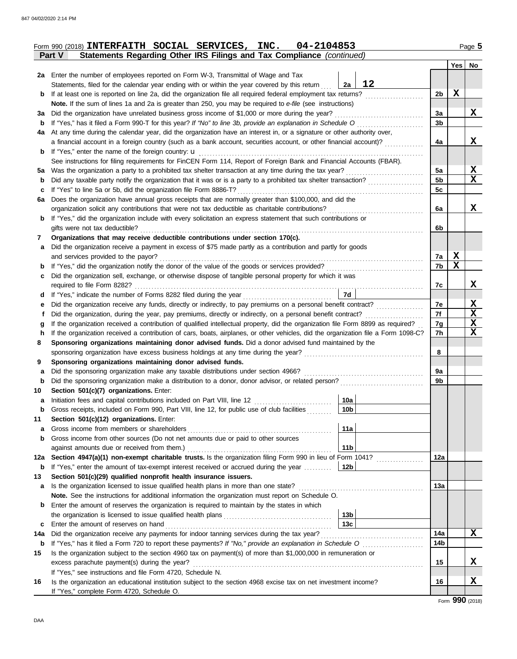|             | Form 990 (2018) INTERFAITH SOCIAL SERVICES, INC.<br>04-2104853                                                                     |                      |             | Page 5      |  |  |  |  |  |  |
|-------------|------------------------------------------------------------------------------------------------------------------------------------|----------------------|-------------|-------------|--|--|--|--|--|--|
|             | Statements Regarding Other IRS Filings and Tax Compliance (continued)<br>Part V                                                    |                      |             |             |  |  |  |  |  |  |
|             |                                                                                                                                    |                      |             | Yes   No    |  |  |  |  |  |  |
|             | 2a Enter the number of employees reported on Form W-3, Transmittal of Wage and Tax                                                 |                      |             |             |  |  |  |  |  |  |
|             | 12<br>Statements, filed for the calendar year ending with or within the year covered by this return<br>2a                          |                      | $\mathbf x$ |             |  |  |  |  |  |  |
| b           | Note. If the sum of lines 1a and 2a is greater than 250, you may be required to e-file (see instructions)                          | 2 <sub>b</sub>       |             |             |  |  |  |  |  |  |
|             |                                                                                                                                    |                      |             |             |  |  |  |  |  |  |
| за<br>b     | If "Yes," has it filed a Form 990-T for this year? If "No" to line 3b, provide an explanation in Schedule O                        | 3a<br>3 <sub>b</sub> |             | X           |  |  |  |  |  |  |
| 4a          | At any time during the calendar year, did the organization have an interest in, or a signature or other authority over,            |                      |             |             |  |  |  |  |  |  |
|             | a financial account in a foreign country (such as a bank account, securities account, or other financial account)?                 | 4a                   |             | X           |  |  |  |  |  |  |
|             |                                                                                                                                    |                      |             |             |  |  |  |  |  |  |
|             | See instructions for filing requirements for FinCEN Form 114, Report of Foreign Bank and Financial Accounts (FBAR).                |                      |             |             |  |  |  |  |  |  |
| 5а          |                                                                                                                                    | 5a                   |             | X           |  |  |  |  |  |  |
| b           |                                                                                                                                    | 5 <sub>b</sub>       |             | X           |  |  |  |  |  |  |
| c           | If "Yes" to line 5a or 5b, did the organization file Form 8886-T?                                                                  | 5c                   |             |             |  |  |  |  |  |  |
| 6a          | Does the organization have annual gross receipts that are normally greater than \$100,000, and did the                             |                      |             |             |  |  |  |  |  |  |
|             | organization solicit any contributions that were not tax deductible as charitable contributions?                                   | 6a                   |             | X           |  |  |  |  |  |  |
| b           | If "Yes," did the organization include with every solicitation an express statement that such contributions or                     |                      |             |             |  |  |  |  |  |  |
|             | gifts were not tax deductible?                                                                                                     | 6b                   |             |             |  |  |  |  |  |  |
| 7           | Organizations that may receive deductible contributions under section 170(c).                                                      |                      |             |             |  |  |  |  |  |  |
| a           | Did the organization receive a payment in excess of \$75 made partly as a contribution and partly for goods                        |                      |             |             |  |  |  |  |  |  |
|             | and services provided to the payor?                                                                                                | 7a                   | X           |             |  |  |  |  |  |  |
| b           |                                                                                                                                    | 7b                   | $\mathbf x$ |             |  |  |  |  |  |  |
| c           | Did the organization sell, exchange, or otherwise dispose of tangible personal property for which it was                           |                      |             |             |  |  |  |  |  |  |
|             |                                                                                                                                    | 7c                   |             | X           |  |  |  |  |  |  |
| d           | 7d                                                                                                                                 | 7e                   |             | X           |  |  |  |  |  |  |
| е           | Did the organization, during the year, pay premiums, directly or indirectly, on a personal benefit contract?                       | 7f                   |             | $\mathbf X$ |  |  |  |  |  |  |
| g           | If the organization received a contribution of qualified intellectual property, did the organization file Form 8899 as required?   | 7g                   |             | $\mathbf X$ |  |  |  |  |  |  |
| h           | If the organization received a contribution of cars, boats, airplanes, or other vehicles, did the organization file a Form 1098-C? | 7h                   |             | $\mathbf X$ |  |  |  |  |  |  |
| 8           | Sponsoring organizations maintaining donor advised funds. Did a donor advised fund maintained by the                               |                      |             |             |  |  |  |  |  |  |
|             |                                                                                                                                    | 8                    |             |             |  |  |  |  |  |  |
| 9           | Sponsoring organizations maintaining donor advised funds.                                                                          |                      |             |             |  |  |  |  |  |  |
| a           | Did the sponsoring organization make any taxable distributions under section 4966?                                                 | 9a                   |             |             |  |  |  |  |  |  |
| $\mathbf b$ | Did the sponsoring organization make a distribution to a donor, donor advisor, or related person?                                  | 9b                   |             |             |  |  |  |  |  |  |
| 10          | Section 501(c)(7) organizations. Enter:                                                                                            |                      |             |             |  |  |  |  |  |  |
| а           | 10a<br>Initiation fees and capital contributions included on Part VIII, line 12                                                    |                      |             |             |  |  |  |  |  |  |
| $\mathbf b$ | Gross receipts, included on Form 990, Part VIII, line 12, for public use of club facilities<br>10b                                 |                      |             |             |  |  |  |  |  |  |
| 11          | Section 501(c)(12) organizations. Enter:                                                                                           |                      |             |             |  |  |  |  |  |  |
| a           | 11a<br>Gross income from members or shareholders                                                                                   |                      |             |             |  |  |  |  |  |  |
| b           | Gross income from other sources (Do not net amounts due or paid to other sources                                                   |                      |             |             |  |  |  |  |  |  |
|             | 11 <sub>b</sub><br>against amounts due or received from them.)                                                                     |                      |             |             |  |  |  |  |  |  |
| 12a         | Section 4947(a)(1) non-exempt charitable trusts. Is the organization filing Form 990 in lieu of Form 1041?                         | 12a                  |             |             |  |  |  |  |  |  |
| $\mathbf b$ | If "Yes," enter the amount of tax-exempt interest received or accrued during the year<br>12b                                       |                      |             |             |  |  |  |  |  |  |
| 13          | Section 501(c)(29) qualified nonprofit health insurance issuers.                                                                   |                      |             |             |  |  |  |  |  |  |
| a           | Is the organization licensed to issue qualified health plans in more than one state?                                               | 13a                  |             |             |  |  |  |  |  |  |
| b           | Note. See the instructions for additional information the organization must report on Schedule O.                                  |                      |             |             |  |  |  |  |  |  |
|             | Enter the amount of reserves the organization is required to maintain by the states in which<br>13 <sub>b</sub>                    |                      |             |             |  |  |  |  |  |  |
| c           | 13 <sub>c</sub><br>Enter the amount of reserves on hand                                                                            |                      |             |             |  |  |  |  |  |  |
| 14a         |                                                                                                                                    | 14a                  |             | X           |  |  |  |  |  |  |
| $\mathbf b$ |                                                                                                                                    | 14 <sub>b</sub>      |             |             |  |  |  |  |  |  |
| 15          | Is the organization subject to the section 4960 tax on payment(s) of more than \$1,000,000 in remuneration or                      |                      |             |             |  |  |  |  |  |  |
|             | excess parachute payment(s) during the year?                                                                                       | 15                   |             | X           |  |  |  |  |  |  |
|             | If "Yes," see instructions and file Form 4720, Schedule N.                                                                         |                      |             |             |  |  |  |  |  |  |
| 16          | Is the organization an educational institution subject to the section 4968 excise tax on net investment income?                    | 16                   |             | X           |  |  |  |  |  |  |
|             | If "Yes," complete Form 4720, Schedule O.                                                                                          |                      |             |             |  |  |  |  |  |  |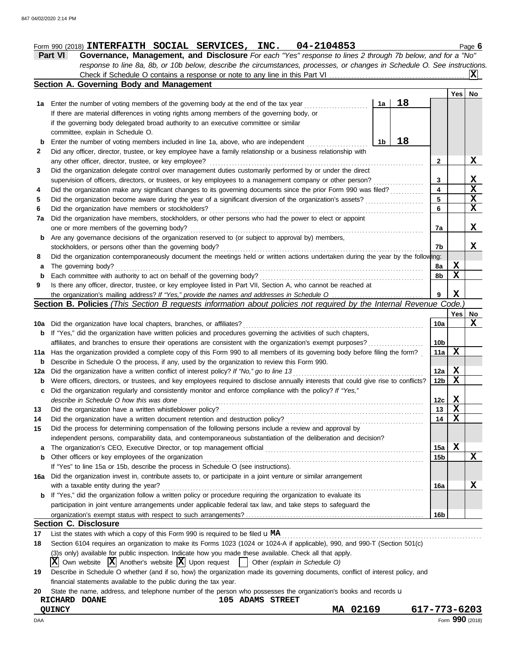# **Form 990 (2018) INTERFAITH SOCIAL SERVICES, INC. 04-2104853** Page 6

| <b>Part VI</b> | <b>Governance, Management, and Disclosure</b> For each "Yes" response to lines 2 through 7b below, and for a "No"         |  |
|----------------|---------------------------------------------------------------------------------------------------------------------------|--|
|                | response to line 8a, 8b, or 10b below, describe the circumstances, processes, or changes in Schedule O. See instructions. |  |
|                |                                                                                                                           |  |

| 18<br>Enter the number of voting members of the governing body at the end of the tax year<br>1a<br>1а<br>If there are material differences in voting rights among members of the governing body, or<br>if the governing body delegated broad authority to an executive committee or similar<br>committee, explain in Schedule O.<br>18<br>Enter the number of voting members included in line 1a, above, who are independent<br>1b<br>b<br>Did any officer, director, trustee, or key employee have a family relationship or a business relationship with<br>any other officer, director, trustee, or key employee?<br>2<br>Did the organization delegate control over management duties customarily performed by or under the direct<br>X<br>supervision of officers, directors, or trustees, or key employees to a management company or other person?<br>3<br>4<br>Did the organization make any significant changes to its governing documents since the prior Form 990 was filed?<br>$\overline{\mathbf{X}}$<br>5<br>Did the organization become aware during the year of a significant diversion of the organization's assets?<br>$\overline{\mathbf{x}}$<br>6<br>Did the organization have members or stockholders?<br>Did the organization have members, stockholders, or other persons who had the power to elect or appoint<br>one or more members of the governing body?<br>7a<br>Are any governance decisions of the organization reserved to (or subject to approval by) members,<br>b<br>stockholders, or persons other than the governing body?<br>7b<br>Did the organization contemporaneously document the meetings held or written actions undertaken during the year by the following:<br>X<br>The governing body?<br>8a<br>а<br>X<br>Each committee with authority to act on behalf of the governing body?<br>8b<br>$\mathbf b$<br>Is there any officer, director, trustee, or key employee listed in Part VII, Section A, who cannot be reached at<br>X<br>9<br>Section B. Policies (This Section B requests information about policies not required by the Internal Revenue Code.<br>Yes  <br>10a<br>Did the organization have local chapters, branches, or affiliates?<br>If "Yes," did the organization have written policies and procedures governing the activities of such chapters,<br>b<br>10 <sub>b</sub><br>affiliates, and branches to ensure their operations are consistent with the organization's exempt purposes?<br>X<br>Has the organization provided a complete copy of this Form 990 to all members of its governing body before filing the form?<br>11a<br>Describe in Schedule O the process, if any, used by the organization to review this Form 990.<br>b<br>$\mathbf x$<br>Did the organization have a written conflict of interest policy? If "No," go to line 13<br>12a<br>X<br>Were officers, directors, or trustees, and key employees required to disclose annually interests that could give rise to conflicts?<br>12 <sub>b</sub><br>b<br>Did the organization regularly and consistently monitor and enforce compliance with the policy? If "Yes,"<br>c<br>Х<br>describe in Schedule O how this was done<br>12c<br>$\mathbf x$<br>Did the organization have a written whistleblower policy?<br>13<br>$\mathbf x$<br>Did the organization have a written document retention and destruction policy?<br>14<br>Did the process for determining compensation of the following persons include a review and approval by<br>independent persons, comparability data, and contemporaneous substantiation of the deliberation and decision?<br>X<br>15a<br>а<br>Other officers or key employees of the organization<br>15 <sub>b</sub><br>b<br>If "Yes" to line 15a or 15b, describe the process in Schedule O (see instructions).<br>Did the organization invest in, contribute assets to, or participate in a joint venture or similar arrangement<br>with a taxable entity during the year?<br>16a<br>If "Yes," did the organization follow a written policy or procedure requiring the organization to evaluate its<br>b<br>participation in joint venture arrangements under applicable federal tax law, and take steps to safeguard the<br>16b<br><b>Section C. Disclosure</b><br>List the states with which a copy of this Form 990 is required to be filed $\mathbf{u} \mathbf{M}$ A<br>Section 6104 requires an organization to make its Forms 1023 (1024 or 1024-A if applicable), 990, and 990-T (Section 501(c)<br>(3)s only) available for public inspection. Indicate how you made these available. Check all that apply. |     | Section A. Governing Body and Management |  |     |                         |
|----------------------------------------------------------------------------------------------------------------------------------------------------------------------------------------------------------------------------------------------------------------------------------------------------------------------------------------------------------------------------------------------------------------------------------------------------------------------------------------------------------------------------------------------------------------------------------------------------------------------------------------------------------------------------------------------------------------------------------------------------------------------------------------------------------------------------------------------------------------------------------------------------------------------------------------------------------------------------------------------------------------------------------------------------------------------------------------------------------------------------------------------------------------------------------------------------------------------------------------------------------------------------------------------------------------------------------------------------------------------------------------------------------------------------------------------------------------------------------------------------------------------------------------------------------------------------------------------------------------------------------------------------------------------------------------------------------------------------------------------------------------------------------------------------------------------------------------------------------------------------------------------------------------------------------------------------------------------------------------------------------------------------------------------------------------------------------------------------------------------------------------------------------------------------------------------------------------------------------------------------------------------------------------------------------------------------------------------------------------------------------------------------------------------------------------------------------------------------------------------------------------------------------------------------------------------------------------------------------------------------------------------------------------------------------------------------------------------------------------------------------------------------------------------------------------------------------------------------------------------------------------------------------------------------------------------------------------------------------------------------------------------------------------------------------------------------------------------------------------------------------------------------------------------------------------------------------------------------------------------------------------------------------------------------------------------------------------------------------------------------------------------------------------------------------------------------------------------------------------------------------------------------------------------------------------------------------------------------------------------------------------------------------------------------------------------------------------------------------------------------------------------------------------------------------------------------------------------------------------------------------------------------------------------------------------------------------------------------------------------------------------------------------------------------------------------------------------------------------------------------------------------------------------------------------------------------------------------------------------------------------------------------------------------------------------------------------------------------------------------------------------------------------------------------------------------------------------------------------------------------------------------------------------------------------------------------------------|-----|------------------------------------------|--|-----|-------------------------|
|                                                                                                                                                                                                                                                                                                                                                                                                                                                                                                                                                                                                                                                                                                                                                                                                                                                                                                                                                                                                                                                                                                                                                                                                                                                                                                                                                                                                                                                                                                                                                                                                                                                                                                                                                                                                                                                                                                                                                                                                                                                                                                                                                                                                                                                                                                                                                                                                                                                                                                                                                                                                                                                                                                                                                                                                                                                                                                                                                                                                                                                                                                                                                                                                                                                                                                                                                                                                                                                                                                                                                                                                                                                                                                                                                                                                                                                                                                                                                                                                                                                                                                                                                                                                                                                                                                                                                                                                                                                                                                                                                                                        |     |                                          |  | Yes | No                      |
|                                                                                                                                                                                                                                                                                                                                                                                                                                                                                                                                                                                                                                                                                                                                                                                                                                                                                                                                                                                                                                                                                                                                                                                                                                                                                                                                                                                                                                                                                                                                                                                                                                                                                                                                                                                                                                                                                                                                                                                                                                                                                                                                                                                                                                                                                                                                                                                                                                                                                                                                                                                                                                                                                                                                                                                                                                                                                                                                                                                                                                                                                                                                                                                                                                                                                                                                                                                                                                                                                                                                                                                                                                                                                                                                                                                                                                                                                                                                                                                                                                                                                                                                                                                                                                                                                                                                                                                                                                                                                                                                                                                        |     |                                          |  |     |                         |
|                                                                                                                                                                                                                                                                                                                                                                                                                                                                                                                                                                                                                                                                                                                                                                                                                                                                                                                                                                                                                                                                                                                                                                                                                                                                                                                                                                                                                                                                                                                                                                                                                                                                                                                                                                                                                                                                                                                                                                                                                                                                                                                                                                                                                                                                                                                                                                                                                                                                                                                                                                                                                                                                                                                                                                                                                                                                                                                                                                                                                                                                                                                                                                                                                                                                                                                                                                                                                                                                                                                                                                                                                                                                                                                                                                                                                                                                                                                                                                                                                                                                                                                                                                                                                                                                                                                                                                                                                                                                                                                                                                                        |     |                                          |  |     |                         |
|                                                                                                                                                                                                                                                                                                                                                                                                                                                                                                                                                                                                                                                                                                                                                                                                                                                                                                                                                                                                                                                                                                                                                                                                                                                                                                                                                                                                                                                                                                                                                                                                                                                                                                                                                                                                                                                                                                                                                                                                                                                                                                                                                                                                                                                                                                                                                                                                                                                                                                                                                                                                                                                                                                                                                                                                                                                                                                                                                                                                                                                                                                                                                                                                                                                                                                                                                                                                                                                                                                                                                                                                                                                                                                                                                                                                                                                                                                                                                                                                                                                                                                                                                                                                                                                                                                                                                                                                                                                                                                                                                                                        |     |                                          |  |     |                         |
|                                                                                                                                                                                                                                                                                                                                                                                                                                                                                                                                                                                                                                                                                                                                                                                                                                                                                                                                                                                                                                                                                                                                                                                                                                                                                                                                                                                                                                                                                                                                                                                                                                                                                                                                                                                                                                                                                                                                                                                                                                                                                                                                                                                                                                                                                                                                                                                                                                                                                                                                                                                                                                                                                                                                                                                                                                                                                                                                                                                                                                                                                                                                                                                                                                                                                                                                                                                                                                                                                                                                                                                                                                                                                                                                                                                                                                                                                                                                                                                                                                                                                                                                                                                                                                                                                                                                                                                                                                                                                                                                                                                        |     |                                          |  |     |                         |
|                                                                                                                                                                                                                                                                                                                                                                                                                                                                                                                                                                                                                                                                                                                                                                                                                                                                                                                                                                                                                                                                                                                                                                                                                                                                                                                                                                                                                                                                                                                                                                                                                                                                                                                                                                                                                                                                                                                                                                                                                                                                                                                                                                                                                                                                                                                                                                                                                                                                                                                                                                                                                                                                                                                                                                                                                                                                                                                                                                                                                                                                                                                                                                                                                                                                                                                                                                                                                                                                                                                                                                                                                                                                                                                                                                                                                                                                                                                                                                                                                                                                                                                                                                                                                                                                                                                                                                                                                                                                                                                                                                                        | 2   |                                          |  |     |                         |
|                                                                                                                                                                                                                                                                                                                                                                                                                                                                                                                                                                                                                                                                                                                                                                                                                                                                                                                                                                                                                                                                                                                                                                                                                                                                                                                                                                                                                                                                                                                                                                                                                                                                                                                                                                                                                                                                                                                                                                                                                                                                                                                                                                                                                                                                                                                                                                                                                                                                                                                                                                                                                                                                                                                                                                                                                                                                                                                                                                                                                                                                                                                                                                                                                                                                                                                                                                                                                                                                                                                                                                                                                                                                                                                                                                                                                                                                                                                                                                                                                                                                                                                                                                                                                                                                                                                                                                                                                                                                                                                                                                                        |     |                                          |  |     | X                       |
|                                                                                                                                                                                                                                                                                                                                                                                                                                                                                                                                                                                                                                                                                                                                                                                                                                                                                                                                                                                                                                                                                                                                                                                                                                                                                                                                                                                                                                                                                                                                                                                                                                                                                                                                                                                                                                                                                                                                                                                                                                                                                                                                                                                                                                                                                                                                                                                                                                                                                                                                                                                                                                                                                                                                                                                                                                                                                                                                                                                                                                                                                                                                                                                                                                                                                                                                                                                                                                                                                                                                                                                                                                                                                                                                                                                                                                                                                                                                                                                                                                                                                                                                                                                                                                                                                                                                                                                                                                                                                                                                                                                        |     |                                          |  |     |                         |
|                                                                                                                                                                                                                                                                                                                                                                                                                                                                                                                                                                                                                                                                                                                                                                                                                                                                                                                                                                                                                                                                                                                                                                                                                                                                                                                                                                                                                                                                                                                                                                                                                                                                                                                                                                                                                                                                                                                                                                                                                                                                                                                                                                                                                                                                                                                                                                                                                                                                                                                                                                                                                                                                                                                                                                                                                                                                                                                                                                                                                                                                                                                                                                                                                                                                                                                                                                                                                                                                                                                                                                                                                                                                                                                                                                                                                                                                                                                                                                                                                                                                                                                                                                                                                                                                                                                                                                                                                                                                                                                                                                                        | 3   |                                          |  |     |                         |
|                                                                                                                                                                                                                                                                                                                                                                                                                                                                                                                                                                                                                                                                                                                                                                                                                                                                                                                                                                                                                                                                                                                                                                                                                                                                                                                                                                                                                                                                                                                                                                                                                                                                                                                                                                                                                                                                                                                                                                                                                                                                                                                                                                                                                                                                                                                                                                                                                                                                                                                                                                                                                                                                                                                                                                                                                                                                                                                                                                                                                                                                                                                                                                                                                                                                                                                                                                                                                                                                                                                                                                                                                                                                                                                                                                                                                                                                                                                                                                                                                                                                                                                                                                                                                                                                                                                                                                                                                                                                                                                                                                                        |     |                                          |  |     | $\overline{\mathbf{x}}$ |
|                                                                                                                                                                                                                                                                                                                                                                                                                                                                                                                                                                                                                                                                                                                                                                                                                                                                                                                                                                                                                                                                                                                                                                                                                                                                                                                                                                                                                                                                                                                                                                                                                                                                                                                                                                                                                                                                                                                                                                                                                                                                                                                                                                                                                                                                                                                                                                                                                                                                                                                                                                                                                                                                                                                                                                                                                                                                                                                                                                                                                                                                                                                                                                                                                                                                                                                                                                                                                                                                                                                                                                                                                                                                                                                                                                                                                                                                                                                                                                                                                                                                                                                                                                                                                                                                                                                                                                                                                                                                                                                                                                                        | 4   |                                          |  |     |                         |
|                                                                                                                                                                                                                                                                                                                                                                                                                                                                                                                                                                                                                                                                                                                                                                                                                                                                                                                                                                                                                                                                                                                                                                                                                                                                                                                                                                                                                                                                                                                                                                                                                                                                                                                                                                                                                                                                                                                                                                                                                                                                                                                                                                                                                                                                                                                                                                                                                                                                                                                                                                                                                                                                                                                                                                                                                                                                                                                                                                                                                                                                                                                                                                                                                                                                                                                                                                                                                                                                                                                                                                                                                                                                                                                                                                                                                                                                                                                                                                                                                                                                                                                                                                                                                                                                                                                                                                                                                                                                                                                                                                                        | 5   |                                          |  |     |                         |
|                                                                                                                                                                                                                                                                                                                                                                                                                                                                                                                                                                                                                                                                                                                                                                                                                                                                                                                                                                                                                                                                                                                                                                                                                                                                                                                                                                                                                                                                                                                                                                                                                                                                                                                                                                                                                                                                                                                                                                                                                                                                                                                                                                                                                                                                                                                                                                                                                                                                                                                                                                                                                                                                                                                                                                                                                                                                                                                                                                                                                                                                                                                                                                                                                                                                                                                                                                                                                                                                                                                                                                                                                                                                                                                                                                                                                                                                                                                                                                                                                                                                                                                                                                                                                                                                                                                                                                                                                                                                                                                                                                                        | 6   |                                          |  |     |                         |
|                                                                                                                                                                                                                                                                                                                                                                                                                                                                                                                                                                                                                                                                                                                                                                                                                                                                                                                                                                                                                                                                                                                                                                                                                                                                                                                                                                                                                                                                                                                                                                                                                                                                                                                                                                                                                                                                                                                                                                                                                                                                                                                                                                                                                                                                                                                                                                                                                                                                                                                                                                                                                                                                                                                                                                                                                                                                                                                                                                                                                                                                                                                                                                                                                                                                                                                                                                                                                                                                                                                                                                                                                                                                                                                                                                                                                                                                                                                                                                                                                                                                                                                                                                                                                                                                                                                                                                                                                                                                                                                                                                                        | 7a  |                                          |  |     |                         |
|                                                                                                                                                                                                                                                                                                                                                                                                                                                                                                                                                                                                                                                                                                                                                                                                                                                                                                                                                                                                                                                                                                                                                                                                                                                                                                                                                                                                                                                                                                                                                                                                                                                                                                                                                                                                                                                                                                                                                                                                                                                                                                                                                                                                                                                                                                                                                                                                                                                                                                                                                                                                                                                                                                                                                                                                                                                                                                                                                                                                                                                                                                                                                                                                                                                                                                                                                                                                                                                                                                                                                                                                                                                                                                                                                                                                                                                                                                                                                                                                                                                                                                                                                                                                                                                                                                                                                                                                                                                                                                                                                                                        |     |                                          |  |     | X                       |
|                                                                                                                                                                                                                                                                                                                                                                                                                                                                                                                                                                                                                                                                                                                                                                                                                                                                                                                                                                                                                                                                                                                                                                                                                                                                                                                                                                                                                                                                                                                                                                                                                                                                                                                                                                                                                                                                                                                                                                                                                                                                                                                                                                                                                                                                                                                                                                                                                                                                                                                                                                                                                                                                                                                                                                                                                                                                                                                                                                                                                                                                                                                                                                                                                                                                                                                                                                                                                                                                                                                                                                                                                                                                                                                                                                                                                                                                                                                                                                                                                                                                                                                                                                                                                                                                                                                                                                                                                                                                                                                                                                                        |     |                                          |  |     |                         |
|                                                                                                                                                                                                                                                                                                                                                                                                                                                                                                                                                                                                                                                                                                                                                                                                                                                                                                                                                                                                                                                                                                                                                                                                                                                                                                                                                                                                                                                                                                                                                                                                                                                                                                                                                                                                                                                                                                                                                                                                                                                                                                                                                                                                                                                                                                                                                                                                                                                                                                                                                                                                                                                                                                                                                                                                                                                                                                                                                                                                                                                                                                                                                                                                                                                                                                                                                                                                                                                                                                                                                                                                                                                                                                                                                                                                                                                                                                                                                                                                                                                                                                                                                                                                                                                                                                                                                                                                                                                                                                                                                                                        |     |                                          |  |     | x                       |
|                                                                                                                                                                                                                                                                                                                                                                                                                                                                                                                                                                                                                                                                                                                                                                                                                                                                                                                                                                                                                                                                                                                                                                                                                                                                                                                                                                                                                                                                                                                                                                                                                                                                                                                                                                                                                                                                                                                                                                                                                                                                                                                                                                                                                                                                                                                                                                                                                                                                                                                                                                                                                                                                                                                                                                                                                                                                                                                                                                                                                                                                                                                                                                                                                                                                                                                                                                                                                                                                                                                                                                                                                                                                                                                                                                                                                                                                                                                                                                                                                                                                                                                                                                                                                                                                                                                                                                                                                                                                                                                                                                                        | 8   |                                          |  |     |                         |
|                                                                                                                                                                                                                                                                                                                                                                                                                                                                                                                                                                                                                                                                                                                                                                                                                                                                                                                                                                                                                                                                                                                                                                                                                                                                                                                                                                                                                                                                                                                                                                                                                                                                                                                                                                                                                                                                                                                                                                                                                                                                                                                                                                                                                                                                                                                                                                                                                                                                                                                                                                                                                                                                                                                                                                                                                                                                                                                                                                                                                                                                                                                                                                                                                                                                                                                                                                                                                                                                                                                                                                                                                                                                                                                                                                                                                                                                                                                                                                                                                                                                                                                                                                                                                                                                                                                                                                                                                                                                                                                                                                                        |     |                                          |  |     |                         |
|                                                                                                                                                                                                                                                                                                                                                                                                                                                                                                                                                                                                                                                                                                                                                                                                                                                                                                                                                                                                                                                                                                                                                                                                                                                                                                                                                                                                                                                                                                                                                                                                                                                                                                                                                                                                                                                                                                                                                                                                                                                                                                                                                                                                                                                                                                                                                                                                                                                                                                                                                                                                                                                                                                                                                                                                                                                                                                                                                                                                                                                                                                                                                                                                                                                                                                                                                                                                                                                                                                                                                                                                                                                                                                                                                                                                                                                                                                                                                                                                                                                                                                                                                                                                                                                                                                                                                                                                                                                                                                                                                                                        |     |                                          |  |     |                         |
|                                                                                                                                                                                                                                                                                                                                                                                                                                                                                                                                                                                                                                                                                                                                                                                                                                                                                                                                                                                                                                                                                                                                                                                                                                                                                                                                                                                                                                                                                                                                                                                                                                                                                                                                                                                                                                                                                                                                                                                                                                                                                                                                                                                                                                                                                                                                                                                                                                                                                                                                                                                                                                                                                                                                                                                                                                                                                                                                                                                                                                                                                                                                                                                                                                                                                                                                                                                                                                                                                                                                                                                                                                                                                                                                                                                                                                                                                                                                                                                                                                                                                                                                                                                                                                                                                                                                                                                                                                                                                                                                                                                        | 9   |                                          |  |     |                         |
|                                                                                                                                                                                                                                                                                                                                                                                                                                                                                                                                                                                                                                                                                                                                                                                                                                                                                                                                                                                                                                                                                                                                                                                                                                                                                                                                                                                                                                                                                                                                                                                                                                                                                                                                                                                                                                                                                                                                                                                                                                                                                                                                                                                                                                                                                                                                                                                                                                                                                                                                                                                                                                                                                                                                                                                                                                                                                                                                                                                                                                                                                                                                                                                                                                                                                                                                                                                                                                                                                                                                                                                                                                                                                                                                                                                                                                                                                                                                                                                                                                                                                                                                                                                                                                                                                                                                                                                                                                                                                                                                                                                        |     |                                          |  |     |                         |
|                                                                                                                                                                                                                                                                                                                                                                                                                                                                                                                                                                                                                                                                                                                                                                                                                                                                                                                                                                                                                                                                                                                                                                                                                                                                                                                                                                                                                                                                                                                                                                                                                                                                                                                                                                                                                                                                                                                                                                                                                                                                                                                                                                                                                                                                                                                                                                                                                                                                                                                                                                                                                                                                                                                                                                                                                                                                                                                                                                                                                                                                                                                                                                                                                                                                                                                                                                                                                                                                                                                                                                                                                                                                                                                                                                                                                                                                                                                                                                                                                                                                                                                                                                                                                                                                                                                                                                                                                                                                                                                                                                                        |     |                                          |  |     |                         |
|                                                                                                                                                                                                                                                                                                                                                                                                                                                                                                                                                                                                                                                                                                                                                                                                                                                                                                                                                                                                                                                                                                                                                                                                                                                                                                                                                                                                                                                                                                                                                                                                                                                                                                                                                                                                                                                                                                                                                                                                                                                                                                                                                                                                                                                                                                                                                                                                                                                                                                                                                                                                                                                                                                                                                                                                                                                                                                                                                                                                                                                                                                                                                                                                                                                                                                                                                                                                                                                                                                                                                                                                                                                                                                                                                                                                                                                                                                                                                                                                                                                                                                                                                                                                                                                                                                                                                                                                                                                                                                                                                                                        |     |                                          |  |     | No                      |
|                                                                                                                                                                                                                                                                                                                                                                                                                                                                                                                                                                                                                                                                                                                                                                                                                                                                                                                                                                                                                                                                                                                                                                                                                                                                                                                                                                                                                                                                                                                                                                                                                                                                                                                                                                                                                                                                                                                                                                                                                                                                                                                                                                                                                                                                                                                                                                                                                                                                                                                                                                                                                                                                                                                                                                                                                                                                                                                                                                                                                                                                                                                                                                                                                                                                                                                                                                                                                                                                                                                                                                                                                                                                                                                                                                                                                                                                                                                                                                                                                                                                                                                                                                                                                                                                                                                                                                                                                                                                                                                                                                                        | 10a |                                          |  |     | X                       |
|                                                                                                                                                                                                                                                                                                                                                                                                                                                                                                                                                                                                                                                                                                                                                                                                                                                                                                                                                                                                                                                                                                                                                                                                                                                                                                                                                                                                                                                                                                                                                                                                                                                                                                                                                                                                                                                                                                                                                                                                                                                                                                                                                                                                                                                                                                                                                                                                                                                                                                                                                                                                                                                                                                                                                                                                                                                                                                                                                                                                                                                                                                                                                                                                                                                                                                                                                                                                                                                                                                                                                                                                                                                                                                                                                                                                                                                                                                                                                                                                                                                                                                                                                                                                                                                                                                                                                                                                                                                                                                                                                                                        |     |                                          |  |     |                         |
|                                                                                                                                                                                                                                                                                                                                                                                                                                                                                                                                                                                                                                                                                                                                                                                                                                                                                                                                                                                                                                                                                                                                                                                                                                                                                                                                                                                                                                                                                                                                                                                                                                                                                                                                                                                                                                                                                                                                                                                                                                                                                                                                                                                                                                                                                                                                                                                                                                                                                                                                                                                                                                                                                                                                                                                                                                                                                                                                                                                                                                                                                                                                                                                                                                                                                                                                                                                                                                                                                                                                                                                                                                                                                                                                                                                                                                                                                                                                                                                                                                                                                                                                                                                                                                                                                                                                                                                                                                                                                                                                                                                        |     |                                          |  |     |                         |
|                                                                                                                                                                                                                                                                                                                                                                                                                                                                                                                                                                                                                                                                                                                                                                                                                                                                                                                                                                                                                                                                                                                                                                                                                                                                                                                                                                                                                                                                                                                                                                                                                                                                                                                                                                                                                                                                                                                                                                                                                                                                                                                                                                                                                                                                                                                                                                                                                                                                                                                                                                                                                                                                                                                                                                                                                                                                                                                                                                                                                                                                                                                                                                                                                                                                                                                                                                                                                                                                                                                                                                                                                                                                                                                                                                                                                                                                                                                                                                                                                                                                                                                                                                                                                                                                                                                                                                                                                                                                                                                                                                                        | 11a |                                          |  |     |                         |
|                                                                                                                                                                                                                                                                                                                                                                                                                                                                                                                                                                                                                                                                                                                                                                                                                                                                                                                                                                                                                                                                                                                                                                                                                                                                                                                                                                                                                                                                                                                                                                                                                                                                                                                                                                                                                                                                                                                                                                                                                                                                                                                                                                                                                                                                                                                                                                                                                                                                                                                                                                                                                                                                                                                                                                                                                                                                                                                                                                                                                                                                                                                                                                                                                                                                                                                                                                                                                                                                                                                                                                                                                                                                                                                                                                                                                                                                                                                                                                                                                                                                                                                                                                                                                                                                                                                                                                                                                                                                                                                                                                                        |     |                                          |  |     |                         |
|                                                                                                                                                                                                                                                                                                                                                                                                                                                                                                                                                                                                                                                                                                                                                                                                                                                                                                                                                                                                                                                                                                                                                                                                                                                                                                                                                                                                                                                                                                                                                                                                                                                                                                                                                                                                                                                                                                                                                                                                                                                                                                                                                                                                                                                                                                                                                                                                                                                                                                                                                                                                                                                                                                                                                                                                                                                                                                                                                                                                                                                                                                                                                                                                                                                                                                                                                                                                                                                                                                                                                                                                                                                                                                                                                                                                                                                                                                                                                                                                                                                                                                                                                                                                                                                                                                                                                                                                                                                                                                                                                                                        | 12a |                                          |  |     |                         |
|                                                                                                                                                                                                                                                                                                                                                                                                                                                                                                                                                                                                                                                                                                                                                                                                                                                                                                                                                                                                                                                                                                                                                                                                                                                                                                                                                                                                                                                                                                                                                                                                                                                                                                                                                                                                                                                                                                                                                                                                                                                                                                                                                                                                                                                                                                                                                                                                                                                                                                                                                                                                                                                                                                                                                                                                                                                                                                                                                                                                                                                                                                                                                                                                                                                                                                                                                                                                                                                                                                                                                                                                                                                                                                                                                                                                                                                                                                                                                                                                                                                                                                                                                                                                                                                                                                                                                                                                                                                                                                                                                                                        |     |                                          |  |     |                         |
|                                                                                                                                                                                                                                                                                                                                                                                                                                                                                                                                                                                                                                                                                                                                                                                                                                                                                                                                                                                                                                                                                                                                                                                                                                                                                                                                                                                                                                                                                                                                                                                                                                                                                                                                                                                                                                                                                                                                                                                                                                                                                                                                                                                                                                                                                                                                                                                                                                                                                                                                                                                                                                                                                                                                                                                                                                                                                                                                                                                                                                                                                                                                                                                                                                                                                                                                                                                                                                                                                                                                                                                                                                                                                                                                                                                                                                                                                                                                                                                                                                                                                                                                                                                                                                                                                                                                                                                                                                                                                                                                                                                        |     |                                          |  |     |                         |
|                                                                                                                                                                                                                                                                                                                                                                                                                                                                                                                                                                                                                                                                                                                                                                                                                                                                                                                                                                                                                                                                                                                                                                                                                                                                                                                                                                                                                                                                                                                                                                                                                                                                                                                                                                                                                                                                                                                                                                                                                                                                                                                                                                                                                                                                                                                                                                                                                                                                                                                                                                                                                                                                                                                                                                                                                                                                                                                                                                                                                                                                                                                                                                                                                                                                                                                                                                                                                                                                                                                                                                                                                                                                                                                                                                                                                                                                                                                                                                                                                                                                                                                                                                                                                                                                                                                                                                                                                                                                                                                                                                                        |     |                                          |  |     |                         |
|                                                                                                                                                                                                                                                                                                                                                                                                                                                                                                                                                                                                                                                                                                                                                                                                                                                                                                                                                                                                                                                                                                                                                                                                                                                                                                                                                                                                                                                                                                                                                                                                                                                                                                                                                                                                                                                                                                                                                                                                                                                                                                                                                                                                                                                                                                                                                                                                                                                                                                                                                                                                                                                                                                                                                                                                                                                                                                                                                                                                                                                                                                                                                                                                                                                                                                                                                                                                                                                                                                                                                                                                                                                                                                                                                                                                                                                                                                                                                                                                                                                                                                                                                                                                                                                                                                                                                                                                                                                                                                                                                                                        | 13  |                                          |  |     |                         |
|                                                                                                                                                                                                                                                                                                                                                                                                                                                                                                                                                                                                                                                                                                                                                                                                                                                                                                                                                                                                                                                                                                                                                                                                                                                                                                                                                                                                                                                                                                                                                                                                                                                                                                                                                                                                                                                                                                                                                                                                                                                                                                                                                                                                                                                                                                                                                                                                                                                                                                                                                                                                                                                                                                                                                                                                                                                                                                                                                                                                                                                                                                                                                                                                                                                                                                                                                                                                                                                                                                                                                                                                                                                                                                                                                                                                                                                                                                                                                                                                                                                                                                                                                                                                                                                                                                                                                                                                                                                                                                                                                                                        | 14  |                                          |  |     |                         |
|                                                                                                                                                                                                                                                                                                                                                                                                                                                                                                                                                                                                                                                                                                                                                                                                                                                                                                                                                                                                                                                                                                                                                                                                                                                                                                                                                                                                                                                                                                                                                                                                                                                                                                                                                                                                                                                                                                                                                                                                                                                                                                                                                                                                                                                                                                                                                                                                                                                                                                                                                                                                                                                                                                                                                                                                                                                                                                                                                                                                                                                                                                                                                                                                                                                                                                                                                                                                                                                                                                                                                                                                                                                                                                                                                                                                                                                                                                                                                                                                                                                                                                                                                                                                                                                                                                                                                                                                                                                                                                                                                                                        | 15  |                                          |  |     |                         |
|                                                                                                                                                                                                                                                                                                                                                                                                                                                                                                                                                                                                                                                                                                                                                                                                                                                                                                                                                                                                                                                                                                                                                                                                                                                                                                                                                                                                                                                                                                                                                                                                                                                                                                                                                                                                                                                                                                                                                                                                                                                                                                                                                                                                                                                                                                                                                                                                                                                                                                                                                                                                                                                                                                                                                                                                                                                                                                                                                                                                                                                                                                                                                                                                                                                                                                                                                                                                                                                                                                                                                                                                                                                                                                                                                                                                                                                                                                                                                                                                                                                                                                                                                                                                                                                                                                                                                                                                                                                                                                                                                                                        |     |                                          |  |     |                         |
|                                                                                                                                                                                                                                                                                                                                                                                                                                                                                                                                                                                                                                                                                                                                                                                                                                                                                                                                                                                                                                                                                                                                                                                                                                                                                                                                                                                                                                                                                                                                                                                                                                                                                                                                                                                                                                                                                                                                                                                                                                                                                                                                                                                                                                                                                                                                                                                                                                                                                                                                                                                                                                                                                                                                                                                                                                                                                                                                                                                                                                                                                                                                                                                                                                                                                                                                                                                                                                                                                                                                                                                                                                                                                                                                                                                                                                                                                                                                                                                                                                                                                                                                                                                                                                                                                                                                                                                                                                                                                                                                                                                        |     |                                          |  |     |                         |
|                                                                                                                                                                                                                                                                                                                                                                                                                                                                                                                                                                                                                                                                                                                                                                                                                                                                                                                                                                                                                                                                                                                                                                                                                                                                                                                                                                                                                                                                                                                                                                                                                                                                                                                                                                                                                                                                                                                                                                                                                                                                                                                                                                                                                                                                                                                                                                                                                                                                                                                                                                                                                                                                                                                                                                                                                                                                                                                                                                                                                                                                                                                                                                                                                                                                                                                                                                                                                                                                                                                                                                                                                                                                                                                                                                                                                                                                                                                                                                                                                                                                                                                                                                                                                                                                                                                                                                                                                                                                                                                                                                                        |     |                                          |  |     | X                       |
|                                                                                                                                                                                                                                                                                                                                                                                                                                                                                                                                                                                                                                                                                                                                                                                                                                                                                                                                                                                                                                                                                                                                                                                                                                                                                                                                                                                                                                                                                                                                                                                                                                                                                                                                                                                                                                                                                                                                                                                                                                                                                                                                                                                                                                                                                                                                                                                                                                                                                                                                                                                                                                                                                                                                                                                                                                                                                                                                                                                                                                                                                                                                                                                                                                                                                                                                                                                                                                                                                                                                                                                                                                                                                                                                                                                                                                                                                                                                                                                                                                                                                                                                                                                                                                                                                                                                                                                                                                                                                                                                                                                        |     |                                          |  |     |                         |
|                                                                                                                                                                                                                                                                                                                                                                                                                                                                                                                                                                                                                                                                                                                                                                                                                                                                                                                                                                                                                                                                                                                                                                                                                                                                                                                                                                                                                                                                                                                                                                                                                                                                                                                                                                                                                                                                                                                                                                                                                                                                                                                                                                                                                                                                                                                                                                                                                                                                                                                                                                                                                                                                                                                                                                                                                                                                                                                                                                                                                                                                                                                                                                                                                                                                                                                                                                                                                                                                                                                                                                                                                                                                                                                                                                                                                                                                                                                                                                                                                                                                                                                                                                                                                                                                                                                                                                                                                                                                                                                                                                                        | 16а |                                          |  |     |                         |
|                                                                                                                                                                                                                                                                                                                                                                                                                                                                                                                                                                                                                                                                                                                                                                                                                                                                                                                                                                                                                                                                                                                                                                                                                                                                                                                                                                                                                                                                                                                                                                                                                                                                                                                                                                                                                                                                                                                                                                                                                                                                                                                                                                                                                                                                                                                                                                                                                                                                                                                                                                                                                                                                                                                                                                                                                                                                                                                                                                                                                                                                                                                                                                                                                                                                                                                                                                                                                                                                                                                                                                                                                                                                                                                                                                                                                                                                                                                                                                                                                                                                                                                                                                                                                                                                                                                                                                                                                                                                                                                                                                                        |     |                                          |  |     | X                       |
|                                                                                                                                                                                                                                                                                                                                                                                                                                                                                                                                                                                                                                                                                                                                                                                                                                                                                                                                                                                                                                                                                                                                                                                                                                                                                                                                                                                                                                                                                                                                                                                                                                                                                                                                                                                                                                                                                                                                                                                                                                                                                                                                                                                                                                                                                                                                                                                                                                                                                                                                                                                                                                                                                                                                                                                                                                                                                                                                                                                                                                                                                                                                                                                                                                                                                                                                                                                                                                                                                                                                                                                                                                                                                                                                                                                                                                                                                                                                                                                                                                                                                                                                                                                                                                                                                                                                                                                                                                                                                                                                                                                        |     |                                          |  |     |                         |
|                                                                                                                                                                                                                                                                                                                                                                                                                                                                                                                                                                                                                                                                                                                                                                                                                                                                                                                                                                                                                                                                                                                                                                                                                                                                                                                                                                                                                                                                                                                                                                                                                                                                                                                                                                                                                                                                                                                                                                                                                                                                                                                                                                                                                                                                                                                                                                                                                                                                                                                                                                                                                                                                                                                                                                                                                                                                                                                                                                                                                                                                                                                                                                                                                                                                                                                                                                                                                                                                                                                                                                                                                                                                                                                                                                                                                                                                                                                                                                                                                                                                                                                                                                                                                                                                                                                                                                                                                                                                                                                                                                                        |     |                                          |  |     |                         |
|                                                                                                                                                                                                                                                                                                                                                                                                                                                                                                                                                                                                                                                                                                                                                                                                                                                                                                                                                                                                                                                                                                                                                                                                                                                                                                                                                                                                                                                                                                                                                                                                                                                                                                                                                                                                                                                                                                                                                                                                                                                                                                                                                                                                                                                                                                                                                                                                                                                                                                                                                                                                                                                                                                                                                                                                                                                                                                                                                                                                                                                                                                                                                                                                                                                                                                                                                                                                                                                                                                                                                                                                                                                                                                                                                                                                                                                                                                                                                                                                                                                                                                                                                                                                                                                                                                                                                                                                                                                                                                                                                                                        |     |                                          |  |     |                         |
|                                                                                                                                                                                                                                                                                                                                                                                                                                                                                                                                                                                                                                                                                                                                                                                                                                                                                                                                                                                                                                                                                                                                                                                                                                                                                                                                                                                                                                                                                                                                                                                                                                                                                                                                                                                                                                                                                                                                                                                                                                                                                                                                                                                                                                                                                                                                                                                                                                                                                                                                                                                                                                                                                                                                                                                                                                                                                                                                                                                                                                                                                                                                                                                                                                                                                                                                                                                                                                                                                                                                                                                                                                                                                                                                                                                                                                                                                                                                                                                                                                                                                                                                                                                                                                                                                                                                                                                                                                                                                                                                                                                        |     |                                          |  |     |                         |
|                                                                                                                                                                                                                                                                                                                                                                                                                                                                                                                                                                                                                                                                                                                                                                                                                                                                                                                                                                                                                                                                                                                                                                                                                                                                                                                                                                                                                                                                                                                                                                                                                                                                                                                                                                                                                                                                                                                                                                                                                                                                                                                                                                                                                                                                                                                                                                                                                                                                                                                                                                                                                                                                                                                                                                                                                                                                                                                                                                                                                                                                                                                                                                                                                                                                                                                                                                                                                                                                                                                                                                                                                                                                                                                                                                                                                                                                                                                                                                                                                                                                                                                                                                                                                                                                                                                                                                                                                                                                                                                                                                                        | 17  |                                          |  |     |                         |
|                                                                                                                                                                                                                                                                                                                                                                                                                                                                                                                                                                                                                                                                                                                                                                                                                                                                                                                                                                                                                                                                                                                                                                                                                                                                                                                                                                                                                                                                                                                                                                                                                                                                                                                                                                                                                                                                                                                                                                                                                                                                                                                                                                                                                                                                                                                                                                                                                                                                                                                                                                                                                                                                                                                                                                                                                                                                                                                                                                                                                                                                                                                                                                                                                                                                                                                                                                                                                                                                                                                                                                                                                                                                                                                                                                                                                                                                                                                                                                                                                                                                                                                                                                                                                                                                                                                                                                                                                                                                                                                                                                                        | 18  |                                          |  |     |                         |
|                                                                                                                                                                                                                                                                                                                                                                                                                                                                                                                                                                                                                                                                                                                                                                                                                                                                                                                                                                                                                                                                                                                                                                                                                                                                                                                                                                                                                                                                                                                                                                                                                                                                                                                                                                                                                                                                                                                                                                                                                                                                                                                                                                                                                                                                                                                                                                                                                                                                                                                                                                                                                                                                                                                                                                                                                                                                                                                                                                                                                                                                                                                                                                                                                                                                                                                                                                                                                                                                                                                                                                                                                                                                                                                                                                                                                                                                                                                                                                                                                                                                                                                                                                                                                                                                                                                                                                                                                                                                                                                                                                                        |     |                                          |  |     |                         |

|  |  |  |  |  |  | $\boxed{\mathbf{X}}$ Own website $\boxed{\mathbf{X}}$ Another's website $\boxed{\mathbf{X}}$ Upon request $\boxed{\phantom{\mathbf{X}}}$ Other (explain in Schedule O) |  |  |  |  |  |
|--|--|--|--|--|--|------------------------------------------------------------------------------------------------------------------------------------------------------------------------|--|--|--|--|--|
|--|--|--|--|--|--|------------------------------------------------------------------------------------------------------------------------------------------------------------------------|--|--|--|--|--|

**19** Describe in Schedule O whether (and if so, how) the organization made its governing documents, conflict of interest policy, and financial statements available to the public during the tax year.

|  |  |  |  |  |  |  |  | 20 State the name, address, and telephone number of the person who possesses the organization's books and records <b>u</b> |  |
|--|--|--|--|--|--|--|--|----------------------------------------------------------------------------------------------------------------------------|--|
|--|--|--|--|--|--|--|--|----------------------------------------------------------------------------------------------------------------------------|--|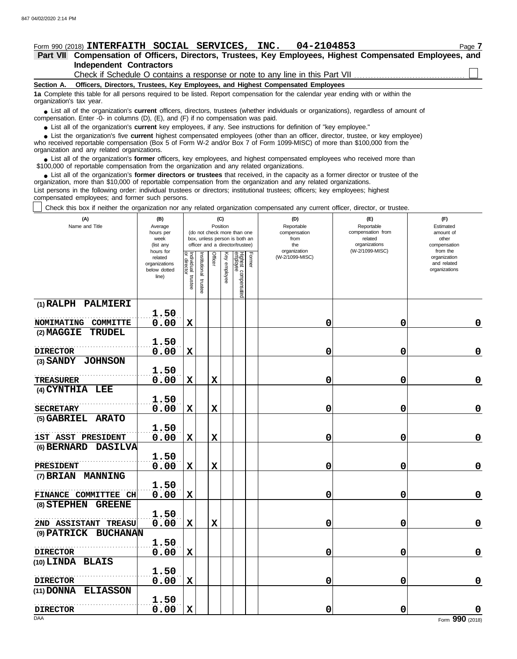## **Form 990 (2018) INTERFAITH SOCIAL SERVICES, INC. 04-2104853** Page 7

**Independent Contractors Part VII Compensation of Officers, Directors, Trustees, Key Employees, Highest Compensated Employees, and**

Check if Schedule O contains a response or note to any line in this Part VII

**Section A. Officers, Directors, Trustees, Key Employees, and Highest Compensated Employees**

**1a** Complete this table for all persons required to be listed. Report compensation for the calendar year ending with or within the organization's tax year.

■ List all of the organization's **current** officers, directors, trustees (whether individuals or organizations), regardless of amount of the organization Enter -0- in columns (D), (E), and (E) if no compensation was paid compensation. Enter -0- in columns (D), (E), and (F) if no compensation was paid.

● List all of the organization's **current** key employees, if any. See instructions for definition of "key employee."

who received reportable compensation (Box 5 of Form W-2 and/or Box 7 of Form 1099-MISC) of more than \$100,000 from the organization and any related organizations. ■ List the organization's five **current** highest compensated employees (other than an officer, director, trustee, or key employee)<br>
a received reportable compensation (Box 5 of Form W-2 and/or Box 7 of Form 1099-MISC) of

■ List all of the organization's **former** officers, key employees, and highest compensated employees who received more than<br>00,000 of reportable compensation from the organization and any related organizations \$100,000 of reportable compensation from the organization and any related organizations.

• List all of the organization's **former directors or trustees** that received, in the capacity as a former director or trustee of the prization more than \$10,000 of reportable compensation from the organization and any rel organization, more than \$10,000 of reportable compensation from the organization and any related organizations.

List persons in the following order: individual trustees or directors; institutional trustees; officers; key employees; highest compensated employees; and former such persons.

Check this box if neither the organization nor any related organization compensated any current officer, director, or trustee.

| (A)<br>Name and Title               | (B)<br>Average<br>hours per<br>week<br>(list any               | (C)<br>(D)<br>(E)<br>Position<br>Reportable<br>Reportable<br>compensation from<br>(do not check more than one<br>compensation<br>box, unless person is both an<br>from<br>related<br>organizations<br>officer and a director/trustee)<br>the<br>(W-2/1099-MISC) |                         |             |                 |                                 |        |                 |   |                                                          |  |  | organization |  |  |  |  |  |
|-------------------------------------|----------------------------------------------------------------|-----------------------------------------------------------------------------------------------------------------------------------------------------------------------------------------------------------------------------------------------------------------|-------------------------|-------------|-----------------|---------------------------------|--------|-----------------|---|----------------------------------------------------------|--|--|--------------|--|--|--|--|--|
|                                     | hours for<br>related<br>organizations<br>below dotted<br>line) | Individual trustee                                                                                                                                                                                                                                              | nstitutional<br>trustee | Officer     | Key<br>employee | Highest compensated<br>employee | Former | (W-2/1099-MISC) |   | from the<br>organization<br>and related<br>organizations |  |  |              |  |  |  |  |  |
| (1) RALPH PALMIERI                  | 1.50                                                           |                                                                                                                                                                                                                                                                 |                         |             |                 |                                 |        |                 |   |                                                          |  |  |              |  |  |  |  |  |
| NOMIMATING COMMITTE                 | 0.00                                                           | $\mathbf x$                                                                                                                                                                                                                                                     |                         |             |                 |                                 |        | 0               | 0 | 0                                                        |  |  |              |  |  |  |  |  |
| (2) MAGGIE<br><b>TRUDEL</b>         |                                                                |                                                                                                                                                                                                                                                                 |                         |             |                 |                                 |        |                 |   |                                                          |  |  |              |  |  |  |  |  |
|                                     | 1.50                                                           |                                                                                                                                                                                                                                                                 |                         |             |                 |                                 |        |                 |   |                                                          |  |  |              |  |  |  |  |  |
| <b>DIRECTOR</b>                     | 0.00                                                           | $\mathbf x$                                                                                                                                                                                                                                                     |                         |             |                 |                                 |        | 0               | 0 | $\mathbf 0$                                              |  |  |              |  |  |  |  |  |
| (3) SANDY JOHNSON                   |                                                                |                                                                                                                                                                                                                                                                 |                         |             |                 |                                 |        |                 |   |                                                          |  |  |              |  |  |  |  |  |
| <b>TREASURER</b>                    | 1.50<br>0.00                                                   | $\mathbf X$                                                                                                                                                                                                                                                     |                         | $\mathbf x$ |                 |                                 |        | 0               | 0 | $\mathbf 0$                                              |  |  |              |  |  |  |  |  |
| (4) CYNTHIA LEE                     |                                                                |                                                                                                                                                                                                                                                                 |                         |             |                 |                                 |        |                 |   |                                                          |  |  |              |  |  |  |  |  |
|                                     | 1.50                                                           |                                                                                                                                                                                                                                                                 |                         |             |                 |                                 |        |                 |   |                                                          |  |  |              |  |  |  |  |  |
| <b>SECRETARY</b>                    | 0.00                                                           | $\mathbf X$                                                                                                                                                                                                                                                     |                         | X           |                 |                                 |        | 0               | 0 | $\mathbf 0$                                              |  |  |              |  |  |  |  |  |
| (5) GABRIEL ARATO                   |                                                                |                                                                                                                                                                                                                                                                 |                         |             |                 |                                 |        |                 |   |                                                          |  |  |              |  |  |  |  |  |
| 1ST ASST PRESIDENT                  | 1.50<br>0.00                                                   | $\mathbf x$                                                                                                                                                                                                                                                     |                         | $\mathbf x$ |                 |                                 |        | 0               | 0 | $\mathbf 0$                                              |  |  |              |  |  |  |  |  |
| (6) BERNARD DASILVA                 |                                                                |                                                                                                                                                                                                                                                                 |                         |             |                 |                                 |        |                 |   |                                                          |  |  |              |  |  |  |  |  |
|                                     | 1.50                                                           |                                                                                                                                                                                                                                                                 |                         |             |                 |                                 |        |                 |   |                                                          |  |  |              |  |  |  |  |  |
| <b>PRESIDENT</b>                    | 0.00                                                           | $\mathbf x$                                                                                                                                                                                                                                                     |                         | $\mathbf x$ |                 |                                 |        | 0               | 0 | $\mathbf 0$                                              |  |  |              |  |  |  |  |  |
| (7) BRIAN MANNING                   |                                                                |                                                                                                                                                                                                                                                                 |                         |             |                 |                                 |        |                 |   |                                                          |  |  |              |  |  |  |  |  |
|                                     | 1.50                                                           |                                                                                                                                                                                                                                                                 |                         |             |                 |                                 |        |                 |   |                                                          |  |  |              |  |  |  |  |  |
| FINANCE COMMITTEE CH<br>(8) STEPHEN | 0.00                                                           | $\mathbf x$                                                                                                                                                                                                                                                     |                         |             |                 |                                 |        | 0               | 0 | $\mathbf 0$                                              |  |  |              |  |  |  |  |  |
| <b>GREENE</b>                       | 1.50                                                           |                                                                                                                                                                                                                                                                 |                         |             |                 |                                 |        |                 |   |                                                          |  |  |              |  |  |  |  |  |
| 2ND ASSISTANT TREASU                | 0.00                                                           | $\mathbf x$                                                                                                                                                                                                                                                     |                         | $\mathbf x$ |                 |                                 |        | 0               | 0 | $\mathbf 0$                                              |  |  |              |  |  |  |  |  |
| (9) PATRICK BUCHANAN                |                                                                |                                                                                                                                                                                                                                                                 |                         |             |                 |                                 |        |                 |   |                                                          |  |  |              |  |  |  |  |  |
|                                     | 1.50                                                           |                                                                                                                                                                                                                                                                 |                         |             |                 |                                 |        |                 |   |                                                          |  |  |              |  |  |  |  |  |
| <b>DIRECTOR</b>                     | 0.00                                                           | $\mathbf x$                                                                                                                                                                                                                                                     |                         |             |                 |                                 |        | 0               | 0 | $\pmb{0}$                                                |  |  |              |  |  |  |  |  |
| (10) LINDA BLAIS                    |                                                                |                                                                                                                                                                                                                                                                 |                         |             |                 |                                 |        |                 |   |                                                          |  |  |              |  |  |  |  |  |
| <b>DIRECTOR</b>                     | 1.50<br>0.00                                                   | $\mathbf x$                                                                                                                                                                                                                                                     |                         |             |                 |                                 |        | 0               | 0 | $\mathbf 0$                                              |  |  |              |  |  |  |  |  |
| (11) DONNA ELIASSON                 |                                                                |                                                                                                                                                                                                                                                                 |                         |             |                 |                                 |        |                 |   |                                                          |  |  |              |  |  |  |  |  |
|                                     | 1.50                                                           |                                                                                                                                                                                                                                                                 |                         |             |                 |                                 |        |                 |   |                                                          |  |  |              |  |  |  |  |  |
| <b>DIRECTOR</b>                     | 0.00                                                           | $\mathbf x$                                                                                                                                                                                                                                                     |                         |             |                 |                                 |        | 0               | 0 |                                                          |  |  |              |  |  |  |  |  |
| DAA                                 |                                                                |                                                                                                                                                                                                                                                                 |                         |             |                 |                                 |        |                 |   | Form 990 (2018)                                          |  |  |              |  |  |  |  |  |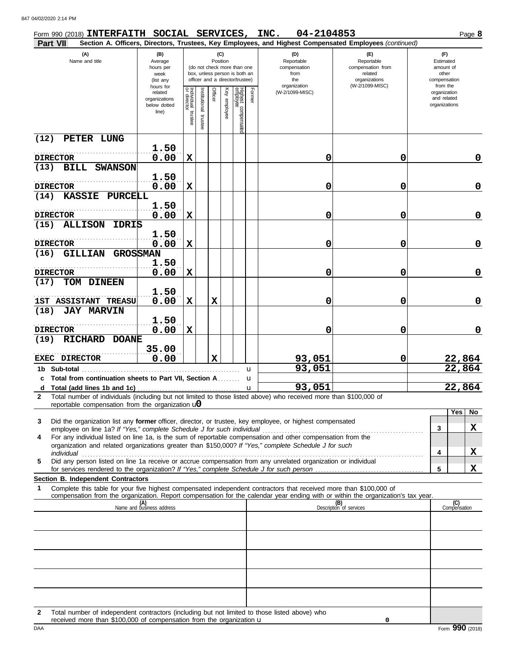| Form 990 (2018) INTERFAITH SOCIAL SERVICES, INC.<br>Part VII                                                                                                                                                                                           |                                                                |                                   |                          |          |                 |                                                                                                 |        | 04-2104853<br>Section A. Officers, Directors, Trustees, Key Employees, and Highest Compensated Employees (continued) |                                                                    |                                                                    | Page 8              |  |
|--------------------------------------------------------------------------------------------------------------------------------------------------------------------------------------------------------------------------------------------------------|----------------------------------------------------------------|-----------------------------------|--------------------------|----------|-----------------|-------------------------------------------------------------------------------------------------|--------|----------------------------------------------------------------------------------------------------------------------|--------------------------------------------------------------------|--------------------------------------------------------------------|---------------------|--|
| (A)<br>Name and title                                                                                                                                                                                                                                  | (B)<br>Average<br>hours per<br>week<br>(list any               |                                   |                          | Position | (C)             | (do not check more than one<br>box, unless person is both an<br>officer and a director/trustee) |        | (D)<br>Reportable<br>compensation<br>from<br>the                                                                     | (E)<br>Reportable<br>compensation from<br>related<br>organizations | (F)<br>Estimated<br>amount of<br>other<br>compensation<br>from the |                     |  |
|                                                                                                                                                                                                                                                        | hours for<br>related<br>organizations<br>below dotted<br>line) | Individual trustee<br>or director | Institutional<br>trustee | Officer  | Ķey<br>employee | Highest compensatec<br>employee                                                                 | Former | organization<br>(W-2/1099-MISC)                                                                                      | (W-2/1099-MISC)                                                    | organization<br>and related<br>organizations                       |                     |  |
| (12)<br>PETER LUNG                                                                                                                                                                                                                                     |                                                                |                                   |                          |          |                 |                                                                                                 |        |                                                                                                                      |                                                                    |                                                                    |                     |  |
| <b>DIRECTOR</b>                                                                                                                                                                                                                                        | 1.50<br>0.00                                                   | $\mathbf x$                       |                          |          |                 |                                                                                                 |        | 0                                                                                                                    | 0                                                                  |                                                                    | 0                   |  |
| (13)<br>BILL<br><b>SWANSON</b>                                                                                                                                                                                                                         | 1.50                                                           |                                   |                          |          |                 |                                                                                                 |        |                                                                                                                      |                                                                    |                                                                    |                     |  |
| <b>DIRECTOR</b><br>(14)<br><b>KASSIE</b><br>PURCELL                                                                                                                                                                                                    | 0.00                                                           | $\mathbf x$                       |                          |          |                 |                                                                                                 |        | 0                                                                                                                    | 0                                                                  |                                                                    | $\mathbf 0$         |  |
| <b>DIRECTOR</b>                                                                                                                                                                                                                                        | 1.50<br>0.00                                                   | $\mathbf x$                       |                          |          |                 |                                                                                                 |        | 0                                                                                                                    | 0                                                                  |                                                                    | $\mathbf 0$         |  |
| (15)<br><b>ALLISON</b><br><b>IDRIS</b>                                                                                                                                                                                                                 |                                                                |                                   |                          |          |                 |                                                                                                 |        |                                                                                                                      |                                                                    |                                                                    |                     |  |
| <b>DIRECTOR</b>                                                                                                                                                                                                                                        | 1.50<br>0.00                                                   | $\mathbf x$                       |                          |          |                 |                                                                                                 |        | 0                                                                                                                    | 0                                                                  |                                                                    | $\mathbf 0$         |  |
| GILLIAN<br>(16)                                                                                                                                                                                                                                        | <b>GROSSMAN</b><br>1.50                                        |                                   |                          |          |                 |                                                                                                 |        |                                                                                                                      |                                                                    |                                                                    |                     |  |
| <b>DIRECTOR</b>                                                                                                                                                                                                                                        | 0.00                                                           | X                                 |                          |          |                 |                                                                                                 |        | 0                                                                                                                    | 0                                                                  |                                                                    | $\mathbf 0$         |  |
| TOM DINEEN<br>(17)                                                                                                                                                                                                                                     | 1.50                                                           |                                   |                          |          |                 |                                                                                                 |        |                                                                                                                      |                                                                    |                                                                    |                     |  |
| 1ST ASSISTANT TREASU                                                                                                                                                                                                                                   | 0.00                                                           | $\mathbf x$                       |                          | X        |                 |                                                                                                 |        | 0                                                                                                                    | 0                                                                  |                                                                    | $\mathbf 0$         |  |
| <b>JAY MARVIN</b><br>(18)<br><b>DIRECTOR</b>                                                                                                                                                                                                           | 1.50<br>0.00                                                   | $\mathbf x$                       |                          |          |                 |                                                                                                 |        | 0                                                                                                                    | 0                                                                  |                                                                    | 0                   |  |
| <b>RICHARD</b><br>(19)<br><b>DOANE</b>                                                                                                                                                                                                                 | 35.00                                                          |                                   |                          |          |                 |                                                                                                 |        |                                                                                                                      |                                                                    |                                                                    |                     |  |
| <b>EXEC DIRECTOR</b>                                                                                                                                                                                                                                   | 0.00                                                           |                                   |                          | X        |                 |                                                                                                 |        | 93,051                                                                                                               | 0                                                                  |                                                                    | 22,864              |  |
| 1b Sub-total<br>c Total from continuation sheets to Part VII, Section A                                                                                                                                                                                |                                                                |                                   |                          |          |                 |                                                                                                 | u<br>u | 93,051                                                                                                               |                                                                    |                                                                    | 22,864              |  |
| d                                                                                                                                                                                                                                                      |                                                                |                                   |                          |          |                 |                                                                                                 | u      | 93,051                                                                                                               |                                                                    |                                                                    | 22,864              |  |
| Total number of individuals (including but not limited to those listed above) who received more than \$100,000 of<br>2<br>reportable compensation from the organization $\mathbf{u}$                                                                   |                                                                |                                   |                          |          |                 |                                                                                                 |        |                                                                                                                      |                                                                    |                                                                    |                     |  |
| Did the organization list any former officer, director, or trustee, key employee, or highest compensated<br>3                                                                                                                                          |                                                                |                                   |                          |          |                 |                                                                                                 |        |                                                                                                                      |                                                                    |                                                                    | Yes<br>No           |  |
| employee on line 1a? If "Yes," complete Schedule J for such individual<br>For any individual listed on line 1a, is the sum of reportable compensation and other compensation from the<br>4                                                             |                                                                |                                   |                          |          |                 |                                                                                                 |        |                                                                                                                      |                                                                    | 3                                                                  | X                   |  |
| organization and related organizations greater than \$150,000? If "Yes," complete Schedule J for such<br>individual                                                                                                                                    |                                                                |                                   |                          |          |                 |                                                                                                 |        |                                                                                                                      |                                                                    | 4                                                                  | X                   |  |
| Did any person listed on line 1a receive or accrue compensation from any unrelated organization or individual<br>5                                                                                                                                     |                                                                |                                   |                          |          |                 |                                                                                                 |        |                                                                                                                      |                                                                    | 5                                                                  | X                   |  |
| Section B. Independent Contractors<br>$\mathbf 1$                                                                                                                                                                                                      |                                                                |                                   |                          |          |                 |                                                                                                 |        |                                                                                                                      |                                                                    |                                                                    |                     |  |
| Complete this table for your five highest compensated independent contractors that received more than \$100,000 of<br>compensation from the organization. Report compensation for the calendar year ending with or within the organization's tax year. |                                                                |                                   |                          |          |                 |                                                                                                 |        |                                                                                                                      |                                                                    |                                                                    |                     |  |
|                                                                                                                                                                                                                                                        | (A)<br>Name and business address                               |                                   |                          |          |                 |                                                                                                 |        |                                                                                                                      | (B)<br>Description of services                                     |                                                                    | (C)<br>Compensation |  |
|                                                                                                                                                                                                                                                        |                                                                |                                   |                          |          |                 |                                                                                                 |        |                                                                                                                      |                                                                    |                                                                    |                     |  |
|                                                                                                                                                                                                                                                        |                                                                |                                   |                          |          |                 |                                                                                                 |        |                                                                                                                      |                                                                    |                                                                    |                     |  |
|                                                                                                                                                                                                                                                        |                                                                |                                   |                          |          |                 |                                                                                                 |        |                                                                                                                      |                                                                    |                                                                    |                     |  |
|                                                                                                                                                                                                                                                        |                                                                |                                   |                          |          |                 |                                                                                                 |        |                                                                                                                      |                                                                    |                                                                    |                     |  |
|                                                                                                                                                                                                                                                        |                                                                |                                   |                          |          |                 |                                                                                                 |        |                                                                                                                      |                                                                    |                                                                    |                     |  |
|                                                                                                                                                                                                                                                        |                                                                |                                   |                          |          |                 |                                                                                                 |        |                                                                                                                      |                                                                    |                                                                    |                     |  |

| Total number of independent contractors (including but not limited to those listed above) who |
|-----------------------------------------------------------------------------------------------|
| received more than \$100,000 of compensation from the organization <b>u</b>                   |

**0**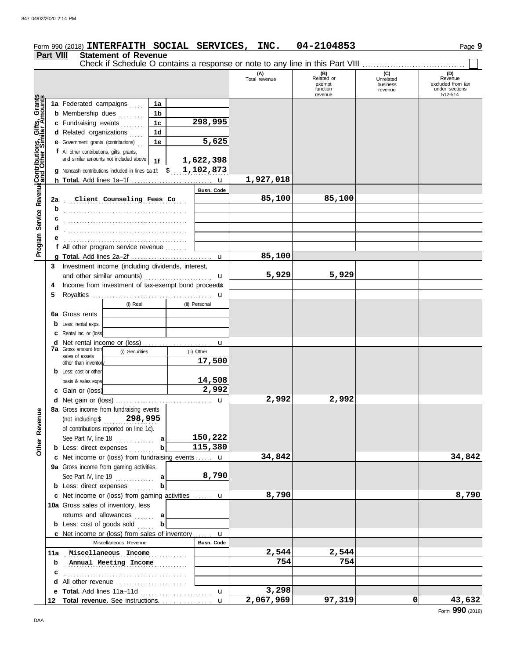#### 847 04/02/2020 2:14 PM**Form 990 (2018) INTERFAITH SOCIAL SERVICES, INC. 04-2104853** Page 9 **Part VIII Statement of Revenue** Check if Schedule O contains a response or note to any line in this Part VIII . . . . . . . . . . . . . . . . . . . . . . . . . . . . . . . . . . . . . **(B) (C) (D)**<br>Related or **Unrelated Revenue** (A)<br>Total revenue exempt excluded from tax business function under sections revenue 512-514 Grants<br>mounts revenue **Program Service RevenueContributions, Gifts, Grants 1a 1a** Federated campaigns ..... **1b b** Membership dues **. . . . . . . 298,995** Revenue Contributions, Gifts, **1c c** Fundraising events . . . . . . . **1d d** Related organizations .... **5,625 1e e** Government grants (contributions) . . **f** All other contributions, gifts, grants, and similar amounts not included above **1f 1,622,398** \$ . . . . . . . . . . . . . . . . . . . . . **1,102,873 g** Noncash contributions included in lines 1a-1f: **1,927,018** u **h Total.** Add lines 1a–1f . . . . . . . . . . . . . . . . . . . . . . . . . . . . . **Busn. Code** . . . . . . . . . . . . . . . . . . . . . . . . . . . . . . . . . . . . . . . . . . . . **2a Client Counseling Fees Co 85,100 85,100** . . . . . . . . . . . . . . . . . . . . . . . . . . . . . . . . . . . . . . . . . . . . **b** Program Service **c** . . . . . . . . . . . . . . . . . . . . . . . . . . . . . . . . . . . . . . . . . . . . **d e f** All other program service revenue . . . . . . . . **85,100 g Total.** Add lines 2a–2f . . . . . . . . . . . . . . . . . . . . . . . . . . . . . u **3** Investment income (including dividends, interest, **5,929 5,929** and other similar amounts)  $\ldots$  . . . . . . . . . . . . . . .  $\mathbf u$ 4 Income from investment of tax-exempt bond proceeds **5** Royalties . . . . . . . . . . . . . . . . . . . . . . . . . . . . . . . . . . . . . . . . . . . u (i) Real (ii) Personal **6a** Gross rents **b** Less: rental exps. **c** Rental inc. or (loss) **d** Net rental income or (loss) . . . . . . . . . . . . . . . . . . . . . . . . . u **7a** Gross amount from (i) Securities (ii) Other sales of assets **17,500** other than inventor **b** Less: cost or other **14,508** basis & sales exps. **2,992 c** Gain or (loss) **2,992 2,992 d** u Net gain or (loss) . . . . . . . . . . . . . . . . . . . . . . . . . . . . . . . . . . . **8a** Gross income from fundraising events Revenue **Other Revenue** (not including \$ . . . . . . . . . . . . . . . . . . . . **298,995** of contributions reported on line 1c). **150,222** See Part IV, line 18 . . . . . . . . . . . . **a Other 115,380 b** Less: direct expenses . . . . . . . . **b 34,842 34,842 c** Net income or (loss) from fundraising events . . . . . **u 9a** Gross income from gaming activities. **8,790** See Part IV, line 19 . . . . . . . . . . . . . . **a b** Less: direct expenses .......... **b 8,790 8,790** Net income or (loss) from gaming activities . . . . . . . **c** u

10a Gross sales of inventory, less

returns and allowances . . . . . . . **a b** Less: cost of goods sold ...... **b** 

**c** . . . . . . . . . . . . . . . . . . . . . . . . . . . . . . . . . . . . . . . . . . . . **d** All other revenue . . . . . . . . . . . . . . . . . . . . . . . . . .

**c** Net income or (loss) from sales of inventory .......

Miscellaneous Revenue **Busn. Code** 

**e Total.** Add lines 11a–11d . . . . . . . . . . . . . . . . . . . . . . . . . . u **Total revenue.** See instructions. . . . . . . . . . . . . . . . . . . **12**

11a Miscellaneous Income **2,544** 2,544 **b** . . . . . . . . . . . . . . . . . . . . . . . . . . . . . . . . . . . . . . . . . . . . **Annual Meeting Income 754 754**

u

u

**3,298**

**2,067,969 97,319 0 43,632**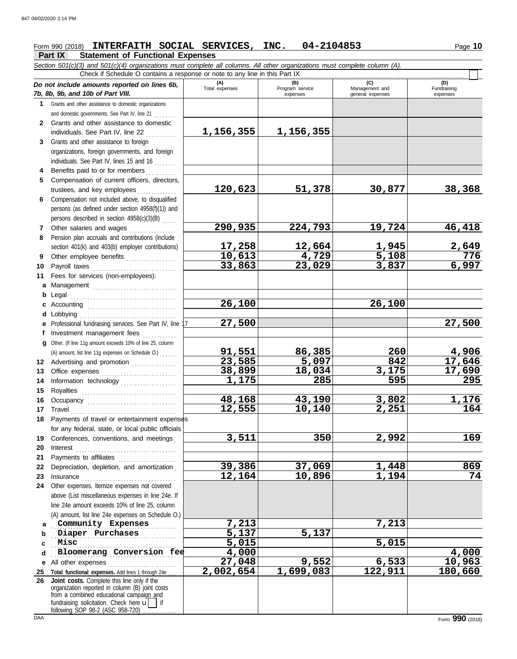# **Form 990 (2018) INTERFAITH SOCIAL SERVICES, INC. 04-2104853** Page 10

**Part IX Statement of Functional Expenses**

*Section 501(c)(3) and 501(c)(4) organizations must complete all columns. All other organizations must complete column (A).*

|              | Check if Schedule O contains a response or note to any line in this Part IX                                                                                                                                                    |                         |                                    |                                           |                                |
|--------------|--------------------------------------------------------------------------------------------------------------------------------------------------------------------------------------------------------------------------------|-------------------------|------------------------------------|-------------------------------------------|--------------------------------|
|              | Do not include amounts reported on lines 6b,<br>7b, 8b, 9b, and 10b of Part VIII.                                                                                                                                              | (A)<br>Total expenses   | (B)<br>Program service<br>expenses | (C)<br>Management and<br>general expenses | (D)<br>Fundraising<br>expenses |
| 1.           | Grants and other assistance to domestic organizations                                                                                                                                                                          |                         |                                    |                                           |                                |
|              | and domestic governments. See Part IV, line 21                                                                                                                                                                                 |                         |                                    |                                           |                                |
| $\mathbf{2}$ | Grants and other assistance to domestic                                                                                                                                                                                        |                         |                                    |                                           |                                |
|              | individuals. See Part IV, line 22                                                                                                                                                                                              | <u>1,156,355</u>        | <u>1,156,355</u>                   |                                           |                                |
| 3            | Grants and other assistance to foreign                                                                                                                                                                                         |                         |                                    |                                           |                                |
|              | organizations, foreign governments, and foreign                                                                                                                                                                                |                         |                                    |                                           |                                |
|              | individuals. See Part IV, lines 15 and 16                                                                                                                                                                                      |                         |                                    |                                           |                                |
| 4            | Benefits paid to or for members                                                                                                                                                                                                |                         |                                    |                                           |                                |
| 5            | Compensation of current officers, directors,                                                                                                                                                                                   |                         |                                    |                                           |                                |
|              | trustees, and key employees                                                                                                                                                                                                    | 120,623                 | 51,378                             | 30,877                                    | 38,368                         |
| 6            | Compensation not included above, to disqualified                                                                                                                                                                               |                         |                                    |                                           |                                |
|              | persons (as defined under section 4958(f)(1)) and                                                                                                                                                                              |                         |                                    |                                           |                                |
|              | persons described in section 4958(c)(3)(B)                                                                                                                                                                                     |                         |                                    |                                           |                                |
| 7            | Other salaries and wages                                                                                                                                                                                                       | 290,935                 | 224,793                            | 19,724                                    | 46,418                         |
|              | Pension plan accruals and contributions (include                                                                                                                                                                               |                         |                                    |                                           |                                |
| 8            |                                                                                                                                                                                                                                |                         |                                    |                                           |                                |
|              | section 401(k) and 403(b) employer contributions)                                                                                                                                                                              | <u>17,258</u><br>10,613 | 12,664                             | <u>1,945</u><br>5,108                     | $\frac{2,649}{776}$            |
| 9            | Other employee benefits                                                                                                                                                                                                        |                         | 4,729                              |                                           | 6,997                          |
| 10           | Payroll taxes                                                                                                                                                                                                                  | 33,863                  | 23,029                             | 3,837                                     |                                |
| 11           | Fees for services (non-employees):                                                                                                                                                                                             |                         |                                    |                                           |                                |
| a            | Management                                                                                                                                                                                                                     |                         |                                    |                                           |                                |
| b            | Legal                                                                                                                                                                                                                          |                         |                                    |                                           |                                |
| c            |                                                                                                                                                                                                                                | 26,100                  |                                    | 26,100                                    |                                |
| d            | Lobbying                                                                                                                                                                                                                       |                         |                                    |                                           |                                |
| е            | Professional fundraising services. See Part IV, line                                                                                                                                                                           | 27,500                  |                                    |                                           | 27,500                         |
| f            | Investment management fees                                                                                                                                                                                                     |                         |                                    |                                           |                                |
| a            | Other. (If line 11g amount exceeds 10% of line 25, column                                                                                                                                                                      |                         |                                    |                                           |                                |
|              | (A) amount, list line 11g expenses on Schedule O.)                                                                                                                                                                             | 91,551                  | 86,385                             | 260                                       | 4,906                          |
| 12           | Advertising and promotion                                                                                                                                                                                                      | 23,585                  | 5,097                              | 842                                       | 17,646                         |
| 13           |                                                                                                                                                                                                                                | 38,899                  | 18,034                             | 3,175                                     | 17,690                         |
| 14           | Information technology                                                                                                                                                                                                         | 1,175                   | 285                                | 595                                       | 295                            |
| 15           |                                                                                                                                                                                                                                |                         |                                    |                                           |                                |
| 16           |                                                                                                                                                                                                                                | 48,168                  | 43,190                             | 3,802                                     | 1,176                          |
| 17           | Travel                                                                                                                                                                                                                         | 12,555                  | 10,140                             | 2,251                                     | 164                            |
| 18           | Payments of travel or entertainment expenses                                                                                                                                                                                   |                         |                                    |                                           |                                |
|              | for any federal, state, or local public officials                                                                                                                                                                              |                         |                                    |                                           |                                |
| 19           | Conferences, conventions, and meetings                                                                                                                                                                                         | 3,511                   | 350                                | 2,992                                     | 169                            |
| 20           | Interest                                                                                                                                                                                                                       |                         |                                    |                                           |                                |
| 21           | Payments to affiliates [11] production of the symmetric state of the symmetric state of the symmetric state of the symmetric state of the symmetric state of the symmetric state of the symmetric state of the symmetric state |                         |                                    |                                           |                                |
| 22           | Depreciation, depletion, and amortization                                                                                                                                                                                      | 39,386                  | 37,069                             | 1,448                                     | 869                            |
| 23           | Insurance with a construction of the state of the state of the state of the state of the state of the state of the state of the state of the state of the state of the state of the state of the state of the state of the sta | 12,164                  | 10,896                             | 1,194                                     | 74                             |
| 24           | Other expenses. Itemize expenses not covered                                                                                                                                                                                   |                         |                                    |                                           |                                |
|              | above (List miscellaneous expenses in line 24e. If                                                                                                                                                                             |                         |                                    |                                           |                                |
|              | line 24e amount exceeds 10% of line 25, column                                                                                                                                                                                 |                         |                                    |                                           |                                |
|              | (A) amount, list line 24e expenses on Schedule O.)                                                                                                                                                                             |                         |                                    |                                           |                                |
|              | Community Expenses                                                                                                                                                                                                             | 7,213                   |                                    | 7,213                                     |                                |
| b            | Diaper Purchases                                                                                                                                                                                                               | 5,137                   | 5,137                              |                                           |                                |
| c            | Misc                                                                                                                                                                                                                           | 5,015                   |                                    | 5,015                                     |                                |
| d            | Bloomerang Conversion fee                                                                                                                                                                                                      | 4,000                   |                                    |                                           | 4,000                          |
| е            | All other expenses                                                                                                                                                                                                             | 27,048                  | 9,552                              | 6,533                                     | 10,963                         |
| 25           | Total functional expenses. Add lines 1 through 24e                                                                                                                                                                             | 2,002,654               | 1,699,083                          | 122,911                                   | 180,660                        |
| 26           | Joint costs. Complete this line only if the                                                                                                                                                                                    |                         |                                    |                                           |                                |
|              | organization reported in column (B) joint costs                                                                                                                                                                                |                         |                                    |                                           |                                |
|              | from a combined educational campaign and                                                                                                                                                                                       |                         |                                    |                                           |                                |
|              | fundraising solicitation. Check here $\mathbf{u}$<br>following SOP 98-2 (ASC 958-720)                                                                                                                                          |                         |                                    |                                           |                                |
| DAA          |                                                                                                                                                                                                                                |                         |                                    |                                           | Form 990 (2018)                |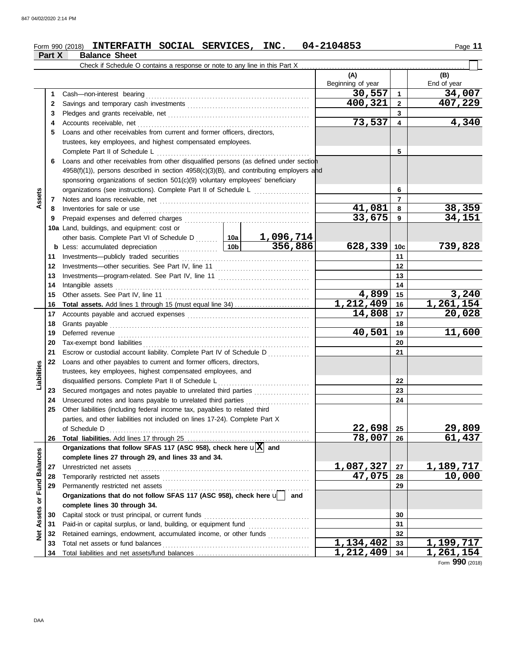#### $F$ orm 990 (2018) INTERFAITH SOCIAL SERVICES, INC.  $04-2104853$  Page 11 **INTERFAITH SOCIAL SERVICES, INC. 04-2104853**

| <b>Balance Sheet</b><br>Part X |
|--------------------------------|
|--------------------------------|

|                         |              |                                                                                              |  |     | (A)<br>Beginning of year |                         | (B)<br>End of year |
|-------------------------|--------------|----------------------------------------------------------------------------------------------|--|-----|--------------------------|-------------------------|--------------------|
|                         | 1            |                                                                                              |  |     | 30,557                   | $\mathbf{1}$            | 34,007             |
|                         | $\mathbf{2}$ |                                                                                              |  |     | 400,321                  | $\overline{2}$          | 407,229            |
|                         | 3            |                                                                                              |  |     |                          | 3                       |                    |
|                         | 4            |                                                                                              |  |     | 73,537                   | $\overline{\mathbf{4}}$ | 4,340              |
|                         | 5            | Loans and other receivables from current and former officers, directors,                     |  |     |                          |                         |                    |
|                         |              | trustees, key employees, and highest compensated employees.                                  |  |     |                          |                         |                    |
|                         |              |                                                                                              |  | 5   |                          |                         |                    |
|                         | 6            | Loans and other receivables from other disqualified persons (as defined under section        |  |     |                          |                         |                    |
|                         |              | $4958(f)(1)$ , persons described in section $4958(c)(3)(B)$ , and contributing employers and |  |     |                          |                         |                    |
|                         |              | sponsoring organizations of section 501(c)(9) voluntary employees' beneficiary               |  |     |                          |                         |                    |
|                         |              | organizations (see instructions). Complete Part II of Schedule L                             |  |     |                          | 6                       |                    |
| Assets                  | 7            |                                                                                              |  |     |                          | $\overline{7}$          |                    |
|                         | 8            |                                                                                              |  |     | 41,081                   | 8                       | 38,359             |
|                         | 9            |                                                                                              |  |     | 33,675                   | 9                       | 34,151             |
|                         |              | 10a Land, buildings, and equipment: cost or                                                  |  |     |                          |                         |                    |
|                         |              | other basis. Complete Part VI of Schedule D    10a   1,096,714                               |  |     |                          |                         |                    |
|                         |              |                                                                                              |  |     | 628,339                  | 10 <sub>c</sub>         | <u>739,828</u>     |
|                         | 11           |                                                                                              |  |     |                          | 11                      |                    |
|                         | 12           |                                                                                              |  |     |                          | $12 \,$                 |                    |
|                         | 13           |                                                                                              |  | 13  |                          |                         |                    |
|                         | 14           |                                                                                              |  | 14  |                          |                         |                    |
|                         | 15           |                                                                                              |  |     | 4,899                    | 15                      | 3,240              |
|                         | 16           |                                                                                              |  |     | 1,212,409                | 16                      | 1,261,154          |
|                         | 17           |                                                                                              |  |     | 14,808                   | 17                      | 20,028             |
|                         | 18           |                                                                                              |  |     | 18                       |                         |                    |
|                         | 19           |                                                                                              |  |     | 40,501                   | 19                      | 11,600             |
|                         | 20           |                                                                                              |  |     |                          | 20                      |                    |
|                         | 21           | Escrow or custodial account liability. Complete Part IV of Schedule D                        |  |     |                          | 21                      |                    |
|                         | 22           | Loans and other payables to current and former officers, directors,                          |  |     |                          |                         |                    |
|                         |              | trustees, key employees, highest compensated employees, and                                  |  |     |                          |                         |                    |
| Liabilities             |              | disqualified persons. Complete Part II of Schedule L <sub></sub>                             |  |     |                          | 22                      |                    |
|                         | 23           | Secured mortgages and notes payable to unrelated third parties                               |  |     |                          | 23                      |                    |
|                         | 24           | Unsecured notes and loans payable to unrelated third parties                                 |  |     |                          | 24                      |                    |
|                         | 25           | Other liabilities (including federal income tax, payables to related third                   |  |     |                          |                         |                    |
|                         |              | parties, and other liabilities not included on lines 17-24). Complete Part X                 |  |     |                          |                         |                    |
|                         |              | of Schedule D                                                                                |  |     | 22,698                   | 25                      | 29,809             |
|                         | 26           | Organizations that follow SFAS 117 (ASC 958), check here $\mathbf{u}[\overline{X}]$ and      |  |     | 78,007                   | 26                      | 61,437             |
|                         |              | complete lines 27 through 29, and lines 33 and 34.                                           |  |     |                          |                         |                    |
|                         | 27           |                                                                                              |  |     | 1,087,327                | 27                      | <u>1,189,717</u>   |
|                         | 28           |                                                                                              |  |     | 47,075                   | 28                      | 10,000             |
|                         | 29           |                                                                                              |  | 29  |                          |                         |                    |
|                         |              | Organizations that do not follow SFAS 117 (ASC 958), check here u                            |  | and |                          |                         |                    |
|                         |              | complete lines 30 through 34.                                                                |  |     |                          |                         |                    |
| Assets or Fund Balances | 30           |                                                                                              |  |     |                          | 30                      |                    |
|                         | 31           |                                                                                              |  |     |                          | 31                      |                    |
| <b>Net</b>              | 32           | Retained earnings, endowment, accumulated income, or other funds                             |  |     |                          | 32                      |                    |
|                         | 33           | Total net assets or fund balances                                                            |  |     | 1,134,402                | 33                      | 1,199,717          |
|                         | 34           |                                                                                              |  |     | 1,212,409                | 34                      | 1,261,154          |

Form **990** (2018)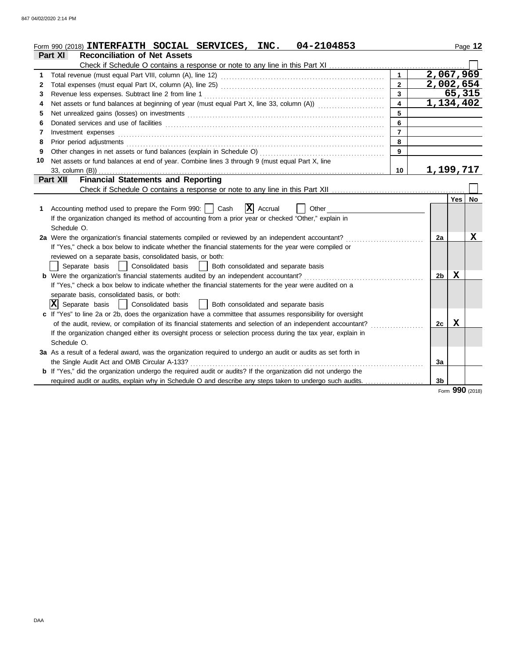| Form 990 (2018) INTERFAITH SOCIAL SERVICES, INC.                                                                                                                                                                                    | 04-2104853 |                                           |                |             | Page 12 |
|-------------------------------------------------------------------------------------------------------------------------------------------------------------------------------------------------------------------------------------|------------|-------------------------------------------|----------------|-------------|---------|
| Part XI<br><b>Reconciliation of Net Assets</b>                                                                                                                                                                                      |            |                                           |                |             |         |
| Check if Schedule O contains a response or note to any line in this Part XI                                                                                                                                                         |            |                                           |                |             |         |
|                                                                                                                                                                                                                                     |            | $\mathbf{1}$                              | 2,067,969      |             |         |
| 2                                                                                                                                                                                                                                   |            | $\overline{2}$                            | 2,002,654      |             |         |
| 3                                                                                                                                                                                                                                   |            | $\overline{\mathbf{3}}$<br>$\overline{4}$ |                | 65,315      |         |
| Net assets or fund balances at beginning of year (must equal Part X, line 33, column (A))<br>4                                                                                                                                      |            |                                           | 1,134,402      |             |         |
| Net unrealized gains (losses) on investments [11] match and the contract of the state of the state of the state of the state of the state of the state of the state of the state of the state of the state of the state of the<br>5 |            | 5                                         |                |             |         |
| 6                                                                                                                                                                                                                                   |            | 6                                         |                |             |         |
| Investment expenses <b>constant expenses</b><br>7<br>8                                                                                                                                                                              |            | $\overline{7}$                            |                |             |         |
| Prior period adjustments [11, 12] and the contract of the contract of the contract of the contract of the contract of the contract of the contract of the contract of the contract of the contract of the contract of the cont      |            | 8                                         |                |             |         |
|                                                                                                                                                                                                                                     |            | 9                                         |                |             |         |
| Net assets or fund balances at end of year. Combine lines 3 through 9 (must equal Part X, line<br>10                                                                                                                                |            |                                           |                |             |         |
| 33, column (B))                                                                                                                                                                                                                     |            | 10                                        | 1,199,717      |             |         |
| <b>Financial Statements and Reporting</b><br><b>Part XII</b>                                                                                                                                                                        |            |                                           |                |             |         |
|                                                                                                                                                                                                                                     |            |                                           |                |             |         |
|                                                                                                                                                                                                                                     |            |                                           |                | Yes   No    |         |
| $ \mathbf{X} $ Accrual<br>Accounting method used to prepare the Form 990:     Cash<br>1.                                                                                                                                            | Other      |                                           |                |             |         |
| If the organization changed its method of accounting from a prior year or checked "Other," explain in                                                                                                                               |            |                                           |                |             |         |
| Schedule O.                                                                                                                                                                                                                         |            |                                           |                |             |         |
| 2a Were the organization's financial statements compiled or reviewed by an independent accountant?                                                                                                                                  |            |                                           | 2a             |             | х       |
| If "Yes," check a box below to indicate whether the financial statements for the year were compiled or                                                                                                                              |            |                                           |                |             |         |
| reviewed on a separate basis, consolidated basis, or both:                                                                                                                                                                          |            |                                           |                |             |         |
| Consolidated basis<br>Separate basis<br>Both consolidated and separate basis                                                                                                                                                        |            |                                           |                |             |         |
| <b>b</b> Were the organization's financial statements audited by an independent accountant?                                                                                                                                         |            |                                           | 2 <sub>b</sub> | $\mathbf x$ |         |
| If "Yes," check a box below to indicate whether the financial statements for the year were audited on a                                                                                                                             |            |                                           |                |             |         |
| separate basis, consolidated basis, or both:                                                                                                                                                                                        |            |                                           |                |             |         |
| IXI<br>Separate basis<br>Consolidated basis<br>Both consolidated and separate basis<br>$\perp$                                                                                                                                      |            |                                           |                |             |         |
| c If "Yes" to line 2a or 2b, does the organization have a committee that assumes responsibility for oversight                                                                                                                       |            |                                           |                |             |         |
| of the audit, review, or compilation of its financial statements and selection of an independent accountant?                                                                                                                        |            |                                           | 2c             | х           |         |
| If the organization changed either its oversight process or selection process during the tax year, explain in                                                                                                                       |            |                                           |                |             |         |
| Schedule O.                                                                                                                                                                                                                         |            |                                           |                |             |         |
| 3a As a result of a federal award, was the organization required to undergo an audit or audits as set forth in                                                                                                                      |            |                                           |                |             |         |
| the Single Audit Act and OMB Circular A-133?                                                                                                                                                                                        |            |                                           | 3a             |             |         |
| b If "Yes," did the organization undergo the required audit or audits? If the organization did not undergo the                                                                                                                      |            |                                           |                |             |         |
| required audit or audits, explain why in Schedule O and describe any steps taken to undergo such audits.                                                                                                                            |            |                                           | 3b             |             |         |
|                                                                                                                                                                                                                                     |            |                                           |                | nnn         |         |

### Form **990** (2018)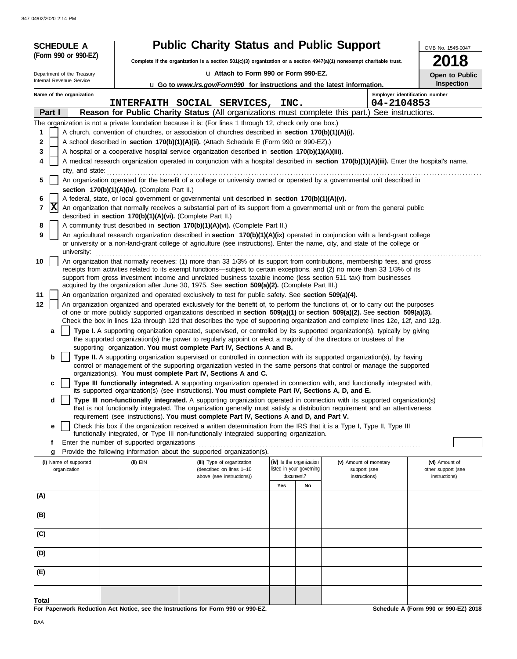| (Form 990 or 990-EZ)<br>018<br>Complete if the organization is a section 501(c)(3) organization or a section 4947(a)(1) nonexempt charitable trust.<br>u Attach to Form 990 or Form 990-EZ.<br>Department of the Treasury<br>Open to Public<br>Internal Revenue Service<br>Inspection<br>u Go to www.irs.gov/Form990 for instructions and the latest information.<br>Name of the organization<br>Employer identification number<br>INTERFAITH SOCIAL SERVICES,<br>INC.<br>04-2104853<br>Part I<br>Reason for Public Charity Status (All organizations must complete this part.) See instructions.<br>The organization is not a private foundation because it is: (For lines 1 through 12, check only one box.)<br>A church, convention of churches, or association of churches described in section 170(b)(1)(A)(i).<br>1<br>A school described in section 170(b)(1)(A)(ii). (Attach Schedule E (Form 990 or 990-EZ).)<br>2<br>3<br>A hospital or a cooperative hospital service organization described in section 170(b)(1)(A)(iii).<br>A medical research organization operated in conjunction with a hospital described in section 170(b)(1)(A)(iii). Enter the hospital's name,<br>4<br>city, and state:<br>An organization operated for the benefit of a college or university owned or operated by a governmental unit described in<br>5<br>section $170(b)(1)(A)(iv)$ . (Complete Part II.) |  | <b>SCHEDULE A</b> |  | <b>Public Charity Status and Public Support</b> |  |  |  |  | OMB No. 1545-0047 |
|----------------------------------------------------------------------------------------------------------------------------------------------------------------------------------------------------------------------------------------------------------------------------------------------------------------------------------------------------------------------------------------------------------------------------------------------------------------------------------------------------------------------------------------------------------------------------------------------------------------------------------------------------------------------------------------------------------------------------------------------------------------------------------------------------------------------------------------------------------------------------------------------------------------------------------------------------------------------------------------------------------------------------------------------------------------------------------------------------------------------------------------------------------------------------------------------------------------------------------------------------------------------------------------------------------------------------------------------------------------------------------------------------|--|-------------------|--|-------------------------------------------------|--|--|--|--|-------------------|
|                                                                                                                                                                                                                                                                                                                                                                                                                                                                                                                                                                                                                                                                                                                                                                                                                                                                                                                                                                                                                                                                                                                                                                                                                                                                                                                                                                                                    |  |                   |  |                                                 |  |  |  |  |                   |
|                                                                                                                                                                                                                                                                                                                                                                                                                                                                                                                                                                                                                                                                                                                                                                                                                                                                                                                                                                                                                                                                                                                                                                                                                                                                                                                                                                                                    |  |                   |  |                                                 |  |  |  |  |                   |
|                                                                                                                                                                                                                                                                                                                                                                                                                                                                                                                                                                                                                                                                                                                                                                                                                                                                                                                                                                                                                                                                                                                                                                                                                                                                                                                                                                                                    |  |                   |  |                                                 |  |  |  |  |                   |
|                                                                                                                                                                                                                                                                                                                                                                                                                                                                                                                                                                                                                                                                                                                                                                                                                                                                                                                                                                                                                                                                                                                                                                                                                                                                                                                                                                                                    |  |                   |  |                                                 |  |  |  |  |                   |
|                                                                                                                                                                                                                                                                                                                                                                                                                                                                                                                                                                                                                                                                                                                                                                                                                                                                                                                                                                                                                                                                                                                                                                                                                                                                                                                                                                                                    |  |                   |  |                                                 |  |  |  |  |                   |
|                                                                                                                                                                                                                                                                                                                                                                                                                                                                                                                                                                                                                                                                                                                                                                                                                                                                                                                                                                                                                                                                                                                                                                                                                                                                                                                                                                                                    |  |                   |  |                                                 |  |  |  |  |                   |
|                                                                                                                                                                                                                                                                                                                                                                                                                                                                                                                                                                                                                                                                                                                                                                                                                                                                                                                                                                                                                                                                                                                                                                                                                                                                                                                                                                                                    |  |                   |  |                                                 |  |  |  |  |                   |
|                                                                                                                                                                                                                                                                                                                                                                                                                                                                                                                                                                                                                                                                                                                                                                                                                                                                                                                                                                                                                                                                                                                                                                                                                                                                                                                                                                                                    |  |                   |  |                                                 |  |  |  |  |                   |
|                                                                                                                                                                                                                                                                                                                                                                                                                                                                                                                                                                                                                                                                                                                                                                                                                                                                                                                                                                                                                                                                                                                                                                                                                                                                                                                                                                                                    |  |                   |  |                                                 |  |  |  |  |                   |
|                                                                                                                                                                                                                                                                                                                                                                                                                                                                                                                                                                                                                                                                                                                                                                                                                                                                                                                                                                                                                                                                                                                                                                                                                                                                                                                                                                                                    |  |                   |  |                                                 |  |  |  |  |                   |
|                                                                                                                                                                                                                                                                                                                                                                                                                                                                                                                                                                                                                                                                                                                                                                                                                                                                                                                                                                                                                                                                                                                                                                                                                                                                                                                                                                                                    |  |                   |  |                                                 |  |  |  |  |                   |
|                                                                                                                                                                                                                                                                                                                                                                                                                                                                                                                                                                                                                                                                                                                                                                                                                                                                                                                                                                                                                                                                                                                                                                                                                                                                                                                                                                                                    |  |                   |  |                                                 |  |  |  |  |                   |
| A federal, state, or local government or governmental unit described in section 170(b)(1)(A)(v).<br>6                                                                                                                                                                                                                                                                                                                                                                                                                                                                                                                                                                                                                                                                                                                                                                                                                                                                                                                                                                                                                                                                                                                                                                                                                                                                                              |  |                   |  |                                                 |  |  |  |  |                   |
| X<br>7<br>An organization that normally receives a substantial part of its support from a governmental unit or from the general public<br>described in section 170(b)(1)(A)(vi). (Complete Part II.)                                                                                                                                                                                                                                                                                                                                                                                                                                                                                                                                                                                                                                                                                                                                                                                                                                                                                                                                                                                                                                                                                                                                                                                               |  |                   |  |                                                 |  |  |  |  |                   |
| A community trust described in section 170(b)(1)(A)(vi). (Complete Part II.)<br>8                                                                                                                                                                                                                                                                                                                                                                                                                                                                                                                                                                                                                                                                                                                                                                                                                                                                                                                                                                                                                                                                                                                                                                                                                                                                                                                  |  |                   |  |                                                 |  |  |  |  |                   |
| 9<br>An agricultural research organization described in section 170(b)(1)(A)(ix) operated in conjunction with a land-grant college<br>or university or a non-land-grant college of agriculture (see instructions). Enter the name, city, and state of the college or                                                                                                                                                                                                                                                                                                                                                                                                                                                                                                                                                                                                                                                                                                                                                                                                                                                                                                                                                                                                                                                                                                                               |  |                   |  |                                                 |  |  |  |  |                   |
| university:<br>An organization that normally receives: (1) more than 33 1/3% of its support from contributions, membership fees, and gross<br>10                                                                                                                                                                                                                                                                                                                                                                                                                                                                                                                                                                                                                                                                                                                                                                                                                                                                                                                                                                                                                                                                                                                                                                                                                                                   |  |                   |  |                                                 |  |  |  |  |                   |
| receipts from activities related to its exempt functions—subject to certain exceptions, and (2) no more than 33 1/3% of its<br>support from gross investment income and unrelated business taxable income (less section 511 tax) from businesses                                                                                                                                                                                                                                                                                                                                                                                                                                                                                                                                                                                                                                                                                                                                                                                                                                                                                                                                                                                                                                                                                                                                                   |  |                   |  |                                                 |  |  |  |  |                   |
| acquired by the organization after June 30, 1975. See section 509(a)(2). (Complete Part III.)<br>11<br>An organization organized and operated exclusively to test for public safety. See section 509(a)(4).                                                                                                                                                                                                                                                                                                                                                                                                                                                                                                                                                                                                                                                                                                                                                                                                                                                                                                                                                                                                                                                                                                                                                                                        |  |                   |  |                                                 |  |  |  |  |                   |
| An organization organized and operated exclusively for the benefit of, to perform the functions of, or to carry out the purposes<br>12                                                                                                                                                                                                                                                                                                                                                                                                                                                                                                                                                                                                                                                                                                                                                                                                                                                                                                                                                                                                                                                                                                                                                                                                                                                             |  |                   |  |                                                 |  |  |  |  |                   |
| of one or more publicly supported organizations described in section 509(a)(1) or section 509(a)(2). See section 509(a)(3).<br>Check the box in lines 12a through 12d that describes the type of supporting organization and complete lines 12e, 12f, and 12g.                                                                                                                                                                                                                                                                                                                                                                                                                                                                                                                                                                                                                                                                                                                                                                                                                                                                                                                                                                                                                                                                                                                                     |  |                   |  |                                                 |  |  |  |  |                   |
| Type I. A supporting organization operated, supervised, or controlled by its supported organization(s), typically by giving<br>a                                                                                                                                                                                                                                                                                                                                                                                                                                                                                                                                                                                                                                                                                                                                                                                                                                                                                                                                                                                                                                                                                                                                                                                                                                                                   |  |                   |  |                                                 |  |  |  |  |                   |
| the supported organization(s) the power to regularly appoint or elect a majority of the directors or trustees of the<br>supporting organization. You must complete Part IV, Sections A and B.                                                                                                                                                                                                                                                                                                                                                                                                                                                                                                                                                                                                                                                                                                                                                                                                                                                                                                                                                                                                                                                                                                                                                                                                      |  |                   |  |                                                 |  |  |  |  |                   |
| Type II. A supporting organization supervised or controlled in connection with its supported organization(s), by having<br>b<br>control or management of the supporting organization vested in the same persons that control or manage the supported                                                                                                                                                                                                                                                                                                                                                                                                                                                                                                                                                                                                                                                                                                                                                                                                                                                                                                                                                                                                                                                                                                                                               |  |                   |  |                                                 |  |  |  |  |                   |
| organization(s). You must complete Part IV, Sections A and C.<br>Type III functionally integrated. A supporting organization operated in connection with, and functionally integrated with,<br>c<br>its supported organization(s) (see instructions). You must complete Part IV, Sections A, D, and E.                                                                                                                                                                                                                                                                                                                                                                                                                                                                                                                                                                                                                                                                                                                                                                                                                                                                                                                                                                                                                                                                                             |  |                   |  |                                                 |  |  |  |  |                   |
| d<br>Type III non-functionally integrated. A supporting organization operated in connection with its supported organization(s)<br>that is not functionally integrated. The organization generally must satisfy a distribution requirement and an attentiveness                                                                                                                                                                                                                                                                                                                                                                                                                                                                                                                                                                                                                                                                                                                                                                                                                                                                                                                                                                                                                                                                                                                                     |  |                   |  |                                                 |  |  |  |  |                   |
| requirement (see instructions). You must complete Part IV, Sections A and D, and Part V.                                                                                                                                                                                                                                                                                                                                                                                                                                                                                                                                                                                                                                                                                                                                                                                                                                                                                                                                                                                                                                                                                                                                                                                                                                                                                                           |  |                   |  |                                                 |  |  |  |  |                   |
| Check this box if the organization received a written determination from the IRS that it is a Type I, Type II, Type III<br>е<br>functionally integrated, or Type III non-functionally integrated supporting organization.                                                                                                                                                                                                                                                                                                                                                                                                                                                                                                                                                                                                                                                                                                                                                                                                                                                                                                                                                                                                                                                                                                                                                                          |  |                   |  |                                                 |  |  |  |  |                   |
| Enter the number of supported organizations<br>f                                                                                                                                                                                                                                                                                                                                                                                                                                                                                                                                                                                                                                                                                                                                                                                                                                                                                                                                                                                                                                                                                                                                                                                                                                                                                                                                                   |  |                   |  |                                                 |  |  |  |  |                   |
| Provide the following information about the supported organization(s).<br>g                                                                                                                                                                                                                                                                                                                                                                                                                                                                                                                                                                                                                                                                                                                                                                                                                                                                                                                                                                                                                                                                                                                                                                                                                                                                                                                        |  |                   |  |                                                 |  |  |  |  |                   |
| (iv) Is the organization<br>(v) Amount of monetary<br>(vi) Amount of<br>(i) Name of supported<br>$(ii)$ EIN<br>(iii) Type of organization<br>listed in your governing<br>organization<br>(described on lines 1-10<br>support (see<br>other support (see                                                                                                                                                                                                                                                                                                                                                                                                                                                                                                                                                                                                                                                                                                                                                                                                                                                                                                                                                                                                                                                                                                                                            |  |                   |  |                                                 |  |  |  |  |                   |
| document?<br>above (see instructions))<br>instructions)<br>instructions)<br>Yes<br>No                                                                                                                                                                                                                                                                                                                                                                                                                                                                                                                                                                                                                                                                                                                                                                                                                                                                                                                                                                                                                                                                                                                                                                                                                                                                                                              |  |                   |  |                                                 |  |  |  |  |                   |
| (A)                                                                                                                                                                                                                                                                                                                                                                                                                                                                                                                                                                                                                                                                                                                                                                                                                                                                                                                                                                                                                                                                                                                                                                                                                                                                                                                                                                                                |  |                   |  |                                                 |  |  |  |  |                   |
| (B)                                                                                                                                                                                                                                                                                                                                                                                                                                                                                                                                                                                                                                                                                                                                                                                                                                                                                                                                                                                                                                                                                                                                                                                                                                                                                                                                                                                                |  |                   |  |                                                 |  |  |  |  |                   |
| (C)                                                                                                                                                                                                                                                                                                                                                                                                                                                                                                                                                                                                                                                                                                                                                                                                                                                                                                                                                                                                                                                                                                                                                                                                                                                                                                                                                                                                |  |                   |  |                                                 |  |  |  |  |                   |
| (D)                                                                                                                                                                                                                                                                                                                                                                                                                                                                                                                                                                                                                                                                                                                                                                                                                                                                                                                                                                                                                                                                                                                                                                                                                                                                                                                                                                                                |  |                   |  |                                                 |  |  |  |  |                   |
|                                                                                                                                                                                                                                                                                                                                                                                                                                                                                                                                                                                                                                                                                                                                                                                                                                                                                                                                                                                                                                                                                                                                                                                                                                                                                                                                                                                                    |  |                   |  |                                                 |  |  |  |  |                   |
| (E)                                                                                                                                                                                                                                                                                                                                                                                                                                                                                                                                                                                                                                                                                                                                                                                                                                                                                                                                                                                                                                                                                                                                                                                                                                                                                                                                                                                                |  |                   |  |                                                 |  |  |  |  |                   |
| Total                                                                                                                                                                                                                                                                                                                                                                                                                                                                                                                                                                                                                                                                                                                                                                                                                                                                                                                                                                                                                                                                                                                                                                                                                                                                                                                                                                                              |  |                   |  |                                                 |  |  |  |  |                   |

**For Paperwork Reduction Act Notice, see the Instructions for Form 990 or 990-EZ.**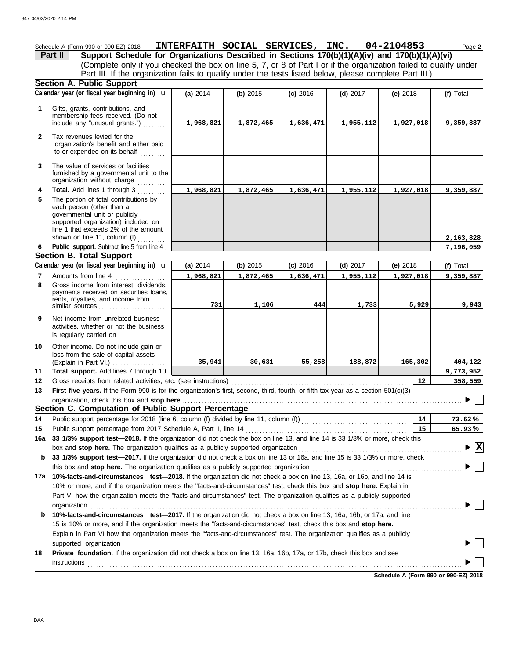Schedule A (Form 990 or 990-EZ) 2018 **INTERFAITH SOCIAL SERVICES, INC. 04-2104853** Page 2 **Part II Support Schedule for Organizations Described in Sections 170(b)(1)(A)(iv) and 170(b)(1)(A)(vi)** (Complete only if you checked the box on line 5, 7, or 8 of Part I or if the organization failed to qualify under Part III. If the organization fails to qualify under the tests listed below, please complete Part III.) **Section A. Public Support (a)** 2014 **(b)** 2015 **(c)** 2016 **(d)** 2017 **(e)** 2018 Calendar year (or fiscal year beginning in) **\u** | (a) 2014 | (b) 2015 | (c) 2016 | (d) 2017 | (e) 2018 | (f) Total **1** Gifts, grants, contributions, and membership fees received. (Do not **1,968,821 1,872,465 1,636,471 1,955,112 1,927,018 9,359,887** include any "unusual grants.") . . . . . . . . **2** Tax revenues levied for the organization's benefit and either paid to or expended on its behalf ......... The value of services or facilities **3** furnished by a governmental unit to the organization without charge **Total.** Add lines 1 through 3 .......... **4 1,968,821 1,872,465 1,636,471 1,955,112 1,927,018 9,359,887 5** The portion of total contributions by each person (other than a governmental unit or publicly supported organization) included on line 1 that exceeds 2% of the amount **2,163,828** shown on line 11, column (f)  $\ldots$ Public support. Subtract line 5 from line 4 **7,196,059 6 Section B. Total Support** Calendar year (or fiscal year beginning in)  $\mathbf{u}$  (a) 2014 (b) 2015 (c) 2016 (d) 2017 (e) 2018 (f) Total **(a)** 2014 u **(b)** 2015 **(c)** 2016 **(d)** 2017 **(e)** 2018 Amounts from line 4 **7 1,968,821 1,872,465 1,636,471 1,955,112 1,927,018 9,359,887 8** Gross income from interest, dividends, payments received on securities loans, rents, royalties, and income from similar sources **731 1,106 444 1,733 5,929 9,943 9** Net income from unrelated business activities, whether or not the business is regularly carried on . . . . . . . . . . . . . . . Other income. Do not include gain or **10** loss from the sale of capital assets (Explain in Part VI.) . . . . . . . . . . . . . . . . . . . **-35,941 30,631 55,258 188,872 165,302 404,122 Total support.** Add lines 7 through 10 **11 9,773,952 12 12 358,559** Gross receipts from related activities, etc. (see instructions) . . . . . . . . . . . . . . . . . . . . . . . . . . . . . . . . . . . . . . . . . . . . . . . . . . . . . . . . . . . . . . . First five years. If the Form 990 is for the organization's first, second, third, fourth, or fifth tax year as a section 501(c)(3) **13** ▶ Γ organization, check this box and stop here **Section C. Computation of Public Support Percentage 14** Public support percentage for 2018 (line 6, column (f) divided by line 11, column (f)) . . . . . . . . . . . . . . . . . . . . . . . . . . . . . . . . . . . . . . **14 % 73.62** Public support percentage from 2017 Schedule A, Part II, line 14 . . . . . . . . . . . . . . . . . . . . . . . . . . . . . . . . . . . . . . . . . . . . . . . . . . . . . . . . . . **15 15 % 65.93 16a 33 1/3% support test—2018.** If the organization did not check the box on line 13, and line 14 is 33 1/3% or more, check this box and stop here. The organization qualifies as a publicly supported organization .............. **X b 33 1/3% support test—2017.** If the organization did not check a box on line 13 or 16a, and line 15 is 33 1/3% or more, check this box and stop here. The organization qualifies as a publicly supported organization ......................... **17a 10%-facts-and-circumstances test—2018.** If the organization did not check a box on line 13, 16a, or 16b, and line 14 is 10% or more, and if the organization meets the "facts-and-circumstances" test, check this box and **stop here.** Explain in Part VI how the organization meets the "facts-and-circumstances" test. The organization qualifies as a publicly supported organization . . . . . . . . . . . . . . . . . . . . . . . . . . . . . . . . . . . . . . . . . . . . . . . . . . . . . . . . . . . . . . . . . . . . . . . . . . . . . . . . . . . . . . . . . . . . . . . . . . . . . . . . . . . . . . . . . . . . . . . . . . . . . . . . . . . . . . **b 10%-facts-and-circumstances test—2017.** If the organization did not check a box on line 13, 16a, 16b, or 17a, and line 15 is 10% or more, and if the organization meets the "facts-and-circumstances" test, check this box and **stop here.** Explain in Part VI how the organization meets the "facts-and-circumstances" test. The organization qualifies as a publicly supported organization . . . . . . . . . . . . . . . . . . . . . . . . . . . . . . . . . . . . . . . . . . . . . . . . . . . . . . . . . . . . . . . . . . . . . . . . . . . . . . . . . . . . . . . . . . . . . . . . . . . . . . . . . . . . . . . . . . . . . . . . . . **18 Private foundation.** If the organization did not check a box on line 13, 16a, 16b, 17a, or 17b, check this box and see instructions . . . . . . . . . . . . . . . . . . . . . . . . . . . . . . . . . . . . . . . . . . . . . . . . . . . . . . . . . . . . . . . . . . . . . . . . . . . . . . . . . . . . . . . . . . . . . . . . . . . . . . . . . . . . . . . . . . . . . . . . . . . . . . . . . . . . . . .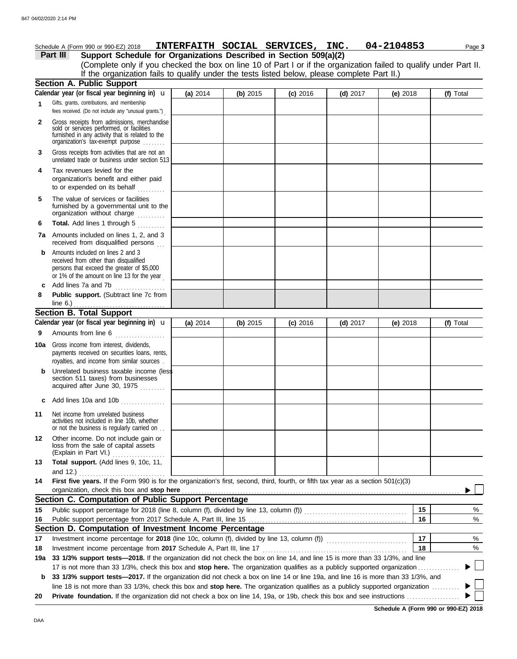|              | Schedule A (Form 990 or 990-EZ) 2018                                                                                                                                              |            |          | INTERFAITH SOCIAL SERVICES, INC. |            | 04-2104853 |    | Page 3    |
|--------------|-----------------------------------------------------------------------------------------------------------------------------------------------------------------------------------|------------|----------|----------------------------------|------------|------------|----|-----------|
|              | Support Schedule for Organizations Described in Section 509(a)(2)<br>Part III                                                                                                     |            |          |                                  |            |            |    |           |
|              | (Complete only if you checked the box on line 10 of Part I or if the organization failed to qualify under Part II.                                                                |            |          |                                  |            |            |    |           |
|              | If the organization fails to qualify under the tests listed below, please complete Part II.)                                                                                      |            |          |                                  |            |            |    |           |
|              | <b>Section A. Public Support</b>                                                                                                                                                  |            |          |                                  |            |            |    |           |
|              | Calendar year (or fiscal year beginning in) $\mathbf u$                                                                                                                           | (a) 2014   | (b) 2015 | $(c)$ 2016                       | $(d)$ 2017 | (e) $2018$ |    | (f) Total |
| 1            | Gifts, grants, contributions, and membership<br>fees received. (Do not include any "unusual grants.")                                                                             |            |          |                                  |            |            |    |           |
| $\mathbf{2}$ | Gross receipts from admissions, merchandise<br>sold or services performed, or facilities<br>furnished in any activity that is related to the<br>organization's tax-exempt purpose |            |          |                                  |            |            |    |           |
| 3            | Gross receipts from activities that are not an<br>unrelated trade or business under section 513                                                                                   |            |          |                                  |            |            |    |           |
| 4            | Tax revenues levied for the<br>organization's benefit and either paid<br>to or expended on its behalf                                                                             |            |          |                                  |            |            |    |           |
| 5            | The value of services or facilities<br>furnished by a governmental unit to the<br>organization without charge                                                                     |            |          |                                  |            |            |    |           |
| 6            | Total. Add lines 1 through 5<br><u>.</u><br>. <b>.</b> .                                                                                                                          |            |          |                                  |            |            |    |           |
|              | 7a Amounts included on lines 1, 2, and 3<br>received from disqualified persons                                                                                                    |            |          |                                  |            |            |    |           |
| b            | Amounts included on lines 2 and 3<br>received from other than disqualified<br>persons that exceed the greater of \$5,000<br>or 1% of the amount on line 13 for the year           |            |          |                                  |            |            |    |           |
| c            | Add lines 7a and 7b<br>.                                                                                                                                                          |            |          |                                  |            |            |    |           |
| 8            | Public support. (Subtract line 7c from<br>line 6.) $\ldots$ $\ldots$ $\ldots$ $\ldots$ $\ldots$ $\ldots$ $\ldots$                                                                 |            |          |                                  |            |            |    |           |
|              | <b>Section B. Total Support</b>                                                                                                                                                   |            |          |                                  |            |            |    |           |
|              | Calendar year (or fiscal year beginning in) $\mathbf u$                                                                                                                           | (a) $2014$ | (b) 2015 | $(c)$ 2016                       | $(d)$ 2017 | (e) $2018$ |    | (f) Total |
| 9            | Amounts from line 6                                                                                                                                                               |            |          |                                  |            |            |    |           |
| 10a          | Gross income from interest, dividends,<br>payments received on securities loans, rents,<br>royalties, and income from similar sources.                                            |            |          |                                  |            |            |    |           |
|              | Unrelated business taxable income (less<br>section 511 taxes) from businesses<br>acquired after June 30, 1975                                                                     |            |          |                                  |            |            |    |           |
|              | c Add lines 10a and 10b<br>.                                                                                                                                                      |            |          |                                  |            |            |    |           |
| 11           | Net income from unrelated business<br>activities not included in line 10b, whether<br>or not the business is regularly carried on                                                 |            |          |                                  |            |            |    |           |
| 12           | Other income. Do not include gain or<br>loss from the sale of capital assets<br>(Explain in Part VI.)                                                                             |            |          |                                  |            |            |    |           |
| 13           | Total support. (Add lines 9, 10c, 11,<br>and 12.)                                                                                                                                 |            |          |                                  |            |            |    |           |
| 14           | First five years. If the Form 990 is for the organization's first, second, third, fourth, or fifth tax year as a section 501(c)(3)<br>organization, check this box and stop here  |            |          |                                  |            |            |    |           |
|              | Section C. Computation of Public Support Percentage                                                                                                                               |            |          |                                  |            |            |    |           |
| 15           |                                                                                                                                                                                   |            |          |                                  |            |            | 15 | %         |
| 16           |                                                                                                                                                                                   |            |          |                                  |            |            | 16 | %         |
|              | Section D. Computation of Investment Income Percentage                                                                                                                            |            |          |                                  |            |            |    |           |
| 17           |                                                                                                                                                                                   |            |          |                                  |            |            | 17 | %         |
| 18           | Investment income percentage from 2017 Schedule A, Part III, line 17                                                                                                              |            |          |                                  |            |            | 18 | %         |
| 19a          | 33 1/3% support tests—2018. If the organization did not check the box on line 14, and line 15 is more than 33 1/3%, and line                                                      |            |          |                                  |            |            |    |           |
|              | 17 is not more than 33 1/3%, check this box and stop here. The organization qualifies as a publicly supported organization.                                                       |            |          |                                  |            |            |    |           |
| b            | 33 1/3% support tests—2017. If the organization did not check a box on line 14 or line 19a, and line 16 is more than 33 1/3%, and                                                 |            |          |                                  |            |            |    |           |
| 20           | line 18 is not more than 33 1/3%, check this box and stop here. The organization qualifies as a publicly supported organization                                                   |            |          |                                  |            |            |    |           |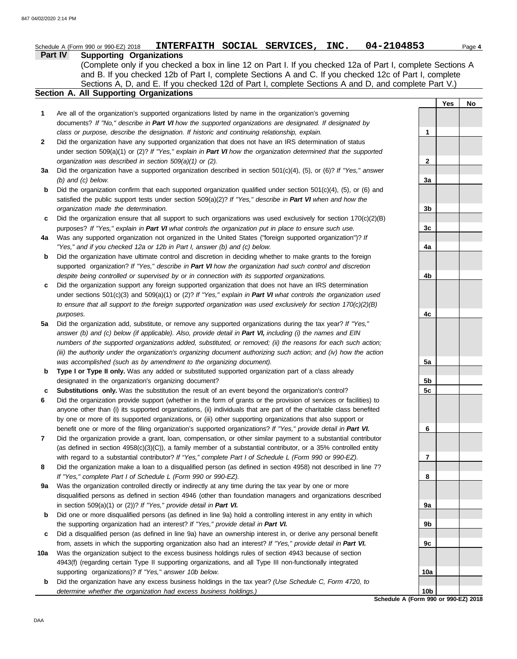|     | 04-2104853<br>INTERFAITH SOCIAL SERVICES, INC.<br>Schedule A (Form 990 or 990-EZ) 2018                                                                                                                             |                 |     | Page 4 |
|-----|--------------------------------------------------------------------------------------------------------------------------------------------------------------------------------------------------------------------|-----------------|-----|--------|
|     | Part IV<br><b>Supporting Organizations</b>                                                                                                                                                                         |                 |     |        |
|     | (Complete only if you checked a box in line 12 on Part I. If you checked 12a of Part I, complete Sections A                                                                                                        |                 |     |        |
|     | and B. If you checked 12b of Part I, complete Sections A and C. If you checked 12c of Part I, complete                                                                                                             |                 |     |        |
|     | Sections A, D, and E. If you checked 12d of Part I, complete Sections A and D, and complete Part V.)                                                                                                               |                 |     |        |
|     | Section A. All Supporting Organizations                                                                                                                                                                            |                 |     |        |
|     |                                                                                                                                                                                                                    |                 | Yes | No     |
| 1   | Are all of the organization's supported organizations listed by name in the organization's governing                                                                                                               |                 |     |        |
|     | documents? If "No," describe in Part VI how the supported organizations are designated. If designated by                                                                                                           |                 |     |        |
|     | class or purpose, describe the designation. If historic and continuing relationship, explain.                                                                                                                      | 1               |     |        |
| 2   | Did the organization have any supported organization that does not have an IRS determination of status                                                                                                             |                 |     |        |
|     | under section 509(a)(1) or (2)? If "Yes," explain in Part VI how the organization determined that the supported                                                                                                    |                 |     |        |
|     | organization was described in section 509(a)(1) or (2).                                                                                                                                                            | $\mathbf{2}$    |     |        |
| За  | Did the organization have a supported organization described in section $501(c)(4)$ , (5), or (6)? If "Yes," answer                                                                                                |                 |     |        |
|     | $(b)$ and $(c)$ below.                                                                                                                                                                                             | 3a              |     |        |
| b   | Did the organization confirm that each supported organization qualified under section $501(c)(4)$ , (5), or (6) and                                                                                                |                 |     |        |
|     | satisfied the public support tests under section 509(a)(2)? If "Yes," describe in Part VI when and how the                                                                                                         |                 |     |        |
|     | organization made the determination.                                                                                                                                                                               | 3b              |     |        |
| c   | Did the organization ensure that all support to such organizations was used exclusively for section $170(c)(2)(B)$                                                                                                 | 3c              |     |        |
| 4a  | purposes? If "Yes," explain in Part VI what controls the organization put in place to ensure such use.<br>Was any supported organization not organized in the United States ("foreign supported organization")? If |                 |     |        |
|     | "Yes," and if you checked 12a or 12b in Part I, answer (b) and (c) below.                                                                                                                                          | 4a              |     |        |
| b   | Did the organization have ultimate control and discretion in deciding whether to make grants to the foreign                                                                                                        |                 |     |        |
|     | supported organization? If "Yes," describe in Part VI how the organization had such control and discretion                                                                                                         |                 |     |        |
|     | despite being controlled or supervised by or in connection with its supported organizations.                                                                                                                       | 4b              |     |        |
| c   | Did the organization support any foreign supported organization that does not have an IRS determination                                                                                                            |                 |     |        |
|     | under sections $501(c)(3)$ and $509(a)(1)$ or (2)? If "Yes," explain in Part VI what controls the organization used                                                                                                |                 |     |        |
|     | to ensure that all support to the foreign supported organization was used exclusively for section 170(c)(2)(B)                                                                                                     |                 |     |        |
|     | purposes.                                                                                                                                                                                                          | 4с              |     |        |
| 5a  | Did the organization add, substitute, or remove any supported organizations during the tax year? If "Yes,"                                                                                                         |                 |     |        |
|     | answer (b) and (c) below (if applicable). Also, provide detail in Part VI, including (i) the names and EIN                                                                                                         |                 |     |        |
|     | numbers of the supported organizations added, substituted, or removed; (ii) the reasons for each such action;                                                                                                      |                 |     |        |
|     | (iii) the authority under the organization's organizing document authorizing such action; and (iv) how the action                                                                                                  |                 |     |        |
|     | was accomplished (such as by amendment to the organizing document).                                                                                                                                                | 5a              |     |        |
| b   | Type I or Type II only. Was any added or substituted supported organization part of a class already                                                                                                                |                 |     |        |
|     | designated in the organization's organizing document?                                                                                                                                                              | 5b              |     |        |
|     | Substitutions only. Was the substitution the result of an event beyond the organization's control?                                                                                                                 | 5c              |     |        |
|     | Did the organization provide support (whether in the form of grants or the provision of services or facilities) to                                                                                                 |                 |     |        |
|     | anyone other than (i) its supported organizations, (ii) individuals that are part of the charitable class benefited                                                                                                |                 |     |        |
|     | by one or more of its supported organizations, or (iii) other supporting organizations that also support or                                                                                                        |                 |     |        |
|     | benefit one or more of the filing organization's supported organizations? If "Yes," provide detail in Part VI.                                                                                                     | 6               |     |        |
| 7   | Did the organization provide a grant, loan, compensation, or other similar payment to a substantial contributor                                                                                                    |                 |     |        |
|     | (as defined in section 4958(c)(3)(C)), a family member of a substantial contributor, or a 35% controlled entity                                                                                                    |                 |     |        |
|     | with regard to a substantial contributor? If "Yes," complete Part I of Schedule L (Form 990 or 990-EZ).                                                                                                            | 7               |     |        |
| 8   | Did the organization make a loan to a disqualified person (as defined in section 4958) not described in line 7?                                                                                                    |                 |     |        |
|     | If "Yes," complete Part I of Schedule L (Form 990 or 990-EZ).                                                                                                                                                      | 8               |     |        |
| 9a  | Was the organization controlled directly or indirectly at any time during the tax year by one or more                                                                                                              |                 |     |        |
|     | disqualified persons as defined in section 4946 (other than foundation managers and organizations described                                                                                                        |                 |     |        |
|     | in section 509(a)(1) or (2))? If "Yes," provide detail in Part VI.                                                                                                                                                 | 9а              |     |        |
| b   | Did one or more disqualified persons (as defined in line 9a) hold a controlling interest in any entity in which                                                                                                    |                 |     |        |
|     | the supporting organization had an interest? If "Yes," provide detail in Part VI.                                                                                                                                  | 9b              |     |        |
| c   | Did a disqualified person (as defined in line 9a) have an ownership interest in, or derive any personal benefit                                                                                                    |                 |     |        |
|     | from, assets in which the supporting organization also had an interest? If "Yes," provide detail in Part VI.                                                                                                       | 9с              |     |        |
| 10a | Was the organization subject to the excess business holdings rules of section 4943 because of section                                                                                                              |                 |     |        |
|     | 4943(f) (regarding certain Type II supporting organizations, and all Type III non-functionally integrated<br>supporting organizations)? If "Yes," answer 10b below.                                                | 10a             |     |        |
| b   | Did the organization have any excess business holdings in the tax year? (Use Schedule C, Form 4720, to                                                                                                             |                 |     |        |
|     | determine whether the organization had excess business holdings.)                                                                                                                                                  | 10 <sub>b</sub> |     |        |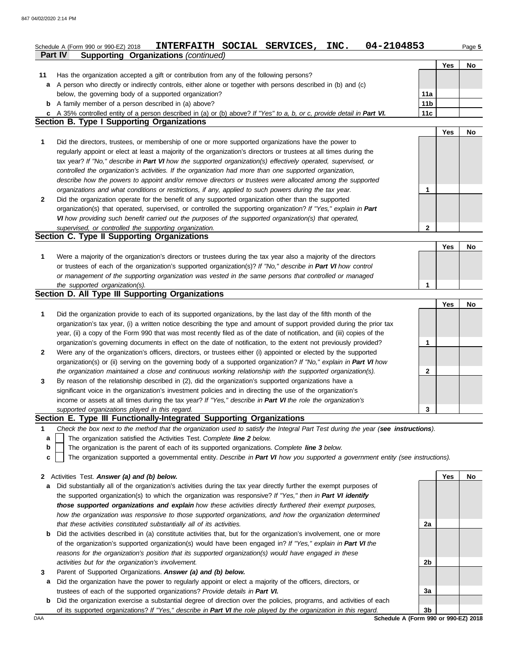|              | 04-2104853<br>INTERFAITH SOCIAL SERVICES,<br>INC.<br>Schedule A (Form 990 or 990-EZ) 2018<br><b>Supporting Organizations (continued)</b><br>Part IV |                 |     | Page 5 |
|--------------|-----------------------------------------------------------------------------------------------------------------------------------------------------|-----------------|-----|--------|
|              |                                                                                                                                                     |                 |     |        |
|              |                                                                                                                                                     |                 | Yes | No     |
| 11           | Has the organization accepted a gift or contribution from any of the following persons?                                                             |                 |     |        |
| a            | A person who directly or indirectly controls, either alone or together with persons described in (b) and (c)                                        |                 |     |        |
|              | below, the governing body of a supported organization?                                                                                              | 11a             |     |        |
|              | <b>b</b> A family member of a person described in (a) above?                                                                                        | 11 <sub>b</sub> |     |        |
|              | c A 35% controlled entity of a person described in (a) or (b) above? If "Yes" to a, b, or c, provide detail in Part VI.                             | 11c             |     |        |
|              | <b>Section B. Type I Supporting Organizations</b>                                                                                                   |                 |     |        |
|              |                                                                                                                                                     |                 | Yes | No     |
| 1            | Did the directors, trustees, or membership of one or more supported organizations have the power to                                                 |                 |     |        |
|              | regularly appoint or elect at least a majority of the organization's directors or trustees at all times during the                                  |                 |     |        |
|              | tax year? If "No," describe in Part VI how the supported organization(s) effectively operated, supervised, or                                       |                 |     |        |
|              | controlled the organization's activities. If the organization had more than one supported organization,                                             |                 |     |        |
|              | describe how the powers to appoint and/or remove directors or trustees were allocated among the supported                                           |                 |     |        |
|              | organizations and what conditions or restrictions, if any, applied to such powers during the tax year.                                              | 1               |     |        |
| $\mathbf{2}$ | Did the organization operate for the benefit of any supported organization other than the supported                                                 |                 |     |        |
|              | organization(s) that operated, supervised, or controlled the supporting organization? If "Yes," explain in Part                                     |                 |     |        |
|              | VI how providing such benefit carried out the purposes of the supported organization(s) that operated,                                              |                 |     |        |
|              | supervised, or controlled the supporting organization.                                                                                              | 2               |     |        |
|              | <b>Section C. Type II Supporting Organizations</b>                                                                                                  |                 |     |        |
|              |                                                                                                                                                     |                 |     |        |
|              |                                                                                                                                                     |                 | Yes | No     |
| 1            | Were a majority of the organization's directors or trustees during the tax year also a majority of the directors                                    |                 |     |        |
|              | or trustees of each of the organization's supported organization(s)? If "No," describe in Part VI how control                                       |                 |     |        |
|              | or management of the supporting organization was vested in the same persons that controlled or managed                                              |                 |     |        |
|              | the supported organization(s).                                                                                                                      | $\mathbf 1$     |     |        |
|              | Section D. All Type III Supporting Organizations                                                                                                    |                 |     |        |
|              |                                                                                                                                                     |                 | Yes | No     |
| 1            | Did the organization provide to each of its supported organizations, by the last day of the fifth month of the                                      |                 |     |        |
|              | organization's tax year, (i) a written notice describing the type and amount of support provided during the prior tax                               |                 |     |        |
|              | year, (ii) a copy of the Form 990 that was most recently filed as of the date of notification, and (iii) copies of the                              |                 |     |        |
|              | organization's governing documents in effect on the date of notification, to the extent not previously provided?                                    | 1               |     |        |
| $\mathbf{2}$ | Were any of the organization's officers, directors, or trustees either (i) appointed or elected by the supported                                    |                 |     |        |
|              | organization(s) or (ii) serving on the governing body of a supported organization? If "No," explain in Part VI how                                  |                 |     |        |
|              | the organization maintained a close and continuous working relationship with the supported organization(s).                                         | 2               |     |        |
| 3            | By reason of the relationship described in (2), did the organization's supported organizations have a                                               |                 |     |        |
|              | significant voice in the organization's investment policies and in directing the use of the organization's                                          |                 |     |        |
|              | income or assets at all times during the tax year? If "Yes," describe in Part VI the role the organization's                                        |                 |     |        |
|              |                                                                                                                                                     |                 |     |        |
|              | supported organizations played in this regard.<br>Section E. Type III Functionally-Integrated Supporting Organizations                              | 3               |     |        |
|              |                                                                                                                                                     |                 |     |        |
| 1            | Check the box next to the method that the organization used to satisfy the Integral Part Test during the year (see instructions).                   |                 |     |        |
| а            | The organization satisfied the Activities Test. Complete line 2 below.                                                                              |                 |     |        |
| b            | The organization is the parent of each of its supported organizations. Complete line 3 below.                                                       |                 |     |        |
| c            | The organization supported a governmental entity. Describe in Part VI how you supported a government entity (see instructions).                     |                 |     |        |
|              |                                                                                                                                                     |                 |     |        |
| $\mathbf{2}$ | Activities Test. Answer (a) and (b) below.                                                                                                          |                 | Yes | No     |
| a            | Did substantially all of the organization's activities during the tax year directly further the exempt purposes of                                  |                 |     |        |
|              | the supported organization(s) to which the organization was responsive? If "Yes," then in Part VI identify                                          |                 |     |        |
|              | those supported organizations and explain how these activities directly furthered their exempt purposes,                                            |                 |     |        |
|              | how the organization was responsive to those supported organizations, and how the organization determined                                           |                 |     |        |
|              | that these activities constituted substantially all of its activities.                                                                              | 2a              |     |        |
| b            | Did the activities described in (a) constitute activities that, but for the organization's involvement, one or more                                 |                 |     |        |
|              | of the organization's supported organization(s) would have been engaged in? If "Yes," explain in Part VI the                                        |                 |     |        |

**a** Did the organization have the power to regularly appoint or elect a majority of the officers, directors, or trustees of each of the supported organizations? *Provide details in Part VI.*

*reasons for the organization's position that its supported organization(s) would have engaged in these* 

**b** Did the organization exercise a substantial degree of direction over the policies, programs, and activities of each of its supported organizations? *If "Yes," describe in Part VI the role played by the organization in this regard.*

DAA **SChedule A (Form 990 or 990-EZ) 2018 3b**

**2b**

**3a**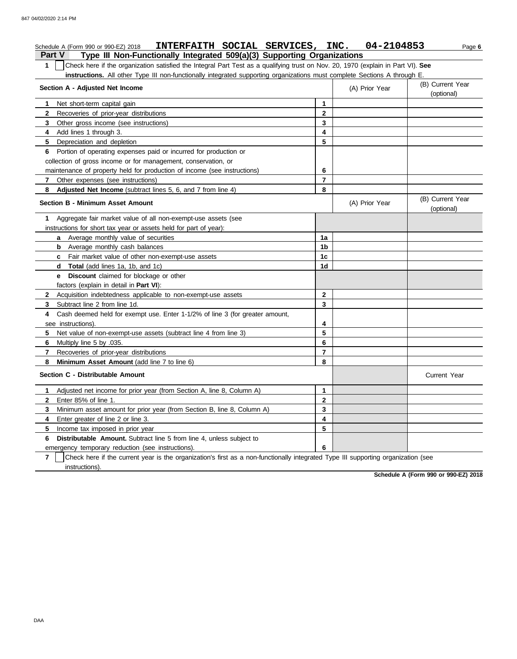| INTERFAITH SOCIAL SERVICES, INC. 04-2104853<br>Schedule A (Form 990 or 990-EZ) 2018                                                              |                |                | Page 6                         |  |  |  |  |
|--------------------------------------------------------------------------------------------------------------------------------------------------|----------------|----------------|--------------------------------|--|--|--|--|
| Type III Non-Functionally Integrated 509(a)(3) Supporting Organizations<br><b>Part V</b>                                                         |                |                |                                |  |  |  |  |
| Check here if the organization satisfied the Integral Part Test as a qualifying trust on Nov. 20, 1970 (explain in Part VI). See<br>$\mathbf{1}$ |                |                |                                |  |  |  |  |
| instructions. All other Type III non-functionally integrated supporting organizations must complete Sections A through E                         |                |                |                                |  |  |  |  |
| Section A - Adjusted Net Income                                                                                                                  |                | (A) Prior Year | (B) Current Year<br>(optional) |  |  |  |  |
| Net short-term capital gain<br>1.                                                                                                                | $\mathbf{1}$   |                |                                |  |  |  |  |
| $\mathbf{2}$<br>Recoveries of prior-year distributions                                                                                           | $\mathbf{2}$   |                |                                |  |  |  |  |
| 3<br>Other gross income (see instructions)                                                                                                       | 3              |                |                                |  |  |  |  |
| Add lines 1 through 3.<br>4                                                                                                                      | 4              |                |                                |  |  |  |  |
| 5<br>Depreciation and depletion                                                                                                                  | 5              |                |                                |  |  |  |  |
| Portion of operating expenses paid or incurred for production or<br>6                                                                            |                |                |                                |  |  |  |  |
| collection of gross income or for management, conservation, or                                                                                   |                |                |                                |  |  |  |  |
| maintenance of property held for production of income (see instructions)                                                                         | 6              |                |                                |  |  |  |  |
| Other expenses (see instructions)<br>$\mathbf{7}$                                                                                                | $\overline{7}$ |                |                                |  |  |  |  |
| Adjusted Net Income (subtract lines 5, 6, and 7 from line 4)<br>8                                                                                | 8              |                |                                |  |  |  |  |
| <b>Section B - Minimum Asset Amount</b>                                                                                                          |                | (A) Prior Year | (B) Current Year<br>(optional) |  |  |  |  |
| Aggregate fair market value of all non-exempt-use assets (see<br>1                                                                               |                |                |                                |  |  |  |  |
| instructions for short tax year or assets held for part of year):                                                                                |                |                |                                |  |  |  |  |
| <b>a</b> Average monthly value of securities                                                                                                     | 1a             |                |                                |  |  |  |  |
| <b>b</b> Average monthly cash balances                                                                                                           | 1b             |                |                                |  |  |  |  |
| <b>c</b> Fair market value of other non-exempt-use assets                                                                                        | 1 <sub>c</sub> |                |                                |  |  |  |  |
| <b>Total</b> (add lines 1a, 1b, and 1c)<br>d                                                                                                     | 1d             |                |                                |  |  |  |  |
| <b>Discount</b> claimed for blockage or other<br>е                                                                                               |                |                |                                |  |  |  |  |
| factors (explain in detail in <b>Part VI)</b> :                                                                                                  |                |                |                                |  |  |  |  |
| $\mathbf{2}$<br>Acquisition indebtedness applicable to non-exempt-use assets                                                                     | 2              |                |                                |  |  |  |  |
| 3<br>Subtract line 2 from line 1d.                                                                                                               | 3              |                |                                |  |  |  |  |
| Cash deemed held for exempt use. Enter 1-1/2% of line 3 (for greater amount,<br>4                                                                |                |                |                                |  |  |  |  |
| see instructions)                                                                                                                                | 4              |                |                                |  |  |  |  |
| 5<br>Net value of non-exempt-use assets (subtract line 4 from line 3)                                                                            | 5              |                |                                |  |  |  |  |
| 6<br>Multiply line 5 by .035.                                                                                                                    | 6              |                |                                |  |  |  |  |
| $\mathbf{7}$<br>Recoveries of prior-year distributions                                                                                           | $\overline{7}$ |                |                                |  |  |  |  |
| 8<br>Minimum Asset Amount (add line 7 to line 6)                                                                                                 | 8              |                |                                |  |  |  |  |
| Section C - Distributable Amount                                                                                                                 |                |                | <b>Current Year</b>            |  |  |  |  |
| Adjusted net income for prior year (from Section A, line 8, Column A)<br>1.                                                                      | 1              |                |                                |  |  |  |  |
| Enter 85% of line 1.<br>2                                                                                                                        | 2              |                |                                |  |  |  |  |
| 3<br>Minimum asset amount for prior year (from Section B, line 8, Column A)                                                                      | 3              |                |                                |  |  |  |  |
| Enter greater of line 2 or line 3.<br>4                                                                                                          | 4              |                |                                |  |  |  |  |
| 5<br>Income tax imposed in prior year                                                                                                            | 5              |                |                                |  |  |  |  |
| Distributable Amount. Subtract line 5 from line 4, unless subject to<br>6                                                                        |                |                |                                |  |  |  |  |
| emergency temporary reduction (see instructions).                                                                                                | 6              |                |                                |  |  |  |  |
| 7<br>Check here if the current year is the organization's first as a non-functionally integrated Type III supporting organization (see           |                |                |                                |  |  |  |  |
| instructions).                                                                                                                                   |                |                |                                |  |  |  |  |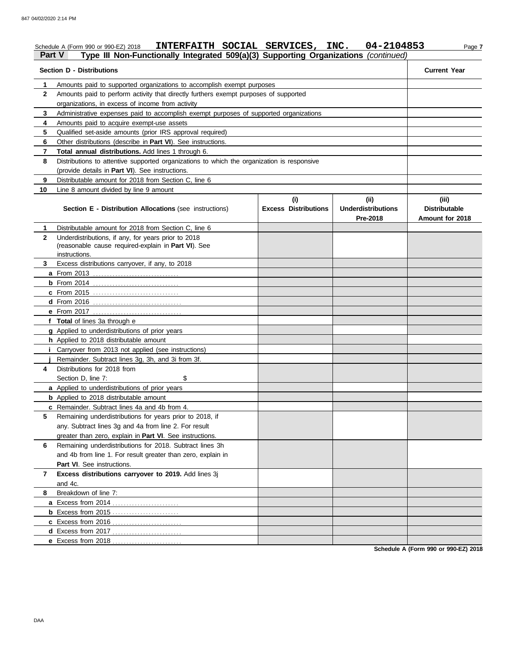| <b>Part V</b> | INTERFAITH SOCIAL SERVICES, INC.<br>Schedule A (Form 990 or 990-EZ) 2018<br>Type III Non-Functionally Integrated 509(a)(3) Supporting Organizations (continued) |                             | 04-2104853                            | Page 7                                  |
|---------------|-----------------------------------------------------------------------------------------------------------------------------------------------------------------|-----------------------------|---------------------------------------|-----------------------------------------|
|               | <b>Section D - Distributions</b>                                                                                                                                |                             |                                       | <b>Current Year</b>                     |
| 1             | Amounts paid to supported organizations to accomplish exempt purposes                                                                                           |                             |                                       |                                         |
| $\mathbf{2}$  | Amounts paid to perform activity that directly furthers exempt purposes of supported                                                                            |                             |                                       |                                         |
|               | organizations, in excess of income from activity                                                                                                                |                             |                                       |                                         |
| 3             | Administrative expenses paid to accomplish exempt purposes of supported organizations                                                                           |                             |                                       |                                         |
| 4             | Amounts paid to acquire exempt-use assets                                                                                                                       |                             |                                       |                                         |
| 5             | Qualified set-aside amounts (prior IRS approval required)                                                                                                       |                             |                                       |                                         |
| 6             | Other distributions (describe in Part VI). See instructions.                                                                                                    |                             |                                       |                                         |
| 7             | Total annual distributions. Add lines 1 through 6.                                                                                                              |                             |                                       |                                         |
| 8             | Distributions to attentive supported organizations to which the organization is responsive                                                                      |                             |                                       |                                         |
|               | (provide details in Part VI). See instructions.                                                                                                                 |                             |                                       |                                         |
| 9             | Distributable amount for 2018 from Section C, line 6                                                                                                            |                             |                                       |                                         |
| 10            | Line 8 amount divided by line 9 amount                                                                                                                          |                             |                                       |                                         |
|               |                                                                                                                                                                 | (i)                         | (ii)                                  | (iii)                                   |
|               | Section E - Distribution Allocations (see instructions)                                                                                                         | <b>Excess Distributions</b> | <b>Underdistributions</b><br>Pre-2018 | <b>Distributable</b><br>Amount for 2018 |
| 1.            | Distributable amount for 2018 from Section C, line 6                                                                                                            |                             |                                       |                                         |
| $\mathbf{2}$  | Underdistributions, if any, for years prior to 2018                                                                                                             |                             |                                       |                                         |
|               | (reasonable cause required-explain in Part VI). See                                                                                                             |                             |                                       |                                         |
|               | instructions.                                                                                                                                                   |                             |                                       |                                         |
| 3             | Excess distributions carryover, if any, to 2018                                                                                                                 |                             |                                       |                                         |
|               |                                                                                                                                                                 |                             |                                       |                                         |
|               |                                                                                                                                                                 |                             |                                       |                                         |
|               |                                                                                                                                                                 |                             |                                       |                                         |
|               |                                                                                                                                                                 |                             |                                       |                                         |
|               |                                                                                                                                                                 |                             |                                       |                                         |
|               | f Total of lines 3a through e                                                                                                                                   |                             |                                       |                                         |
|               | g Applied to underdistributions of prior years                                                                                                                  |                             |                                       |                                         |
|               | h Applied to 2018 distributable amount                                                                                                                          |                             |                                       |                                         |
|               | <i>i</i> Carryover from 2013 not applied (see instructions)                                                                                                     |                             |                                       |                                         |
|               | Remainder. Subtract lines 3g, 3h, and 3i from 3f.                                                                                                               |                             |                                       |                                         |
| 4             | Distributions for 2018 from                                                                                                                                     |                             |                                       |                                         |
|               | Section D, line 7:<br>\$                                                                                                                                        |                             |                                       |                                         |
|               | a Applied to underdistributions of prior years                                                                                                                  |                             |                                       |                                         |
|               | <b>b</b> Applied to 2018 distributable amount                                                                                                                   |                             |                                       |                                         |
|               | c Remainder. Subtract lines 4a and 4b from 4.                                                                                                                   |                             |                                       |                                         |
| 5             | Remaining underdistributions for years prior to 2018, if                                                                                                        |                             |                                       |                                         |
|               | any. Subtract lines 3g and 4a from line 2. For result                                                                                                           |                             |                                       |                                         |
|               | greater than zero, explain in Part VI. See instructions.                                                                                                        |                             |                                       |                                         |
| 6             | Remaining underdistributions for 2018. Subtract lines 3h                                                                                                        |                             |                                       |                                         |
|               | and 4b from line 1. For result greater than zero, explain in                                                                                                    |                             |                                       |                                         |
|               | Part VI. See instructions.                                                                                                                                      |                             |                                       |                                         |
| 7             | Excess distributions carryover to 2019. Add lines 3j                                                                                                            |                             |                                       |                                         |
|               | and 4c.                                                                                                                                                         |                             |                                       |                                         |
| 8             | Breakdown of line 7:                                                                                                                                            |                             |                                       |                                         |
|               |                                                                                                                                                                 |                             |                                       |                                         |
|               |                                                                                                                                                                 |                             |                                       |                                         |
|               |                                                                                                                                                                 |                             |                                       |                                         |
|               |                                                                                                                                                                 |                             |                                       |                                         |
|               | e Excess from 2018                                                                                                                                              |                             |                                       |                                         |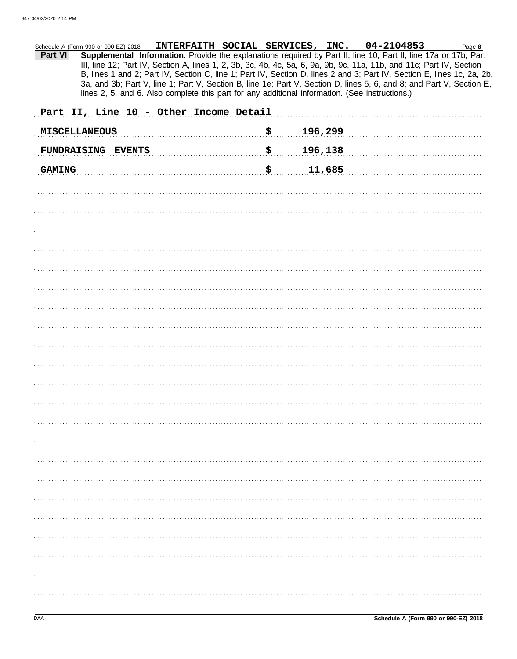| Schedule A (Form 990 or 990-EZ) 2018<br>Part VI<br>lines 2, 5, and 6. Also complete this part for any additional information. (See instructions.) | INTERFAITH SOCIAL SERVICES, INC. 04-2104853<br>Page 8<br>Supplemental Information. Provide the explanations required by Part II, line 10; Part II, line 17a or 17b; Part<br>III, line 12; Part IV, Section A, lines 1, 2, 3b, 3c, 4b, 4c, 5a, 6, 9a, 9b, 9c, 11a, 11b, and 11c; Part IV, Section<br>B, lines 1 and 2; Part IV, Section C, line 1; Part IV, Section D, lines 2 and 3; Part IV, Section E, lines 1c, 2a, 2b,<br>3a, and 3b; Part V, line 1; Part V, Section B, line 1e; Part V, Section D, lines 5, 6, and 8; and Part V, Section E, |
|---------------------------------------------------------------------------------------------------------------------------------------------------|----------------------------------------------------------------------------------------------------------------------------------------------------------------------------------------------------------------------------------------------------------------------------------------------------------------------------------------------------------------------------------------------------------------------------------------------------------------------------------------------------------------------------------------------------|
| Part II, Line 10 - Other Income Detail                                                                                                            |                                                                                                                                                                                                                                                                                                                                                                                                                                                                                                                                                    |
| <b>MISCELLANEOUS</b>                                                                                                                              | \$<br>196,299                                                                                                                                                                                                                                                                                                                                                                                                                                                                                                                                      |
| FUNDRAISING EVENTS                                                                                                                                | \$<br>196,138                                                                                                                                                                                                                                                                                                                                                                                                                                                                                                                                      |
| <b>GAMING</b>                                                                                                                                     | \$<br>11,685                                                                                                                                                                                                                                                                                                                                                                                                                                                                                                                                       |
|                                                                                                                                                   |                                                                                                                                                                                                                                                                                                                                                                                                                                                                                                                                                    |
|                                                                                                                                                   |                                                                                                                                                                                                                                                                                                                                                                                                                                                                                                                                                    |
|                                                                                                                                                   |                                                                                                                                                                                                                                                                                                                                                                                                                                                                                                                                                    |
|                                                                                                                                                   |                                                                                                                                                                                                                                                                                                                                                                                                                                                                                                                                                    |
|                                                                                                                                                   |                                                                                                                                                                                                                                                                                                                                                                                                                                                                                                                                                    |
|                                                                                                                                                   |                                                                                                                                                                                                                                                                                                                                                                                                                                                                                                                                                    |
|                                                                                                                                                   |                                                                                                                                                                                                                                                                                                                                                                                                                                                                                                                                                    |
|                                                                                                                                                   |                                                                                                                                                                                                                                                                                                                                                                                                                                                                                                                                                    |
|                                                                                                                                                   |                                                                                                                                                                                                                                                                                                                                                                                                                                                                                                                                                    |
|                                                                                                                                                   |                                                                                                                                                                                                                                                                                                                                                                                                                                                                                                                                                    |
|                                                                                                                                                   |                                                                                                                                                                                                                                                                                                                                                                                                                                                                                                                                                    |
|                                                                                                                                                   |                                                                                                                                                                                                                                                                                                                                                                                                                                                                                                                                                    |
|                                                                                                                                                   |                                                                                                                                                                                                                                                                                                                                                                                                                                                                                                                                                    |
|                                                                                                                                                   |                                                                                                                                                                                                                                                                                                                                                                                                                                                                                                                                                    |
|                                                                                                                                                   |                                                                                                                                                                                                                                                                                                                                                                                                                                                                                                                                                    |
|                                                                                                                                                   |                                                                                                                                                                                                                                                                                                                                                                                                                                                                                                                                                    |
|                                                                                                                                                   |                                                                                                                                                                                                                                                                                                                                                                                                                                                                                                                                                    |
|                                                                                                                                                   |                                                                                                                                                                                                                                                                                                                                                                                                                                                                                                                                                    |
|                                                                                                                                                   |                                                                                                                                                                                                                                                                                                                                                                                                                                                                                                                                                    |
|                                                                                                                                                   |                                                                                                                                                                                                                                                                                                                                                                                                                                                                                                                                                    |
|                                                                                                                                                   |                                                                                                                                                                                                                                                                                                                                                                                                                                                                                                                                                    |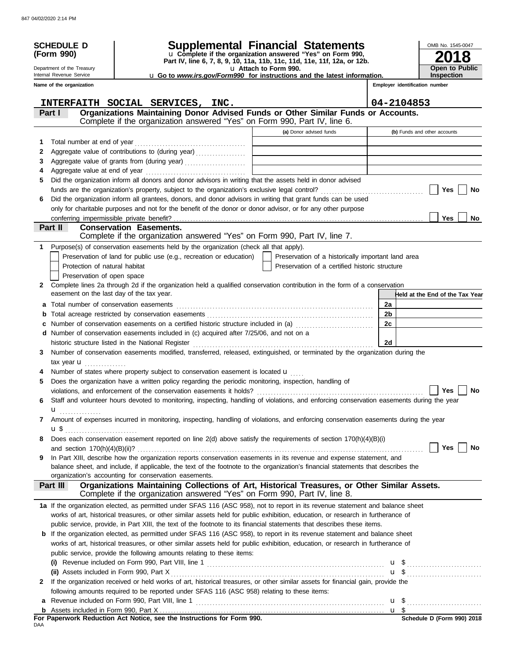|   | <b>SCHEDULE D</b>                         |                                                                                                                                                                                                                                                           | Supplemental Financial Statements                                                                 |    | OMB No. 1545-0047               |
|---|-------------------------------------------|-----------------------------------------------------------------------------------------------------------------------------------------------------------------------------------------------------------------------------------------------------------|---------------------------------------------------------------------------------------------------|----|---------------------------------|
|   | (Form 990)                                |                                                                                                                                                                                                                                                           | u Complete if the organization answered "Yes" on Form 990,                                        |    |                                 |
|   | Department of the Treasury                |                                                                                                                                                                                                                                                           | Part IV, line 6, 7, 8, 9, 10, 11a, 11b, 11c, 11d, 11e, 11f, 12a, or 12b.<br>u Attach to Form 990. |    | <b>Open to Public</b>           |
|   | Internal Revenue Service                  |                                                                                                                                                                                                                                                           | <b>u</b> Go to <i>www.irs.gov/Form990</i> for instructions and the latest information.            |    | <b>Inspection</b>               |
|   | Name of the organization                  |                                                                                                                                                                                                                                                           |                                                                                                   |    | Employer identification number  |
|   |                                           |                                                                                                                                                                                                                                                           |                                                                                                   |    |                                 |
|   |                                           | INTERFAITH SOCIAL SERVICES, INC.<br>Organizations Maintaining Donor Advised Funds or Other Similar Funds or Accounts.                                                                                                                                     |                                                                                                   |    | 04-2104853                      |
|   | Part I                                    | Complete if the organization answered "Yes" on Form 990, Part IV, line 6.                                                                                                                                                                                 |                                                                                                   |    |                                 |
|   |                                           |                                                                                                                                                                                                                                                           | (a) Donor advised funds                                                                           |    | (b) Funds and other accounts    |
| 1 | Total number at end of year               |                                                                                                                                                                                                                                                           |                                                                                                   |    |                                 |
| 2 |                                           | Aggregate value of contributions to (during year)                                                                                                                                                                                                         |                                                                                                   |    |                                 |
| 3 |                                           | Aggregate value of grants from (during year)                                                                                                                                                                                                              | the control of the control of the control of the control of the control of                        |    |                                 |
| 4 |                                           |                                                                                                                                                                                                                                                           |                                                                                                   |    |                                 |
| 5 |                                           | Did the organization inform all donors and donor advisors in writing that the assets held in donor advised                                                                                                                                                |                                                                                                   |    |                                 |
|   |                                           |                                                                                                                                                                                                                                                           |                                                                                                   |    | Yes<br>No                       |
| 6 |                                           | Did the organization inform all grantees, donors, and donor advisors in writing that grant funds can be used                                                                                                                                              |                                                                                                   |    |                                 |
|   |                                           | only for charitable purposes and not for the benefit of the donor or donor advisor, or for any other purpose                                                                                                                                              |                                                                                                   |    |                                 |
|   | Part II                                   | <b>Conservation Easements.</b>                                                                                                                                                                                                                            |                                                                                                   |    | <b>Yes</b><br>No                |
|   |                                           | Complete if the organization answered "Yes" on Form 990, Part IV, line 7.                                                                                                                                                                                 |                                                                                                   |    |                                 |
| 1 |                                           | Purpose(s) of conservation easements held by the organization (check all that apply).                                                                                                                                                                     |                                                                                                   |    |                                 |
|   |                                           | Preservation of land for public use (e.g., recreation or education)                                                                                                                                                                                       | Preservation of a historically important land area                                                |    |                                 |
|   | Protection of natural habitat             |                                                                                                                                                                                                                                                           | Preservation of a certified historic structure                                                    |    |                                 |
|   | Preservation of open space                |                                                                                                                                                                                                                                                           |                                                                                                   |    |                                 |
| 2 |                                           | Complete lines 2a through 2d if the organization held a qualified conservation contribution in the form of a conservation                                                                                                                                 |                                                                                                   |    |                                 |
|   | easement on the last day of the tax year. |                                                                                                                                                                                                                                                           |                                                                                                   |    | Held at the End of the Tax Year |
|   |                                           |                                                                                                                                                                                                                                                           |                                                                                                   | 2a |                                 |
| b |                                           |                                                                                                                                                                                                                                                           |                                                                                                   | 2b |                                 |
|   |                                           |                                                                                                                                                                                                                                                           |                                                                                                   | 2c |                                 |
|   |                                           | d Number of conservation easements included in (c) acquired after 7/25/06, and not on a                                                                                                                                                                   |                                                                                                   |    |                                 |
|   |                                           |                                                                                                                                                                                                                                                           |                                                                                                   | 2d |                                 |
| 3 |                                           | Number of conservation easements modified, transferred, released, extinguished, or terminated by the organization during the                                                                                                                              |                                                                                                   |    |                                 |
| 4 | tax year <b>u</b>                         | Number of states where property subject to conservation easement is located u                                                                                                                                                                             |                                                                                                   |    |                                 |
| 5 |                                           | Does the organization have a written policy regarding the periodic monitoring, inspection, handling of                                                                                                                                                    |                                                                                                   |    |                                 |
|   |                                           |                                                                                                                                                                                                                                                           |                                                                                                   |    | Yes $\lfloor$<br>No             |
| 6 |                                           | Staff and volunteer hours devoted to monitoring, inspecting, handling of violations, and enforcing conservation easements during the year                                                                                                                 |                                                                                                   |    |                                 |
|   | u <sub></sub> .                           |                                                                                                                                                                                                                                                           |                                                                                                   |    |                                 |
| 7 |                                           | Amount of expenses incurred in monitoring, inspecting, handling of violations, and enforcing conservation easements during the year                                                                                                                       |                                                                                                   |    |                                 |
|   |                                           |                                                                                                                                                                                                                                                           |                                                                                                   |    |                                 |
| 8 |                                           | Does each conservation easement reported on line 2(d) above satisfy the requirements of section 170(h)(4)(B)(i)                                                                                                                                           |                                                                                                   |    |                                 |
|   |                                           |                                                                                                                                                                                                                                                           |                                                                                                   |    | Yes<br>No                       |
| 9 |                                           | In Part XIII, describe how the organization reports conservation easements in its revenue and expense statement, and<br>balance sheet, and include, if applicable, the text of the footnote to the organization's financial statements that describes the |                                                                                                   |    |                                 |
|   |                                           | organization's accounting for conservation easements.                                                                                                                                                                                                     |                                                                                                   |    |                                 |
|   | Part III                                  | Organizations Maintaining Collections of Art, Historical Treasures, or Other Similar Assets.<br>Complete if the organization answered "Yes" on Form 990, Part IV, line 8.                                                                                 |                                                                                                   |    |                                 |
|   |                                           | 1a If the organization elected, as permitted under SFAS 116 (ASC 958), not to report in its revenue statement and balance sheet                                                                                                                           |                                                                                                   |    |                                 |
|   |                                           | works of art, historical treasures, or other similar assets held for public exhibition, education, or research in furtherance of                                                                                                                          |                                                                                                   |    |                                 |
|   |                                           | public service, provide, in Part XIII, the text of the footnote to its financial statements that describes these items.                                                                                                                                   |                                                                                                   |    |                                 |
|   |                                           | <b>b</b> If the organization elected, as permitted under SFAS 116 (ASC 958), to report in its revenue statement and balance sheet                                                                                                                         |                                                                                                   |    |                                 |
|   |                                           | works of art, historical treasures, or other similar assets held for public exhibition, education, or research in furtherance of                                                                                                                          |                                                                                                   |    |                                 |
|   |                                           | public service, provide the following amounts relating to these items:                                                                                                                                                                                    |                                                                                                   |    |                                 |
|   |                                           |                                                                                                                                                                                                                                                           |                                                                                                   |    | $\mathbf{u}$ , \$               |
|   |                                           |                                                                                                                                                                                                                                                           |                                                                                                   |    |                                 |
| 2 |                                           | If the organization received or held works of art, historical treasures, or other similar assets for financial gain, provide the                                                                                                                          |                                                                                                   |    |                                 |
|   |                                           | following amounts required to be reported under SFAS 116 (ASC 958) relating to these items:                                                                                                                                                               |                                                                                                   |    |                                 |
|   |                                           |                                                                                                                                                                                                                                                           |                                                                                                   |    |                                 |
|   |                                           |                                                                                                                                                                                                                                                           |                                                                                                   |    |                                 |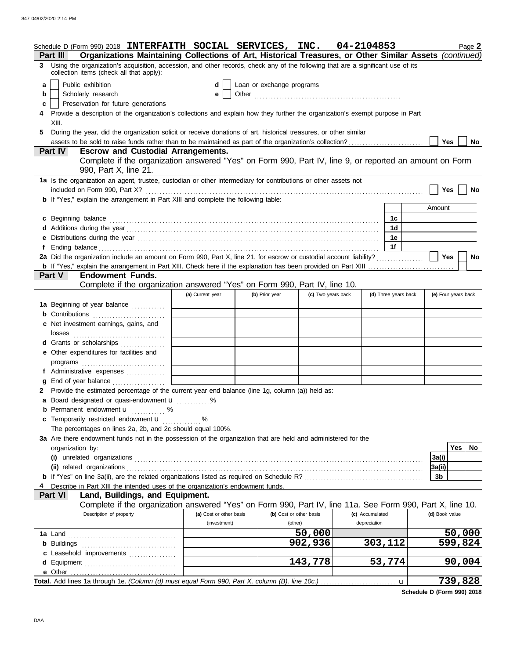|    | Schedule D (Form 990) 2018 INTERFAITH SOCIAL SERVICES, INC. $04-2104853$                                                                                                     |   |                                         |                           |                                    |                                 |                      |                     |        | Page 2    |
|----|------------------------------------------------------------------------------------------------------------------------------------------------------------------------------|---|-----------------------------------------|---------------------------|------------------------------------|---------------------------------|----------------------|---------------------|--------|-----------|
|    | Organizations Maintaining Collections of Art, Historical Treasures, or Other Similar Assets (continued)<br>Part III                                                          |   |                                         |                           |                                    |                                 |                      |                     |        |           |
| 3. | Using the organization's acquisition, accession, and other records, check any of the following that are a significant use of its<br>collection items (check all that apply): |   |                                         |                           |                                    |                                 |                      |                     |        |           |
| a  | Public exhibition                                                                                                                                                            |   | d                                       | Loan or exchange programs |                                    |                                 |                      |                     |        |           |
| b  | Scholarly research                                                                                                                                                           |   | е                                       |                           |                                    |                                 |                      |                     |        |           |
| c  | Preservation for future generations                                                                                                                                          |   |                                         |                           |                                    |                                 |                      |                     |        |           |
|    | Provide a description of the organization's collections and explain how they further the organization's exempt purpose in Part                                               |   |                                         |                           |                                    |                                 |                      |                     |        |           |
|    | XIII.                                                                                                                                                                        |   |                                         |                           |                                    |                                 |                      |                     |        |           |
| 5  | During the year, did the organization solicit or receive donations of art, historical treasures, or other similar                                                            |   |                                         |                           |                                    |                                 |                      |                     |        |           |
|    |                                                                                                                                                                              |   |                                         |                           |                                    |                                 |                      | Yes                 |        | No        |
|    | <b>Escrow and Custodial Arrangements.</b><br><b>Part IV</b>                                                                                                                  |   |                                         |                           |                                    |                                 |                      |                     |        |           |
|    | Complete if the organization answered "Yes" on Form 990, Part IV, line 9, or reported an amount on Form                                                                      |   |                                         |                           |                                    |                                 |                      |                     |        |           |
|    | 990, Part X, line 21.                                                                                                                                                        |   |                                         |                           |                                    |                                 |                      |                     |        |           |
|    | 1a Is the organization an agent, trustee, custodian or other intermediary for contributions or other assets not                                                              |   |                                         |                           |                                    |                                 |                      |                     |        |           |
|    | included on Form 990, Part X?                                                                                                                                                |   |                                         |                           |                                    |                                 |                      | Yes                 |        | No        |
|    | <b>b</b> If "Yes," explain the arrangement in Part XIII and complete the following table:                                                                                    |   |                                         |                           |                                    |                                 |                      |                     |        |           |
|    |                                                                                                                                                                              |   |                                         |                           |                                    |                                 |                      | Amount              |        |           |
| C  | Beginning balance                                                                                                                                                            |   |                                         |                           |                                    |                                 | 1c                   |                     |        |           |
|    |                                                                                                                                                                              |   |                                         |                           |                                    |                                 | 1d                   |                     |        |           |
|    |                                                                                                                                                                              |   |                                         |                           |                                    |                                 | 1e                   |                     |        |           |
|    |                                                                                                                                                                              |   |                                         |                           |                                    |                                 | 1f                   |                     |        |           |
|    | 2a Did the organization include an amount on Form 990, Part X, line 21, for escrow or custodial account liability?                                                           |   |                                         |                           |                                    |                                 |                      | Yes                 |        | <b>No</b> |
|    |                                                                                                                                                                              |   |                                         |                           |                                    |                                 |                      |                     |        |           |
|    | <b>Endowment Funds.</b><br>Part V                                                                                                                                            |   |                                         |                           |                                    |                                 |                      |                     |        |           |
|    | Complete if the organization answered "Yes" on Form 990, Part IV, line 10.                                                                                                   |   |                                         |                           |                                    |                                 |                      |                     |        |           |
|    |                                                                                                                                                                              |   | (a) Current year                        | (b) Prior year            | (c) Two years back                 |                                 | (d) Three years back | (e) Four years back |        |           |
|    | 1a Beginning of year balance                                                                                                                                                 |   |                                         |                           |                                    |                                 |                      |                     |        |           |
|    | <b>b</b> Contributions <b>contributions</b>                                                                                                                                  |   |                                         |                           |                                    |                                 |                      |                     |        |           |
|    | c Net investment earnings, gains, and                                                                                                                                        |   |                                         |                           |                                    |                                 |                      |                     |        |           |
|    | losses                                                                                                                                                                       |   |                                         |                           |                                    |                                 |                      |                     |        |           |
|    | d Grants or scholarships                                                                                                                                                     |   |                                         |                           |                                    |                                 |                      |                     |        |           |
|    | e Other expenditures for facilities and                                                                                                                                      |   |                                         |                           |                                    |                                 |                      |                     |        |           |
|    |                                                                                                                                                                              |   |                                         |                           |                                    |                                 |                      |                     |        |           |
|    | f Administrative expenses                                                                                                                                                    |   |                                         |                           |                                    |                                 |                      |                     |        |           |
|    | End of year balance                                                                                                                                                          |   |                                         |                           |                                    |                                 |                      |                     |        |           |
|    | 2 Provide the estimated percentage of the current year end balance (line 1g, column (a)) held as:                                                                            |   |                                         |                           |                                    |                                 |                      |                     |        |           |
|    | a Board designated or quasi-endowment <b>u</b> %                                                                                                                             |   |                                         |                           |                                    |                                 |                      |                     |        |           |
|    | <b>b</b> Permanent endowment <b>u</b> %                                                                                                                                      |   |                                         |                           |                                    |                                 |                      |                     |        |           |
|    | c Temporarily restricted endowment u                                                                                                                                         |   | ℅                                       |                           |                                    |                                 |                      |                     |        |           |
|    | The percentages on lines 2a, 2b, and 2c should equal 100%.                                                                                                                   | . |                                         |                           |                                    |                                 |                      |                     |        |           |
|    | 3a Are there endowment funds not in the possession of the organization that are held and administered for the                                                                |   |                                         |                           |                                    |                                 |                      |                     |        |           |
|    |                                                                                                                                                                              |   |                                         |                           |                                    |                                 |                      |                     | Yes    | No.       |
|    | organization by:<br>(i) unrelated organizations                                                                                                                              |   |                                         |                           |                                    |                                 |                      |                     |        |           |
|    |                                                                                                                                                                              |   |                                         |                           |                                    |                                 |                      | 3a(i)               |        |           |
|    | (ii) related organizations                                                                                                                                                   |   |                                         |                           |                                    |                                 |                      | 3a(ii)              |        |           |
|    | <b>b</b> If "Yes" on line 3a(ii), are the related organizations listed as required on Schedule R? [[[[[[[[[[[[[[[[[[]]]]]]                                                   |   |                                         |                           |                                    |                                 |                      | 3b                  |        |           |
|    | Describe in Part XIII the intended uses of the organization's endowment funds.                                                                                               |   |                                         |                           |                                    |                                 |                      |                     |        |           |
|    | Land, Buildings, and Equipment.<br>Part VI                                                                                                                                   |   |                                         |                           |                                    |                                 |                      |                     |        |           |
|    | Complete if the organization answered "Yes" on Form 990, Part IV, line 11a. See Form 990, Part X, line 10.                                                                   |   |                                         |                           |                                    |                                 |                      |                     |        |           |
|    | Description of property                                                                                                                                                      |   | (a) Cost or other basis<br>(investment) |                           | (b) Cost or other basis<br>(other) | (c) Accumulated<br>depreciation |                      | (d) Book value      |        |           |
|    |                                                                                                                                                                              |   |                                         |                           |                                    |                                 |                      |                     |        |           |
|    |                                                                                                                                                                              |   |                                         |                           | 50,000                             |                                 |                      |                     | 50,000 |           |
|    | <b>b</b> Buildings                                                                                                                                                           |   |                                         |                           | 902,936                            |                                 | 303,112              | 599,824             |        |           |
|    | c Leasehold improvements                                                                                                                                                     |   |                                         |                           |                                    |                                 |                      |                     |        |           |
|    | d Equipment                                                                                                                                                                  |   |                                         |                           | 143,778                            |                                 | 53,774               |                     | 90,004 |           |
|    |                                                                                                                                                                              |   |                                         |                           |                                    |                                 |                      |                     |        |           |
|    |                                                                                                                                                                              |   |                                         |                           |                                    |                                 | $\mathbf u$          | 739,828             |        |           |

**Schedule D (Form 990) 2018**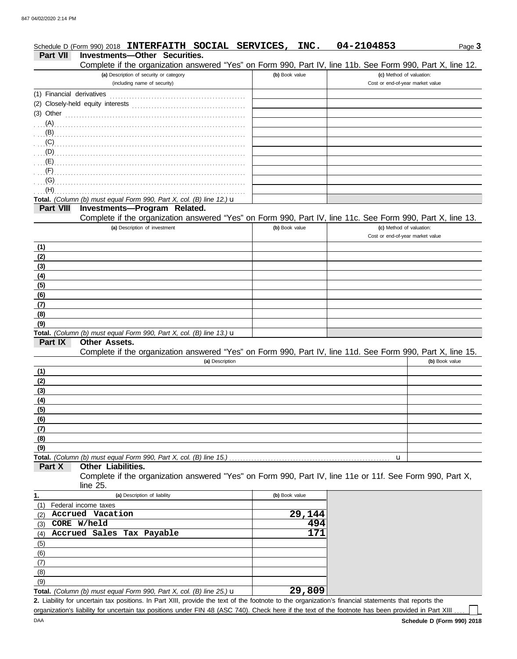|                           | Schedule D (Form 990) 2018 INTERFAITH SOCIAL SERVICES, INC.                                                                                          |                |        | 04-2104853 | Page 3                                                       |
|---------------------------|------------------------------------------------------------------------------------------------------------------------------------------------------|----------------|--------|------------|--------------------------------------------------------------|
| Part VII                  | <b>Investments-Other Securities.</b>                                                                                                                 |                |        |            |                                                              |
|                           | Complete if the organization answered "Yes" on Form 990, Part IV, line 11b. See Form 990, Part X, line 12.                                           |                |        |            |                                                              |
|                           | (a) Description of security or category<br>(including name of security)                                                                              | (b) Book value |        |            | (c) Method of valuation:<br>Cost or end-of-year market value |
|                           |                                                                                                                                                      |                |        |            |                                                              |
| (1) Financial derivatives |                                                                                                                                                      |                |        |            |                                                              |
|                           |                                                                                                                                                      |                |        |            |                                                              |
|                           | $(3)$ Other $\ldots$ and $\ldots$ and $\ldots$ and $\ldots$ and $\ldots$ and $\ldots$ and $\ldots$                                                   |                |        |            |                                                              |
|                           |                                                                                                                                                      |                |        |            |                                                              |
|                           |                                                                                                                                                      |                |        |            |                                                              |
|                           |                                                                                                                                                      |                |        |            |                                                              |
|                           |                                                                                                                                                      |                |        |            |                                                              |
|                           |                                                                                                                                                      |                |        |            |                                                              |
| (G)                       |                                                                                                                                                      |                |        |            |                                                              |
| (H)                       |                                                                                                                                                      |                |        |            |                                                              |
|                           | Total. (Column (b) must equal Form 990, Part X, col. (B) line 12.) $\mathbf u$                                                                       |                |        |            |                                                              |
| <b>Part VIII</b>          | Investments-Program Related.                                                                                                                         |                |        |            |                                                              |
|                           | Complete if the organization answered "Yes" on Form 990, Part IV, line 11c. See Form 990, Part X, line 13.                                           |                |        |            |                                                              |
|                           | (a) Description of investment                                                                                                                        | (b) Book value |        |            | (c) Method of valuation:                                     |
|                           |                                                                                                                                                      |                |        |            | Cost or end-of-year market value                             |
| (1)                       |                                                                                                                                                      |                |        |            |                                                              |
| (2)                       |                                                                                                                                                      |                |        |            |                                                              |
| (3)                       |                                                                                                                                                      |                |        |            |                                                              |
| (4)                       |                                                                                                                                                      |                |        |            |                                                              |
| (5)                       |                                                                                                                                                      |                |        |            |                                                              |
| (6)                       |                                                                                                                                                      |                |        |            |                                                              |
| (7)                       |                                                                                                                                                      |                |        |            |                                                              |
| (8)                       |                                                                                                                                                      |                |        |            |                                                              |
| (9)                       |                                                                                                                                                      |                |        |            |                                                              |
|                           | Total. (Column (b) must equal Form 990, Part X, col. (B) line 13.) $\mathbf u$                                                                       |                |        |            |                                                              |
| Part IX                   | Other Assets.                                                                                                                                        |                |        |            |                                                              |
|                           | Complete if the organization answered "Yes" on Form 990, Part IV, line 11d. See Form 990, Part X, line 15.                                           |                |        |            | (b) Book value                                               |
|                           | (a) Description                                                                                                                                      |                |        |            |                                                              |
| (1)<br>(2)                |                                                                                                                                                      |                |        |            |                                                              |
| (3)                       |                                                                                                                                                      |                |        |            |                                                              |
| (4)                       |                                                                                                                                                      |                |        |            |                                                              |
| (5)                       |                                                                                                                                                      |                |        |            |                                                              |
| (6)                       |                                                                                                                                                      |                |        |            |                                                              |
| (7)                       |                                                                                                                                                      |                |        |            |                                                              |
| (8)                       |                                                                                                                                                      |                |        |            |                                                              |
| (9)                       |                                                                                                                                                      |                |        |            |                                                              |
|                           | Total. (Column (b) must equal Form 990, Part X, col. (B) line 15.)                                                                                   |                |        | u          |                                                              |
| Part X                    | Other Liabilities.                                                                                                                                   |                |        |            |                                                              |
|                           | Complete if the organization answered "Yes" on Form 990, Part IV, line 11e or 11f. See Form 990, Part X,                                             |                |        |            |                                                              |
|                           | line 25.                                                                                                                                             |                |        |            |                                                              |
| 1.                        | (a) Description of liability                                                                                                                         | (b) Book value |        |            |                                                              |
| (1)                       | Federal income taxes                                                                                                                                 |                |        |            |                                                              |
| (2)                       | Accrued Vacation                                                                                                                                     |                | 29,144 |            |                                                              |
| (3)                       | CORE W/held                                                                                                                                          |                | 494    |            |                                                              |
| (4)                       | Accrued Sales Tax Payable                                                                                                                            |                | 171    |            |                                                              |
| (5)                       |                                                                                                                                                      |                |        |            |                                                              |
| (6)                       |                                                                                                                                                      |                |        |            |                                                              |
| (7)                       |                                                                                                                                                      |                |        |            |                                                              |
| (8)                       |                                                                                                                                                      |                |        |            |                                                              |
| (9)                       |                                                                                                                                                      |                |        |            |                                                              |
|                           | Total. (Column (b) must equal Form 990, Part X, col. (B) line 25.) $\mathbf u$                                                                       |                | 29,809 |            |                                                              |
|                           | 2. Liability for uncertain tax positions. In Part XIII, provide the text of the footnote to the organization's financial statements that reports the |                |        |            |                                                              |

organization's liability for uncertain tax positions under FIN 48 (ASC 740). Check here if the text of the footnote has been provided in Part XIII ....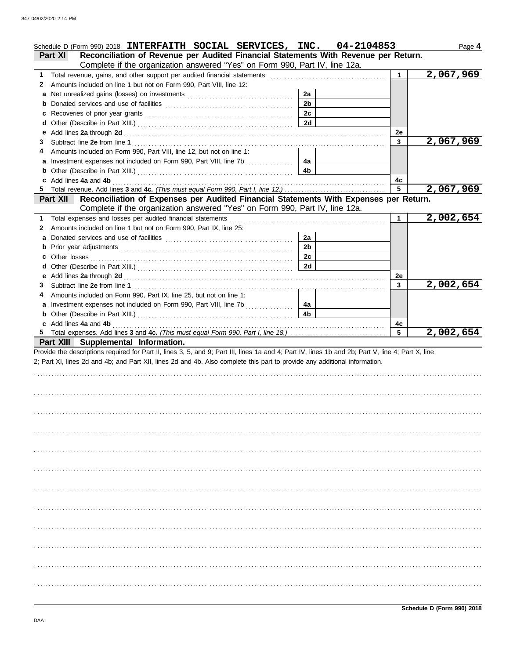|    | Schedule D (Form 990) 2018 INTERFAITH SOCIAL SERVICES, INC. 04-2104853                                                                                                          |                |              | Page 4    |
|----|---------------------------------------------------------------------------------------------------------------------------------------------------------------------------------|----------------|--------------|-----------|
|    | Reconciliation of Revenue per Audited Financial Statements With Revenue per Return.<br><b>Part XI</b>                                                                           |                |              |           |
|    | Complete if the organization answered "Yes" on Form 990, Part IV, line 12a.                                                                                                     |                |              |           |
| 1. | Total revenue, gains, and other support per audited financial statements                                                                                                        |                | 1            | 2,067,969 |
| 2  | Amounts included on line 1 but not on Form 990, Part VIII, line 12:                                                                                                             |                |              |           |
|    |                                                                                                                                                                                 | 2a             |              |           |
|    |                                                                                                                                                                                 | 2 <sub>b</sub> |              |           |
| c  |                                                                                                                                                                                 | 2c             |              |           |
| d  |                                                                                                                                                                                 | 2d             |              |           |
| е  |                                                                                                                                                                                 |                | 2e           |           |
| 3  |                                                                                                                                                                                 |                | 3            | 2,067,969 |
| 4  | Amounts included on Form 990, Part VIII, line 12, but not on line 1:                                                                                                            |                |              |           |
|    | Investment expenses not included on Form 990, Part VIII, line 7b                                                                                                                | 4а             |              |           |
|    |                                                                                                                                                                                 | 4b             |              |           |
| 5  | c Add lines 4a and 4b<br>Total revenue. Add lines 3 and 4c. (This must equal Form 990, Part I, line 12.)                                                                        |                | 4c<br>5      | 2,067,969 |
|    | Reconciliation of Expenses per Audited Financial Statements With Expenses per Return.<br><b>Part XII</b>                                                                        |                |              |           |
|    | Complete if the organization answered "Yes" on Form 990, Part IV, line 12a.                                                                                                     |                |              |           |
| 1. | Total expenses and losses per audited financial statements                                                                                                                      |                | 1            | 2,002,654 |
| 2  | Amounts included on line 1 but not on Form 990, Part IX, line 25:                                                                                                               |                |              |           |
|    |                                                                                                                                                                                 | 2a             |              |           |
|    |                                                                                                                                                                                 | 2 <sub>b</sub> |              |           |
|    | Other losses                                                                                                                                                                    | 2c             |              |           |
| d  |                                                                                                                                                                                 | 2d             |              |           |
| е  |                                                                                                                                                                                 |                | 2e           |           |
| 3  |                                                                                                                                                                                 |                | $\mathbf{3}$ | 2,002,654 |
| 4  | Amounts included on Form 990, Part IX, line 25, but not on line 1:                                                                                                              |                |              |           |
|    | Investment expenses not included on Form 990, Part VIII, line 7b<br>and a straightful and a straightful and a straightful and a straightful and a straightful and a straightful | 4a             |              |           |
|    |                                                                                                                                                                                 | 4 <sub>b</sub> |              |           |
| b  |                                                                                                                                                                                 |                |              |           |
|    |                                                                                                                                                                                 |                | 4с           |           |
| 5  | c Add lines 4a and 4b                                                                                                                                                           |                | 5            | 2,002,654 |
|    | Part XIII Supplemental Information.                                                                                                                                             |                |              |           |
|    | Provide the descriptions required for Part II, lines 3, 5, and 9; Part III, lines 1a and 4; Part IV, lines 1b and 2b; Part V, line 4; Part X, line                              |                |              |           |
|    | 2; Part XI, lines 2d and 4b; and Part XII, lines 2d and 4b. Also complete this part to provide any additional information.                                                      |                |              |           |
|    |                                                                                                                                                                                 |                |              |           |
|    |                                                                                                                                                                                 |                |              |           |
|    |                                                                                                                                                                                 |                |              |           |
|    |                                                                                                                                                                                 |                |              |           |
|    |                                                                                                                                                                                 |                |              |           |
|    |                                                                                                                                                                                 |                |              |           |
|    |                                                                                                                                                                                 |                |              |           |
|    |                                                                                                                                                                                 |                |              |           |
|    |                                                                                                                                                                                 |                |              |           |
|    |                                                                                                                                                                                 |                |              |           |
|    |                                                                                                                                                                                 |                |              |           |
|    |                                                                                                                                                                                 |                |              |           |
|    |                                                                                                                                                                                 |                |              |           |
|    |                                                                                                                                                                                 |                |              |           |
|    |                                                                                                                                                                                 |                |              |           |
|    |                                                                                                                                                                                 |                |              |           |
|    |                                                                                                                                                                                 |                |              |           |
|    |                                                                                                                                                                                 |                |              |           |
|    |                                                                                                                                                                                 |                |              |           |
|    |                                                                                                                                                                                 |                |              |           |
|    |                                                                                                                                                                                 |                |              |           |
|    |                                                                                                                                                                                 |                |              |           |
|    |                                                                                                                                                                                 |                |              |           |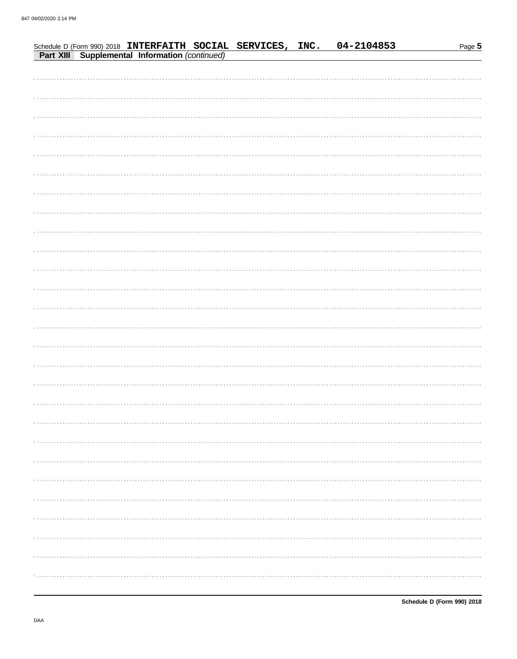|  |                                                                                                               |  | 04-2104853 | Page 5 |
|--|---------------------------------------------------------------------------------------------------------------|--|------------|--------|
|  | Schedule D (Form 990) 2018 INTERFAITH SOCIAL SERVICES, INC.<br>Part XIII Supplemental Information (continued) |  |            |        |
|  |                                                                                                               |  |            |        |
|  |                                                                                                               |  |            |        |
|  |                                                                                                               |  |            |        |
|  |                                                                                                               |  |            |        |
|  |                                                                                                               |  |            |        |
|  |                                                                                                               |  |            |        |
|  |                                                                                                               |  |            |        |
|  |                                                                                                               |  |            |        |
|  |                                                                                                               |  |            |        |
|  |                                                                                                               |  |            |        |
|  |                                                                                                               |  |            |        |
|  |                                                                                                               |  |            |        |
|  |                                                                                                               |  |            |        |
|  |                                                                                                               |  |            |        |
|  |                                                                                                               |  |            |        |
|  |                                                                                                               |  |            |        |
|  |                                                                                                               |  |            |        |
|  |                                                                                                               |  |            |        |
|  |                                                                                                               |  |            |        |
|  |                                                                                                               |  |            |        |
|  |                                                                                                               |  |            |        |
|  |                                                                                                               |  |            |        |
|  |                                                                                                               |  |            |        |
|  |                                                                                                               |  |            |        |
|  |                                                                                                               |  |            |        |
|  |                                                                                                               |  |            |        |
|  |                                                                                                               |  |            |        |
|  |                                                                                                               |  |            |        |
|  |                                                                                                               |  |            |        |
|  |                                                                                                               |  |            |        |
|  |                                                                                                               |  |            |        |
|  |                                                                                                               |  |            |        |
|  |                                                                                                               |  |            |        |
|  |                                                                                                               |  |            |        |
|  |                                                                                                               |  |            |        |
|  |                                                                                                               |  |            |        |
|  |                                                                                                               |  |            |        |
|  |                                                                                                               |  |            |        |
|  |                                                                                                               |  |            |        |
|  |                                                                                                               |  |            |        |
|  |                                                                                                               |  |            |        |
|  |                                                                                                               |  |            |        |
|  |                                                                                                               |  |            |        |
|  |                                                                                                               |  |            |        |
|  |                                                                                                               |  |            |        |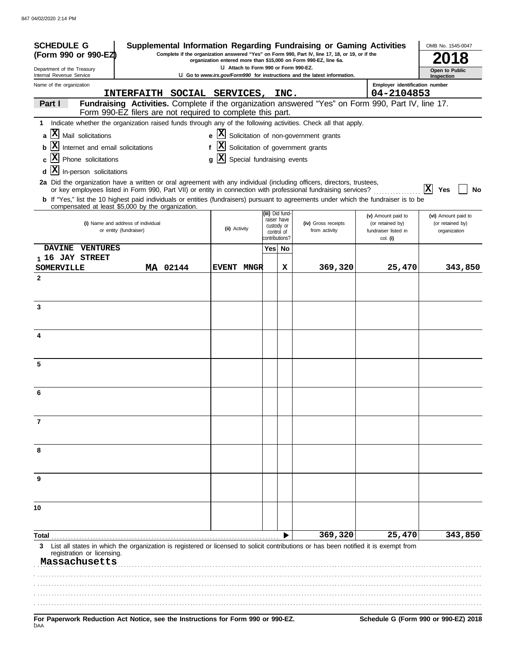| <b>SCHEDULE G</b><br>(Form 990 or 990-EZ)                                                                                                                                                                                                |                                  |   |               |                                       |        |                                | Supplemental Information Regarding Fundraising or Gaming Activities<br>Complete if the organization answered "Yes" on Form 990, Part IV, line 17, 18, or 19, or if the<br>organization entered more than \$15,000 on Form 990-EZ, line 6a. |                                          |   | OMB No. 1545-0047                |         |
|------------------------------------------------------------------------------------------------------------------------------------------------------------------------------------------------------------------------------------------|----------------------------------|---|---------------|---------------------------------------|--------|--------------------------------|--------------------------------------------------------------------------------------------------------------------------------------------------------------------------------------------------------------------------------------------|------------------------------------------|---|----------------------------------|---------|
| Department of the Treasury<br>Internal Revenue Service                                                                                                                                                                                   |                                  |   |               | LI Attach to Form 990 or Form 990-EZ. |        |                                | U Go to www.irs.gov/Form990 for instructions and the latest information.                                                                                                                                                                   |                                          |   | Open to Public<br>Inspection     |         |
| Name of the organization                                                                                                                                                                                                                 |                                  |   |               |                                       |        |                                |                                                                                                                                                                                                                                            | Employer identification number           |   |                                  |         |
|                                                                                                                                                                                                                                          | INTERFAITH SOCIAL SERVICES, INC. |   |               |                                       |        |                                |                                                                                                                                                                                                                                            | 04-2104853                               |   |                                  |         |
| Part I<br>Form 990-EZ filers are not required to complete this part.                                                                                                                                                                     |                                  |   |               |                                       |        |                                | Fundraising Activities. Complete if the organization answered "Yes" on Form 990, Part IV, line 17.                                                                                                                                         |                                          |   |                                  |         |
| 1 Indicate whether the organization raised funds through any of the following activities. Check all that apply.                                                                                                                          |                                  |   |               |                                       |        |                                |                                                                                                                                                                                                                                            |                                          |   |                                  |         |
| Mail solicitations<br>a                                                                                                                                                                                                                  |                                  |   |               |                                       |        |                                | $\mathbf{e}$ $\mathbf{X}$ Solicitation of non-government grants                                                                                                                                                                            |                                          |   |                                  |         |
| Internet and email solicitations<br>b                                                                                                                                                                                                    |                                  | f |               |                                       |        |                                | X Solicitation of government grants                                                                                                                                                                                                        |                                          |   |                                  |         |
| Phone solicitations                                                                                                                                                                                                                      |                                  | q |               | X Special fundraising events          |        |                                |                                                                                                                                                                                                                                            |                                          |   |                                  |         |
| $ {\bf X} $<br>In-person solicitations<br>d                                                                                                                                                                                              |                                  |   |               |                                       |        |                                |                                                                                                                                                                                                                                            |                                          |   |                                  |         |
| 2a Did the organization have a written or oral agreement with any individual (including officers, directors, trustees,<br>or key employees listed in Form 990, Part VII) or entity in connection with professional fundraising services? |                                  |   |               |                                       |        |                                |                                                                                                                                                                                                                                            |                                          | X | Yes                              | No      |
| <b>b</b> If "Yes," list the 10 highest paid individuals or entities (fundraisers) pursuant to agreements under which the fundraiser is to be<br>compensated at least \$5,000 by the organization.                                        |                                  |   |               |                                       |        |                                |                                                                                                                                                                                                                                            |                                          |   |                                  |         |
|                                                                                                                                                                                                                                          |                                  |   |               |                                       |        | (iii) Did fund-<br>raiser have |                                                                                                                                                                                                                                            | (v) Amount paid to                       |   | (vi) Amount paid to              |         |
| (i) Name and address of individual<br>or entity (fundraiser)                                                                                                                                                                             |                                  |   | (ii) Activity |                                       |        | custody or<br>control of       | (iv) Gross receipts<br>from activity                                                                                                                                                                                                       | (or retained by)<br>fundraiser listed in |   | (or retained by)<br>organization |         |
|                                                                                                                                                                                                                                          |                                  |   |               |                                       |        | contributions?                 |                                                                                                                                                                                                                                            | col. (i)                                 |   |                                  |         |
| DAVINE VENTURES                                                                                                                                                                                                                          |                                  |   |               |                                       | Yes No |                                |                                                                                                                                                                                                                                            |                                          |   |                                  |         |
| <sub>1</sub> 16 JAY STREET<br><b>SOMERVILLE</b>                                                                                                                                                                                          | MA 02144                         |   |               | EVENT MNGR                            |        | x                              | 369,320                                                                                                                                                                                                                                    | 25,470                                   |   |                                  | 343,850 |
| $\mathbf{2}$                                                                                                                                                                                                                             |                                  |   |               |                                       |        |                                |                                                                                                                                                                                                                                            |                                          |   |                                  |         |
|                                                                                                                                                                                                                                          |                                  |   |               |                                       |        |                                |                                                                                                                                                                                                                                            |                                          |   |                                  |         |
|                                                                                                                                                                                                                                          |                                  |   |               |                                       |        |                                |                                                                                                                                                                                                                                            |                                          |   |                                  |         |
| 3                                                                                                                                                                                                                                        |                                  |   |               |                                       |        |                                |                                                                                                                                                                                                                                            |                                          |   |                                  |         |
|                                                                                                                                                                                                                                          |                                  |   |               |                                       |        |                                |                                                                                                                                                                                                                                            |                                          |   |                                  |         |
| 4                                                                                                                                                                                                                                        |                                  |   |               |                                       |        |                                |                                                                                                                                                                                                                                            |                                          |   |                                  |         |
|                                                                                                                                                                                                                                          |                                  |   |               |                                       |        |                                |                                                                                                                                                                                                                                            |                                          |   |                                  |         |
| 5                                                                                                                                                                                                                                        |                                  |   |               |                                       |        |                                |                                                                                                                                                                                                                                            |                                          |   |                                  |         |
|                                                                                                                                                                                                                                          |                                  |   |               |                                       |        |                                |                                                                                                                                                                                                                                            |                                          |   |                                  |         |
|                                                                                                                                                                                                                                          |                                  |   |               |                                       |        |                                |                                                                                                                                                                                                                                            |                                          |   |                                  |         |
| 6                                                                                                                                                                                                                                        |                                  |   |               |                                       |        |                                |                                                                                                                                                                                                                                            |                                          |   |                                  |         |
|                                                                                                                                                                                                                                          |                                  |   |               |                                       |        |                                |                                                                                                                                                                                                                                            |                                          |   |                                  |         |
| 7                                                                                                                                                                                                                                        |                                  |   |               |                                       |        |                                |                                                                                                                                                                                                                                            |                                          |   |                                  |         |
|                                                                                                                                                                                                                                          |                                  |   |               |                                       |        |                                |                                                                                                                                                                                                                                            |                                          |   |                                  |         |
| 8                                                                                                                                                                                                                                        |                                  |   |               |                                       |        |                                |                                                                                                                                                                                                                                            |                                          |   |                                  |         |
|                                                                                                                                                                                                                                          |                                  |   |               |                                       |        |                                |                                                                                                                                                                                                                                            |                                          |   |                                  |         |
|                                                                                                                                                                                                                                          |                                  |   |               |                                       |        |                                |                                                                                                                                                                                                                                            |                                          |   |                                  |         |
| 9                                                                                                                                                                                                                                        |                                  |   |               |                                       |        |                                |                                                                                                                                                                                                                                            |                                          |   |                                  |         |
|                                                                                                                                                                                                                                          |                                  |   |               |                                       |        |                                |                                                                                                                                                                                                                                            |                                          |   |                                  |         |
| 10                                                                                                                                                                                                                                       |                                  |   |               |                                       |        |                                |                                                                                                                                                                                                                                            |                                          |   |                                  |         |
|                                                                                                                                                                                                                                          |                                  |   |               |                                       |        |                                |                                                                                                                                                                                                                                            |                                          |   |                                  |         |
|                                                                                                                                                                                                                                          |                                  |   |               |                                       |        |                                | 369,320                                                                                                                                                                                                                                    | 25,470                                   |   |                                  | 343,850 |
| Total<br>List all states in which the organization is registered or licensed to solicit contributions or has been notified it is exempt from<br>3                                                                                        |                                  |   |               |                                       |        |                                |                                                                                                                                                                                                                                            |                                          |   |                                  |         |
| registration or licensing.<br>Massachusetts                                                                                                                                                                                              |                                  |   |               |                                       |        |                                |                                                                                                                                                                                                                                            |                                          |   |                                  |         |
|                                                                                                                                                                                                                                          |                                  |   |               |                                       |        |                                |                                                                                                                                                                                                                                            |                                          |   |                                  |         |
|                                                                                                                                                                                                                                          |                                  |   |               |                                       |        |                                |                                                                                                                                                                                                                                            |                                          |   |                                  |         |
|                                                                                                                                                                                                                                          |                                  |   |               |                                       |        |                                |                                                                                                                                                                                                                                            |                                          |   |                                  |         |
|                                                                                                                                                                                                                                          |                                  |   |               |                                       |        |                                |                                                                                                                                                                                                                                            |                                          |   |                                  |         |
| For Paperwork Reduction Act Notice, see the Instructions for Form 990 or 990-EZ.<br><b>DAA</b>                                                                                                                                           |                                  |   |               |                                       |        |                                |                                                                                                                                                                                                                                            | Schedule G (Form 990 or 990-EZ) 2018     |   |                                  |         |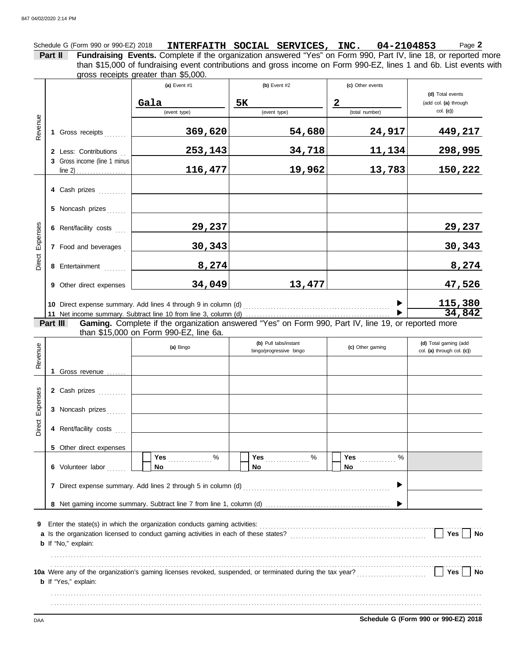Schedule G (Form 990 or 990-EZ) 2018 **INTERFAITH SOCIAL SERVICES, INC.** 04-2104853 Page 2 **Part II Fundraising Events.** Complete if the organization answered "Yes" on Form 990, Part IV, line 18, or reported more than \$15,000 of fundraising event contributions and gross income on Form 990-EZ, lines 1 and 6b. List events with gross receipts greater than \$5,000. 

|                 |                              | (a) Event $#1$                                                                                      | (b) Event $#2$ | (c) Other events |                       |
|-----------------|------------------------------|-----------------------------------------------------------------------------------------------------|----------------|------------------|-----------------------|
|                 |                              |                                                                                                     |                |                  | (d) Total events      |
|                 |                              | Gala                                                                                                | <b>5K</b>      | $\mathbf{2}$     | (add col. (a) through |
|                 |                              | (event type)                                                                                        | (event type)   | (total number)   | col. (c)              |
| Revenue         | 1 Gross receipts             | 369,620                                                                                             | 54,680         | 24,917           | 449,217               |
|                 | 2 Less: Contributions        | 253, 143                                                                                            | 34,718         | 11,134           | 298,995               |
|                 | 3 Gross income (line 1 minus | 116,477                                                                                             | 19,962         | 13,783           | 150,222               |
|                 | 4 Cash prizes                |                                                                                                     |                |                  |                       |
|                 | 5 Noncash prizes             |                                                                                                     |                |                  |                       |
|                 | 6 Rent/facility costs        | 29,237                                                                                              |                |                  | 29,237                |
| Direct Expenses | 7 Food and beverages         | 30,343                                                                                              |                |                  | 30,343                |
|                 | 8 Entertainment              | 8,274                                                                                               |                |                  | 8,274                 |
|                 | 9 Other direct expenses      | 34,049                                                                                              | 13,477         |                  | 47,526                |
|                 |                              | 10 Direct expense summary. Add lines 4 through 9 in column (d)                                      |                |                  | 115,380<br>34,842     |
|                 | Part III                     | Gaming. Complete if the organization answered "Yes" on Form 990, Part IV, line 19, or reported more |                |                  |                       |
|                 |                              | than \$15,000 on Form 990-EZ, line 6a.                                                              |                |                  |                       |
|                 |                              |                                                                                                     |                |                  |                       |

| Revenue  |                             | (a) Bingo | (b) Pull tabs/instant<br>bingo/progressive bingo | (c) Other gaming              | (d) Total gaming (add<br>col. (a) through col. (c)) |
|----------|-----------------------------|-----------|--------------------------------------------------|-------------------------------|-----------------------------------------------------|
|          | 1 Gross revenue             |           |                                                  |                               |                                                     |
|          | 2 Cash prizes               |           |                                                  |                               |                                                     |
| Expenses | 3 Noncash prizes            |           |                                                  |                               |                                                     |
| Direct   | 4 Rent/facility costs       |           |                                                  |                               |                                                     |
|          | 5 Other direct expenses     |           |                                                  |                               |                                                     |
|          | 6 Volunteer labor           | %<br>No   | Yes<br>%<br>No                                   | <b>Yes</b> <u></u><br>%<br>No |                                                     |
|          |                             |           |                                                  |                               |                                                     |
|          |                             |           |                                                  |                               |                                                     |
| 9        | <b>b</b> If "No," explain:  |           |                                                  |                               | Yes<br><b>No</b>                                    |
|          | <b>b</b> If "Yes," explain: |           |                                                  |                               | Yes<br><b>No</b>                                    |
|          |                             |           |                                                  |                               |                                                     |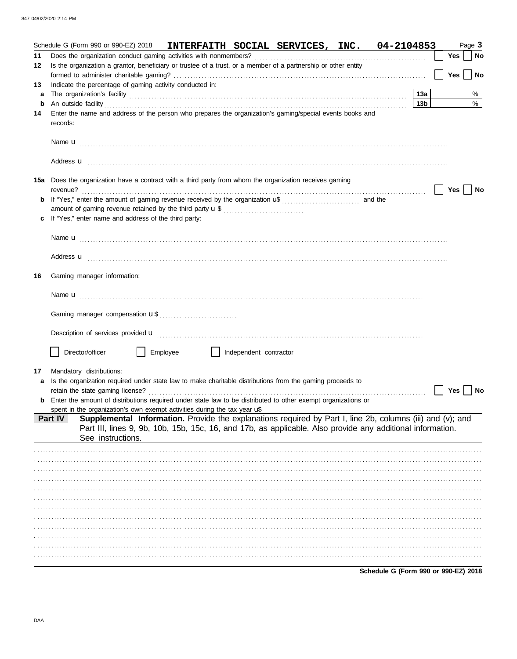|         | Schedule G (Form 990 or 990-EZ) 2018 INTERFAITH SOCIAL SERVICES, INC. 04-2104853                                                                                                                                                          |                        |     | Page 3     |
|---------|-------------------------------------------------------------------------------------------------------------------------------------------------------------------------------------------------------------------------------------------|------------------------|-----|------------|
| 11      |                                                                                                                                                                                                                                           |                        | Yes | $\vert$ No |
| 12      | Is the organization a grantor, beneficiary or trustee of a trust, or a member of a partnership or other entity                                                                                                                            |                        |     |            |
|         |                                                                                                                                                                                                                                           |                        | Yes | No         |
| 13      | Indicate the percentage of gaming activity conducted in:                                                                                                                                                                                  |                        |     |            |
| a       |                                                                                                                                                                                                                                           | 13a<br>13 <sub>b</sub> |     | %          |
| b<br>14 | Enter the name and address of the person who prepares the organization's gaming/special events books and                                                                                                                                  |                        |     | %          |
|         | records:                                                                                                                                                                                                                                  |                        |     |            |
|         |                                                                                                                                                                                                                                           |                        |     |            |
|         |                                                                                                                                                                                                                                           |                        |     |            |
|         |                                                                                                                                                                                                                                           |                        |     |            |
|         | Address <b>u</b> <u>contractive and the contractive and the contractive and the contractive and the contractive and the contractive and the contractive and contract and contract and contract and contract and contract and contract</u> |                        |     |            |
|         |                                                                                                                                                                                                                                           |                        |     |            |
|         | 15a Does the organization have a contract with a third party from whom the organization receives gaming                                                                                                                                   |                        |     |            |
| b       |                                                                                                                                                                                                                                           |                        | Yes | No         |
|         |                                                                                                                                                                                                                                           |                        |     |            |
| c       | If "Yes," enter name and address of the third party:                                                                                                                                                                                      |                        |     |            |
|         |                                                                                                                                                                                                                                           |                        |     |            |
|         |                                                                                                                                                                                                                                           |                        |     |            |
|         |                                                                                                                                                                                                                                           |                        |     |            |
|         | Address <b>u</b> <u>contractive and the contractive and the contractive and the contractive and the contractive and the contractive and the contractive and contract and contract and contract and contract and contract and contract</u> |                        |     |            |
|         |                                                                                                                                                                                                                                           |                        |     |            |
| 16      | Gaming manager information:                                                                                                                                                                                                               |                        |     |            |
|         |                                                                                                                                                                                                                                           |                        |     |            |
|         |                                                                                                                                                                                                                                           |                        |     |            |
|         |                                                                                                                                                                                                                                           |                        |     |            |
|         |                                                                                                                                                                                                                                           |                        |     |            |
|         |                                                                                                                                                                                                                                           |                        |     |            |
|         |                                                                                                                                                                                                                                           |                        |     |            |
|         | Director/officer<br>Employee<br>Independent contractor                                                                                                                                                                                    |                        |     |            |
| 17      | Mandatory distributions:                                                                                                                                                                                                                  |                        |     |            |
| a       | Is the organization required under state law to make charitable distributions from the gaming proceeds to                                                                                                                                 |                        |     |            |
|         | retain the state gaming license?                                                                                                                                                                                                          |                        | Yes | No         |
|         | Enter the amount of distributions required under state law to be distributed to other exempt organizations or                                                                                                                             |                        |     |            |
|         | spent in the organization's own exempt activities during the tax year $\mathbf{u}^*$                                                                                                                                                      |                        |     |            |
|         | Supplemental Information. Provide the explanations required by Part I, line 2b, columns (iii) and (v); and<br>Part IV                                                                                                                     |                        |     |            |
|         | Part III, lines 9, 9b, 10b, 15b, 15c, 16, and 17b, as applicable. Also provide any additional information.<br>See instructions.                                                                                                           |                        |     |            |
|         |                                                                                                                                                                                                                                           |                        |     |            |
|         |                                                                                                                                                                                                                                           |                        |     |            |
|         |                                                                                                                                                                                                                                           |                        |     |            |
|         |                                                                                                                                                                                                                                           |                        |     |            |
|         |                                                                                                                                                                                                                                           |                        |     |            |
|         |                                                                                                                                                                                                                                           |                        |     |            |
|         |                                                                                                                                                                                                                                           |                        |     |            |
|         |                                                                                                                                                                                                                                           |                        |     |            |
|         |                                                                                                                                                                                                                                           |                        |     |            |
|         |                                                                                                                                                                                                                                           |                        |     |            |
|         |                                                                                                                                                                                                                                           |                        |     |            |
|         |                                                                                                                                                                                                                                           |                        |     |            |
|         | Schedule G (Form 990 or 990-EZ) 2018                                                                                                                                                                                                      |                        |     |            |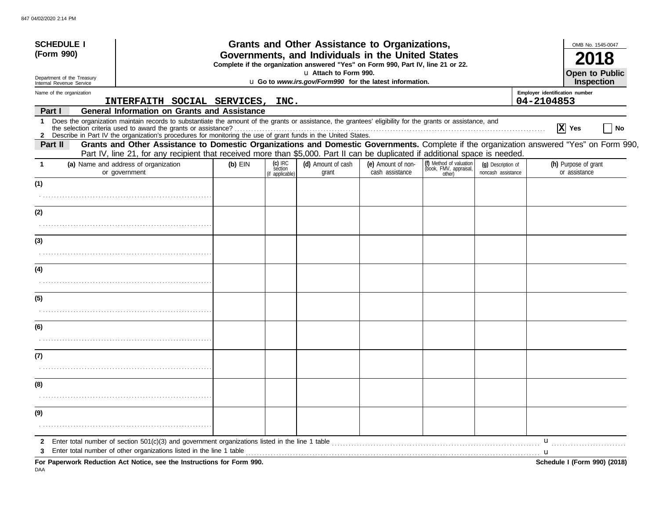| <b>SCHEDULE I</b><br>(Form 990)                                             |                                                                                                                                                                                                                                                                                                                                                 |           |                                         | Grants and Other Assistance to Organizations,<br>Governments, and Individuals in the United States                                                                   |                                       |                                                             |                                          |                                              | OMB No. 1545-0047<br>2018             |
|-----------------------------------------------------------------------------|-------------------------------------------------------------------------------------------------------------------------------------------------------------------------------------------------------------------------------------------------------------------------------------------------------------------------------------------------|-----------|-----------------------------------------|----------------------------------------------------------------------------------------------------------------------------------------------------------------------|---------------------------------------|-------------------------------------------------------------|------------------------------------------|----------------------------------------------|---------------------------------------|
| Department of the Treasury<br>Internal Revenue Service                      |                                                                                                                                                                                                                                                                                                                                                 |           |                                         | Complete if the organization answered "Yes" on Form 990, Part IV, line 21 or 22.<br>u Attach to Form 990.<br>u Go to www.irs.gov/Form990 for the latest information. |                                       |                                                             |                                          |                                              | <b>Open to Public</b><br>Inspection   |
| Name of the organization                                                    | INTERFAITH SOCIAL SERVICES,                                                                                                                                                                                                                                                                                                                     |           | INC.                                    |                                                                                                                                                                      |                                       |                                                             |                                          | Employer identification number<br>04-2104853 |                                       |
| Part I                                                                      | <b>General Information on Grants and Assistance</b>                                                                                                                                                                                                                                                                                             |           |                                         |                                                                                                                                                                      |                                       |                                                             |                                          |                                              |                                       |
| 1                                                                           | Does the organization maintain records to substantiate the amount of the grants or assistance, the grantees' eligibility for the grants or assistance, and<br>the selection criteria used to award the grants or assistance?<br>2 Describe in Part IV the organization's procedures for monitoring the use of grant funds in the United States. |           |                                         |                                                                                                                                                                      |                                       |                                                             |                                          |                                              | $ \mathbf{X} $ Yes<br>No              |
| Part II                                                                     | Grants and Other Assistance to Domestic Organizations and Domestic Governments. Complete if the organization answered "Yes" on Form 990,<br>Part IV, line 21, for any recipient that received more than \$5,000. Part II can be duplicated if additional space is needed.                                                                       |           |                                         |                                                                                                                                                                      |                                       |                                                             |                                          |                                              |                                       |
| (a) Name and address of organization<br>or government                       |                                                                                                                                                                                                                                                                                                                                                 | $(b)$ EIN | $(c)$ IRC<br>section<br>(if applicable) | (d) Amount of cash<br>grant                                                                                                                                          | (e) Amount of non-<br>cash assistance | (f) Method of valuation<br>(book, FMV, appraisal,<br>other) | (q) Description of<br>noncash assistance |                                              | (h) Purpose of grant<br>or assistance |
| (1)                                                                         |                                                                                                                                                                                                                                                                                                                                                 |           |                                         |                                                                                                                                                                      |                                       |                                                             |                                          |                                              |                                       |
| (2)                                                                         |                                                                                                                                                                                                                                                                                                                                                 |           |                                         |                                                                                                                                                                      |                                       |                                                             |                                          |                                              |                                       |
| (3)                                                                         |                                                                                                                                                                                                                                                                                                                                                 |           |                                         |                                                                                                                                                                      |                                       |                                                             |                                          |                                              |                                       |
| (4)                                                                         |                                                                                                                                                                                                                                                                                                                                                 |           |                                         |                                                                                                                                                                      |                                       |                                                             |                                          |                                              |                                       |
| (5)                                                                         |                                                                                                                                                                                                                                                                                                                                                 |           |                                         |                                                                                                                                                                      |                                       |                                                             |                                          |                                              |                                       |
| (6)                                                                         |                                                                                                                                                                                                                                                                                                                                                 |           |                                         |                                                                                                                                                                      |                                       |                                                             |                                          |                                              |                                       |
| (7)                                                                         |                                                                                                                                                                                                                                                                                                                                                 |           |                                         |                                                                                                                                                                      |                                       |                                                             |                                          |                                              |                                       |
| (8)                                                                         |                                                                                                                                                                                                                                                                                                                                                 |           |                                         |                                                                                                                                                                      |                                       |                                                             |                                          |                                              |                                       |
|                                                                             |                                                                                                                                                                                                                                                                                                                                                 |           |                                         |                                                                                                                                                                      |                                       |                                                             |                                          |                                              |                                       |
| (9)                                                                         |                                                                                                                                                                                                                                                                                                                                                 |           |                                         |                                                                                                                                                                      |                                       |                                                             |                                          |                                              |                                       |
| 2<br>For Paperwork Reduction Act Notice, see the Instructions for Form 990. | Enter total number of section $501(c)(3)$ and government organizations listed in the line 1 table<br>Enter total number of other organizations listed in the line 1 table                                                                                                                                                                       |           |                                         |                                                                                                                                                                      |                                       |                                                             |                                          | u<br>. <b>u</b>                              | Schedule I (Form 990) (2018)          |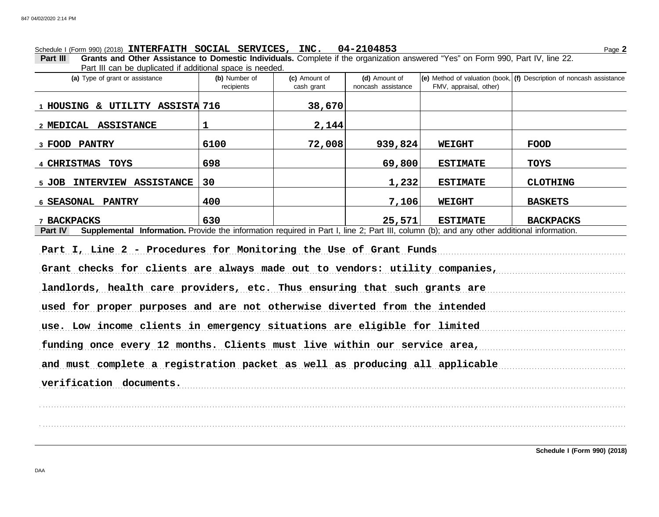# Schedule I (Form 990) (2018) Page **2 INTERFAITH SOCIAL SERVICES, INC. 04-2104853**

**Part III Grants and Other Assistance to Domestic Individuals.** Complete if the organization answered "Yes" on Form 990, Part IV, line 22. Part III can be duplicated if additional space is needed.

| i ait ill oail bo aaplioatoa li aaaltiofial opaoo lo hoodoa.<br>(a) Type of grant or assistance                                                      | (b) Number of<br>recipients | (c) Amount of<br>cash grant | (d) Amount of<br>noncash assistance | FMV, appraisal, other) | $ e $ Method of valuation (book, $ f $ Description of noncash assistance |  |  |  |
|------------------------------------------------------------------------------------------------------------------------------------------------------|-----------------------------|-----------------------------|-------------------------------------|------------------------|--------------------------------------------------------------------------|--|--|--|
| 1 HOUSING & UTILITY ASSISTA 716                                                                                                                      |                             | 38,670                      |                                     |                        |                                                                          |  |  |  |
| 2 MEDICAL ASSISTANCE                                                                                                                                 | $\mathbf{1}$                | 2,144                       |                                     |                        |                                                                          |  |  |  |
| 3 FOOD PANTRY                                                                                                                                        | 6100                        | 72,008                      | 939,824                             | <b>WEIGHT</b>          | <b>FOOD</b>                                                              |  |  |  |
| 4 CHRISTMAS TOYS                                                                                                                                     | 698                         |                             | 69,800                              | <b>ESTIMATE</b>        | <b>TOYS</b>                                                              |  |  |  |
| 5 JOB INTERVIEW ASSISTANCE                                                                                                                           | 30                          |                             | 1,232                               | <b>ESTIMATE</b>        | <b>CLOTHING</b>                                                          |  |  |  |
| 6 SEASONAL PANTRY                                                                                                                                    | 400                         |                             | 7,106                               | <b>WEIGHT</b>          | <b>BASKETS</b>                                                           |  |  |  |
| 7 BACKPACKS                                                                                                                                          | 630                         |                             | 25,571                              | <b>ESTIMATE</b>        | <b>BACKPACKS</b>                                                         |  |  |  |
| Supplemental Information. Provide the information required in Part I, line 2; Part III, column (b); and any other additional information.<br>Part IV |                             |                             |                                     |                        |                                                                          |  |  |  |
| Part I, Line 2 - Procedures for Monitoring the Use of Grant Funds                                                                                    |                             |                             |                                     |                        |                                                                          |  |  |  |
| Grant checks for clients are always made out to vendors: utility companies,                                                                          |                             |                             |                                     |                        |                                                                          |  |  |  |
| landlords, health care providers, etc. Thus ensuring that such grants are                                                                            |                             |                             |                                     |                        |                                                                          |  |  |  |
| used for proper purposes and are not otherwise diverted from the intended                                                                            |                             |                             |                                     |                        |                                                                          |  |  |  |
| use. Low income clients in emergency situations are eligible for limited                                                                             |                             |                             |                                     |                        |                                                                          |  |  |  |
| funding once every 12 months. Clients must live within our service area,                                                                             |                             |                             |                                     |                        |                                                                          |  |  |  |
| and must complete a registration packet as well as producing all applicable                                                                          |                             |                             |                                     |                        |                                                                          |  |  |  |
| verification documents.                                                                                                                              |                             |                             |                                     |                        |                                                                          |  |  |  |
|                                                                                                                                                      |                             |                             |                                     |                        |                                                                          |  |  |  |
|                                                                                                                                                      |                             |                             |                                     |                        |                                                                          |  |  |  |
|                                                                                                                                                      |                             |                             |                                     |                        |                                                                          |  |  |  |

DAA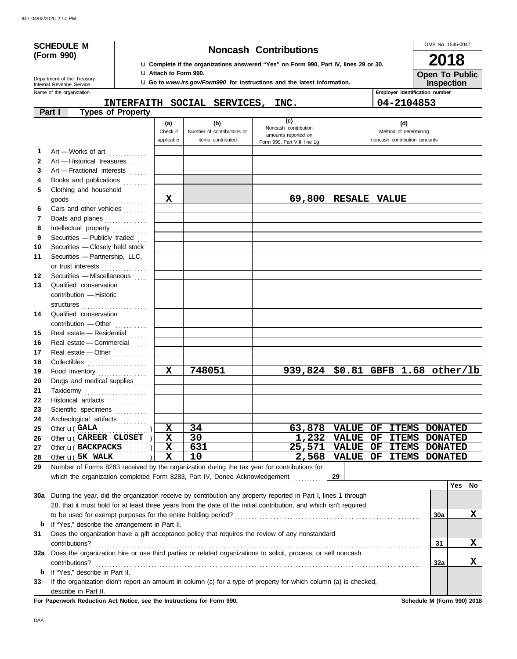# **(Form 990)**

# **SCHEDULE M Noncash Contributions**

u **Complete if the organizations answered "Yes" on Form 990, Part IV, lines 29 or 30.** u **Attach to Form 990.**

u **Go to** *www.irs.gov/Form990* **for instructions and the latest information.**

OMB No. 1545-0047 **Open To Public 2018**

**Inspection**

Name of the organization **Employer identification number Employer identification number** Internal Revenue Service Department of the Treasury

| piojoi iuominivuuon m |  |  |
|-----------------------|--|--|
| $A = 210AB52$         |  |  |

|              |                                                                                                                    |                               | INTERFAITH SOCIAL SERVICES, INC.                       |                                                                                    | 04-2104853                                                   |            |            |          |
|--------------|--------------------------------------------------------------------------------------------------------------------|-------------------------------|--------------------------------------------------------|------------------------------------------------------------------------------------|--------------------------------------------------------------|------------|------------|----------|
|              | <b>Types of Property</b><br>Part I                                                                                 |                               |                                                        |                                                                                    |                                                              |            |            |          |
|              |                                                                                                                    | (a)<br>Check if<br>applicable | (b)<br>Number of contributions or<br>items contributed | (c)<br>Noncash contribution<br>amounts reported on<br>Form 990, Part VIII, line 1g | (d)<br>Method of determining<br>noncash contribution amounts |            |            |          |
| 1            | Art - Works of art                                                                                                 |                               |                                                        |                                                                                    |                                                              |            |            |          |
| $\mathbf{2}$ | Art - Historical treasures                                                                                         |                               |                                                        |                                                                                    |                                                              |            |            |          |
| 3            | Art - Fractional interests                                                                                         |                               |                                                        |                                                                                    |                                                              |            |            |          |
| 4            | Books and publications                                                                                             |                               |                                                        |                                                                                    |                                                              |            |            |          |
| 5            | Clothing and household                                                                                             |                               |                                                        |                                                                                    |                                                              |            |            |          |
|              | goods                                                                                                              | $\mathbf x$                   |                                                        |                                                                                    | 69,800 RESALE VALUE                                          |            |            |          |
| 6            | Cars and other vehicles                                                                                            |                               |                                                        |                                                                                    |                                                              |            |            |          |
| 7            | Boats and planes                                                                                                   |                               |                                                        |                                                                                    |                                                              |            |            |          |
| 8            | Intellectual property                                                                                              |                               |                                                        |                                                                                    |                                                              |            |            |          |
| 9            | Securities - Publicly traded                                                                                       |                               |                                                        |                                                                                    |                                                              |            |            |          |
| 10           | Securities - Closely held stock                                                                                    |                               |                                                        |                                                                                    |                                                              |            |            |          |
| 11           | Securities - Partnership, LLC,                                                                                     |                               |                                                        |                                                                                    |                                                              |            |            |          |
|              | or trust interests                                                                                                 |                               |                                                        |                                                                                    |                                                              |            |            |          |
| 12           | Securities - Miscellaneous                                                                                         |                               |                                                        |                                                                                    |                                                              |            |            |          |
| 13           | Qualified conservation                                                                                             |                               |                                                        |                                                                                    |                                                              |            |            |          |
|              | contribution - Historic                                                                                            |                               |                                                        |                                                                                    |                                                              |            |            |          |
|              | structures                                                                                                         |                               |                                                        |                                                                                    |                                                              |            |            |          |
| 14           | Qualified conservation                                                                                             |                               |                                                        |                                                                                    |                                                              |            |            |          |
|              | contribution - Other                                                                                               |                               |                                                        |                                                                                    |                                                              |            |            |          |
| 15           | Real estate - Residential                                                                                          |                               |                                                        |                                                                                    |                                                              |            |            |          |
| 16           | Real estate - Commercial                                                                                           |                               |                                                        |                                                                                    |                                                              |            |            |          |
| 17           | Real estate - Other                                                                                                |                               |                                                        |                                                                                    |                                                              |            |            |          |
| 18           |                                                                                                                    |                               |                                                        |                                                                                    |                                                              |            |            |          |
| 19           | Food inventory                                                                                                     | $\mathbf{x}$                  | 748051                                                 |                                                                                    | 939,824 \$0.81 GBFB 1.68 other/lb                            |            |            |          |
| 20           | Drugs and medical supplies                                                                                         |                               |                                                        |                                                                                    |                                                              |            |            |          |
| 21           | Taxidermy                                                                                                          |                               |                                                        |                                                                                    |                                                              |            |            |          |
| 22           | Historical artifacts                                                                                               |                               |                                                        |                                                                                    |                                                              |            |            |          |
| 23           | Scientific specimens                                                                                               |                               |                                                        |                                                                                    |                                                              |            |            |          |
| 24<br>25     | Archeological artifacts<br>Other <b>u</b> (GALA                                                                    | X                             | 34                                                     |                                                                                    | $63,878$ VALUE OF<br><b>ITEMS DONATED</b>                    |            |            |          |
| 26           | Other $\mathbf{u}$ ( CAREER CLOSET )                                                                               | $\mathbf x$                   | 30                                                     |                                                                                    | 1,232 VALUE OF ITEMS DONATED                                 |            |            |          |
| 27           | Other <b>u</b> (BACKPACKS                                                                                          | X                             | 631                                                    |                                                                                    | 25,571 VALUE OF ITEMS DONATED                                |            |            |          |
| 28           | Other <b>u</b> (5K WALK<br>                                                                                        | $\mathbf X$                   | 10                                                     |                                                                                    | 2,568 VALUE OF ITEMS DONATED                                 |            |            |          |
| 29           | Number of Forms 8283 received by the organization during the tax year for contributions for                        |                               |                                                        |                                                                                    |                                                              |            |            |          |
|              | which the organization completed Form 8283, Part IV, Donee Acknowledgement                                         |                               |                                                        |                                                                                    | 29                                                           |            |            |          |
|              |                                                                                                                    |                               |                                                        |                                                                                    |                                                              |            | <b>Yes</b> | No       |
| 30a          | During the year, did the organization receive by contribution any property reported in Part I, lines 1 through     |                               |                                                        |                                                                                    |                                                              |            |            |          |
|              | 28, that it must hold for at least three years from the date of the initial contribution, and which isn't required |                               |                                                        |                                                                                    |                                                              |            |            |          |
|              | to be used for exempt purposes for the entire holding period?                                                      |                               |                                                        |                                                                                    |                                                              | <b>30a</b> |            | X        |
|              | <b>b</b> If "Yes," describe the arrangement in Part II.                                                            |                               |                                                        |                                                                                    |                                                              |            |            |          |
| 31           | Does the organization have a gift acceptance policy that requires the review of any nonstandard                    |                               |                                                        |                                                                                    |                                                              |            |            |          |
|              | contributions?                                                                                                     |                               |                                                        |                                                                                    |                                                              | 31         |            | X        |
|              | 32a Does the organization hire or use third parties or related organizations to solicit, process, or sell noncash  |                               |                                                        |                                                                                    |                                                              |            |            |          |
|              | contributions?                                                                                                     |                               |                                                        |                                                                                    |                                                              | 32a        |            | <u>x</u> |
|              | <b>b</b> If "Yes," describe in Part II.                                                                            |                               |                                                        |                                                                                    |                                                              |            |            |          |

**33** If the organization didn't report an amount in column (c) for a type of property for which column (a) is checked, describe in Part II.

**For Paperwork Reduction Act Notice, see the Instructions for Form 990. Schedule M (Form 990) 2018**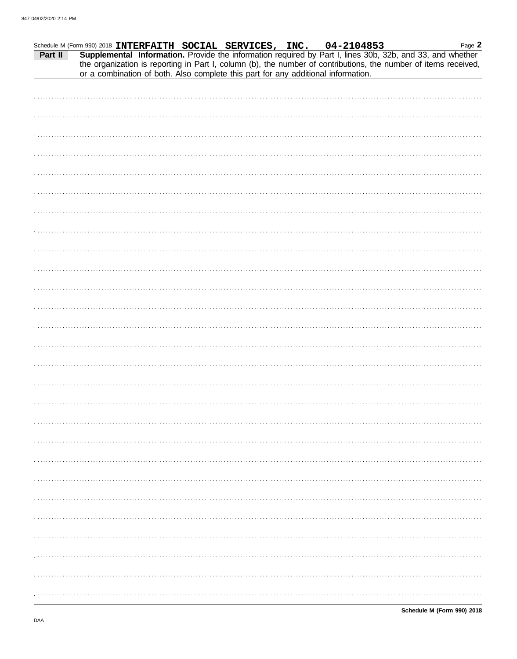|         | Schedule M (Form 990) 2018 INTERFAITH SOCIAL SERVICES, INC. |  |  | 04-2104853                                                                        | Page 2                                                                                                                                                                                                                       |
|---------|-------------------------------------------------------------|--|--|-----------------------------------------------------------------------------------|------------------------------------------------------------------------------------------------------------------------------------------------------------------------------------------------------------------------------|
| Part II |                                                             |  |  | or a combination of both. Also complete this part for any additional information. | Supplemental Information. Provide the information required by Part I, lines 30b, 32b, and 33, and whether<br>the organization is reporting in Part I, column (b), the number of contributions, the number of items received, |
|         |                                                             |  |  |                                                                                   |                                                                                                                                                                                                                              |
|         |                                                             |  |  |                                                                                   |                                                                                                                                                                                                                              |
|         |                                                             |  |  |                                                                                   |                                                                                                                                                                                                                              |
|         |                                                             |  |  |                                                                                   |                                                                                                                                                                                                                              |
|         |                                                             |  |  |                                                                                   |                                                                                                                                                                                                                              |
|         |                                                             |  |  |                                                                                   |                                                                                                                                                                                                                              |
|         |                                                             |  |  |                                                                                   |                                                                                                                                                                                                                              |
|         |                                                             |  |  |                                                                                   |                                                                                                                                                                                                                              |
|         |                                                             |  |  |                                                                                   |                                                                                                                                                                                                                              |
|         |                                                             |  |  |                                                                                   |                                                                                                                                                                                                                              |
|         |                                                             |  |  |                                                                                   |                                                                                                                                                                                                                              |
|         |                                                             |  |  |                                                                                   |                                                                                                                                                                                                                              |
|         |                                                             |  |  |                                                                                   |                                                                                                                                                                                                                              |
|         |                                                             |  |  |                                                                                   |                                                                                                                                                                                                                              |
|         |                                                             |  |  |                                                                                   |                                                                                                                                                                                                                              |
|         |                                                             |  |  |                                                                                   |                                                                                                                                                                                                                              |
|         |                                                             |  |  |                                                                                   |                                                                                                                                                                                                                              |
|         |                                                             |  |  |                                                                                   |                                                                                                                                                                                                                              |
|         |                                                             |  |  |                                                                                   |                                                                                                                                                                                                                              |
|         |                                                             |  |  |                                                                                   |                                                                                                                                                                                                                              |
|         |                                                             |  |  |                                                                                   |                                                                                                                                                                                                                              |
|         |                                                             |  |  |                                                                                   |                                                                                                                                                                                                                              |
|         |                                                             |  |  |                                                                                   |                                                                                                                                                                                                                              |
|         |                                                             |  |  |                                                                                   |                                                                                                                                                                                                                              |
|         |                                                             |  |  |                                                                                   |                                                                                                                                                                                                                              |
|         |                                                             |  |  |                                                                                   |                                                                                                                                                                                                                              |
|         |                                                             |  |  |                                                                                   |                                                                                                                                                                                                                              |
|         |                                                             |  |  |                                                                                   |                                                                                                                                                                                                                              |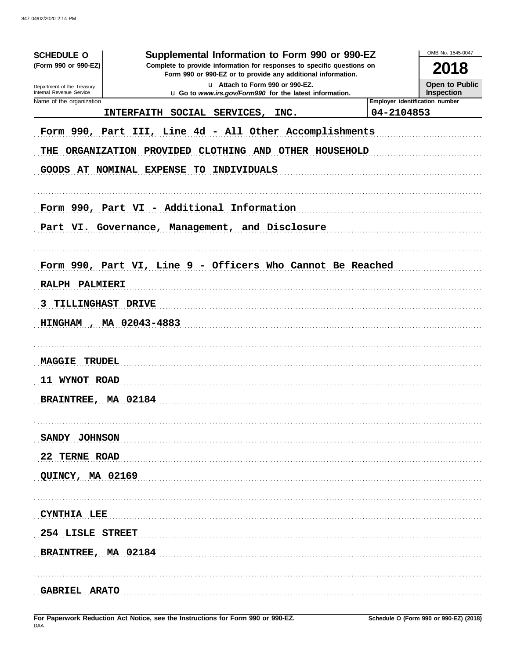| <b>SCHEDULE O</b><br>(Form 990 or 990-EZ)<br>Department of the Treasury<br>Internal Revenue Service | OMB No. 1545-0047<br>2018<br>Open to Public<br>Inspection                                                                                                    |            |                                |
|-----------------------------------------------------------------------------------------------------|--------------------------------------------------------------------------------------------------------------------------------------------------------------|------------|--------------------------------|
| Name of the organization                                                                            | u Go to www.irs.gov/Form990 for the latest information.<br>INTERFAITH SOCIAL SERVICES, INC.                                                                  | 04-2104853 | Employer identification number |
|                                                                                                     | Form 990, Part III, Line 4d - All Other Accomplishments<br>THE ORGANIZATION PROVIDED CLOTHING AND OTHER HOUSEHOLD<br>GOODS AT NOMINAL EXPENSE TO INDIVIDUALS |            |                                |
|                                                                                                     | Form 990, Part VI - Additional Information                                                                                                                   |            |                                |
|                                                                                                     | Part VI. Governance, Management, and Disclosure                                                                                                              |            |                                |
|                                                                                                     |                                                                                                                                                              |            |                                |
|                                                                                                     | Form 990, Part VI, Line 9 - Officers Who Cannot Be Reached                                                                                                   |            |                                |
| RALPH PALMIERI                                                                                      |                                                                                                                                                              |            |                                |
| 3 TILLINGHAST DRIVE                                                                                 |                                                                                                                                                              |            |                                |
| HINGHAM, MA 02043-4883                                                                              |                                                                                                                                                              |            |                                |
|                                                                                                     |                                                                                                                                                              |            |                                |
| <b>MAGGIE TRUDEL</b>                                                                                |                                                                                                                                                              |            |                                |
| 11 WYNOT ROAD                                                                                       |                                                                                                                                                              |            |                                |
| BRAINTREE, MA 02184                                                                                 |                                                                                                                                                              |            |                                |
|                                                                                                     |                                                                                                                                                              |            |                                |
| SANDY JOHNSON                                                                                       |                                                                                                                                                              |            |                                |
| 22 TERNE ROAD                                                                                       |                                                                                                                                                              |            |                                |
| QUINCY, MA 02169                                                                                    |                                                                                                                                                              |            |                                |
|                                                                                                     |                                                                                                                                                              |            |                                |
| CYNTHIA LEE                                                                                         |                                                                                                                                                              |            |                                |
| 254 LISLE STREET                                                                                    |                                                                                                                                                              |            |                                |
| BRAINTREE, MA 02184                                                                                 |                                                                                                                                                              |            |                                |
|                                                                                                     |                                                                                                                                                              |            |                                |
| <b>GABRIEL ARATO</b>                                                                                |                                                                                                                                                              |            |                                |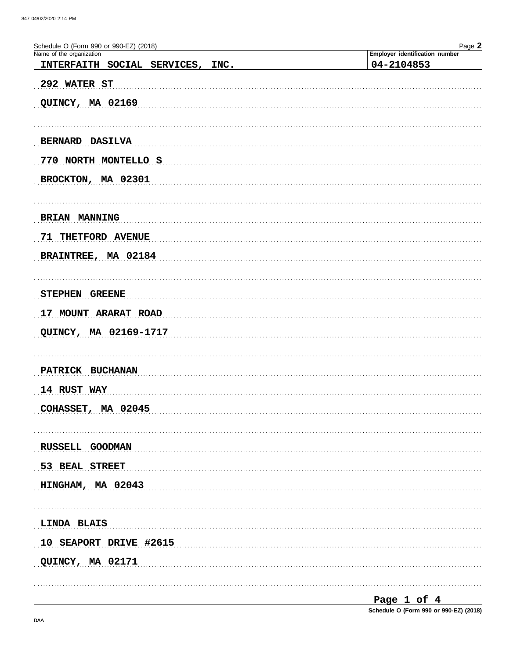| Schedule O (Form 990 or 990-EZ) (2018) | Page 2                         |
|----------------------------------------|--------------------------------|
| Name of the organization               | Employer identification number |
| INTERFAITH SOCIAL SERVICES, INC.       | 04-2104853                     |
| 292 WATER ST                           |                                |
|                                        |                                |
| QUINCY, MA 02169                       |                                |
|                                        |                                |
| BERNARD DASILVA                        |                                |
| 770 NORTH MONTELLO S                   |                                |
|                                        |                                |
| BROCKTON, MA 02301                     |                                |
|                                        |                                |
| BRIAN MANNING                          |                                |
|                                        |                                |
| 71 THETFORD AVENUE                     |                                |
| BRAINTREE, MA 02184                    |                                |
|                                        |                                |
| STEPHEN GREENE                         |                                |
|                                        |                                |
| 17 MOUNT ARARAT ROAD                   |                                |
| QUINCY, MA 02169-1717                  |                                |
|                                        |                                |
| PATRICK BUCHANAN                       |                                |
|                                        |                                |
| 14 RUST WAY                            |                                |
| COHASSET, MA 02045                     |                                |
|                                        |                                |
|                                        |                                |
| RUSSELL GOODMAN                        |                                |
| 53 BEAL STREET                         |                                |
| HINGHAM, MA 02043                      |                                |
|                                        |                                |
|                                        |                                |
| LINDA BLAIS                            |                                |
| 10 SEAPORT DRIVE #2615                 |                                |
| QUINCY, MA 02171                       |                                |
|                                        |                                |
|                                        |                                |

Page 1 of 4 Schedule O (Form 990 or 990-EZ) (2018)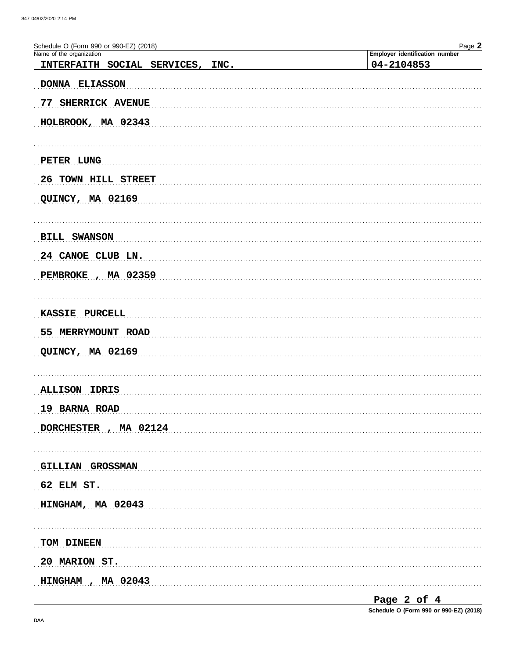| Schedule O (Form 990 or 990-EZ) (2018)<br>Name of the organization | Page 2                                       |
|--------------------------------------------------------------------|----------------------------------------------|
| INTERFAITH SOCIAL SERVICES, INC.                                   | Employer identification number<br>04-2104853 |
| DONNA ELIASSON                                                     |                                              |
|                                                                    |                                              |
| 77 SHERRICK AVENUE                                                 |                                              |
| HOLBROOK, MA 02343                                                 |                                              |
|                                                                    |                                              |
| PETER LUNG                                                         |                                              |
| 26 TOWN HILL STREET                                                |                                              |
| QUINCY, MA 02169                                                   |                                              |
|                                                                    |                                              |
| <b>BILL SWANSON</b>                                                |                                              |
| 24 CANOE CLUB LN.                                                  |                                              |
| PEMBROKE, MA 02359                                                 |                                              |
|                                                                    |                                              |
| KASSIE PURCELL                                                     |                                              |
|                                                                    |                                              |
| 55 MERRYMOUNT ROAD                                                 |                                              |
| QUINCY, MA 02169                                                   |                                              |
|                                                                    |                                              |
| <b>ALLISON IDRIS</b>                                               |                                              |
| 19 BARNA ROAD                                                      |                                              |
| DORCHESTER, MA 02124                                               |                                              |
|                                                                    |                                              |
| GILLIAN GROSSMAN                                                   |                                              |
| $62$ ELM ST.                                                       |                                              |
| HINGHAM, MA 02043                                                  |                                              |
|                                                                    |                                              |
| TOM DINEEN                                                         |                                              |
| 20 MARION ST.                                                      |                                              |
| HINGHAM, MA 02043                                                  |                                              |
|                                                                    |                                              |

Page 2 of 4

Schedule O (Form 990 or 990-EZ) (2018)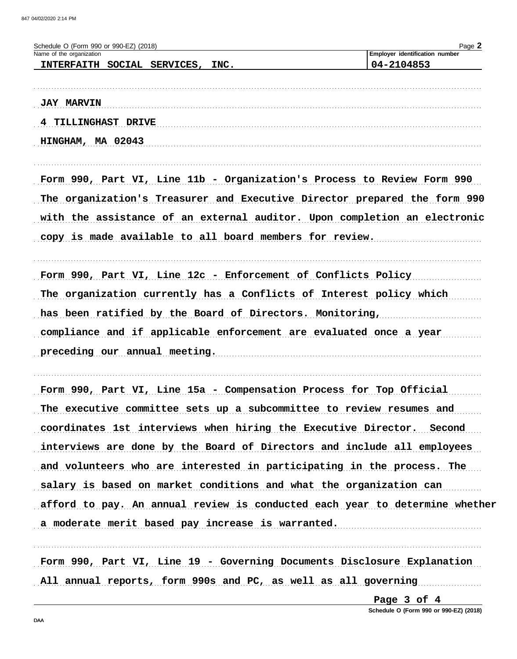| Schedule O (Form 990 or 990-EZ) (2018)<br>Name of the organization          | Page 2<br>Employer identification number |
|-----------------------------------------------------------------------------|------------------------------------------|
| INTERFAITH SOCIAL SERVICES, INC.                                            | 04-2104853                               |
|                                                                             |                                          |
| <b>JAY MARVIN</b>                                                           |                                          |
| 4 TILLINGHAST DRIVE                                                         |                                          |
| HINGHAM, MA 02043                                                           |                                          |
|                                                                             |                                          |
| Form 990, Part VI, Line 11b - Organization's Process to Review Form 990     |                                          |
| The organization's Treasurer and Executive Director prepared the form 990   |                                          |
| with the assistance of an external auditor. Upon completion an electronic   |                                          |
| copy is made available to all board members for review.                     |                                          |
| Form 990, Part VI, Line 12c - Enforcement of Conflicts Policy               |                                          |
| The organization currently has a Conflicts of Interest policy which         |                                          |
| has been ratified by the Board of Directors. Monitoring,                    |                                          |
| compliance and if applicable enforcement are evaluated once a year          |                                          |
| preceding our annual meeting.                                               |                                          |
| Form 990, Part VI, Line 15a - Compensation Process for Top Official         |                                          |
| The executive committee sets up a subcommittee to review resumes and        |                                          |
| coordinates 1st interviews when hiring the Executive Director. Second       |                                          |
| interviews are done by the Board of Directors and include all employees     |                                          |
| and volunteers who are interested in participating in the process. The      |                                          |
| salary is based on market conditions and what the organization can          |                                          |
| afford to pay. An annual review is conducted each year to determine whether |                                          |
| a moderate merit based pay increase is warranted.                           |                                          |
|                                                                             |                                          |
| Form 990, Part VI, Line 19 - Governing Documents Disclosure Explanation     |                                          |

All annual reports, form 990s and PC, as well as all governing

Page 3 of 4 Schedule O (Form 990 or 990-EZ) (2018)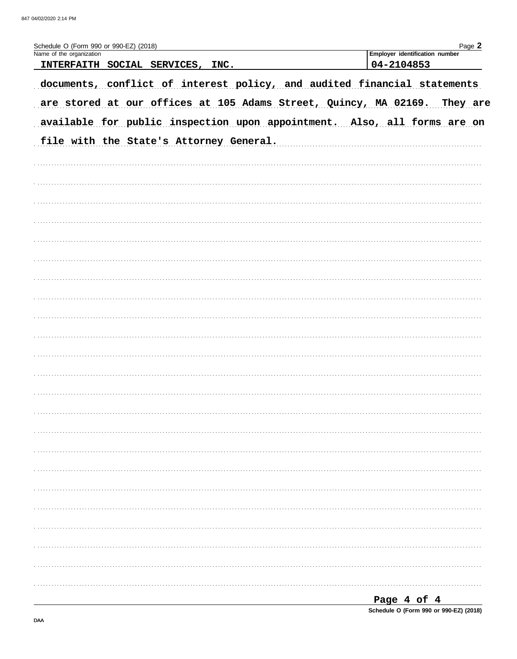| Schedule O (Form 990 or 990-EZ) (2018)<br>Name of the organization       | Page 2<br>Employer identification number |
|--------------------------------------------------------------------------|------------------------------------------|
| INTERFAITH SOCIAL SERVICES, INC.                                         | 04-2104853                               |
| documents, conflict of interest policy, and audited financial statements |                                          |
| are stored at our offices at 105 Adams Street, Quincy, MA 02169.         | They are                                 |
| available for public inspection upon appointment. Also, all forms are on |                                          |
| file with the State's Attorney General.                                  |                                          |
|                                                                          |                                          |
|                                                                          |                                          |
|                                                                          |                                          |
|                                                                          |                                          |
|                                                                          |                                          |
|                                                                          |                                          |
|                                                                          |                                          |
|                                                                          |                                          |
|                                                                          |                                          |
|                                                                          |                                          |
|                                                                          |                                          |
|                                                                          |                                          |
|                                                                          |                                          |
|                                                                          |                                          |
|                                                                          |                                          |
|                                                                          |                                          |
|                                                                          |                                          |
|                                                                          |                                          |
|                                                                          |                                          |
|                                                                          |                                          |
|                                                                          |                                          |
|                                                                          |                                          |
|                                                                          |                                          |
|                                                                          |                                          |
|                                                                          |                                          |
|                                                                          |                                          |
|                                                                          |                                          |

Page 4 of 4 Schedule O (Form 990 or 990-EZ) (2018)